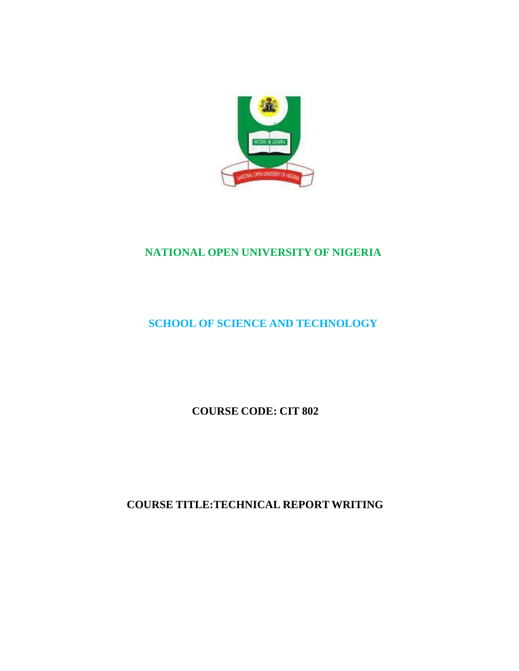

# **NATIONAL OPEN UNIVERSITY OF NIGERIA**

# **SCHOOL OF SCIENCE AND TECHNOLOGY**

**COURSE CODE: CIT 802**

**COURSE TITLE:TECHNICAL REPORT WRITING**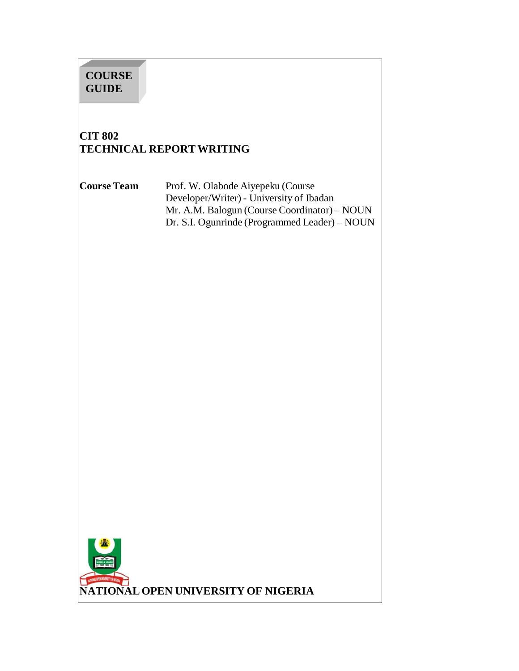# **COURSE GUIDE**

# **CIT 802 TECHNICAL REPORT WRITING**

**Course Team** Prof. W. Olabode Aiyepeku (Course Developer/Writer) - University of Ibadan Mr. A.M. Balogun (Course Coordinator) – NOUN Dr. S.I. Ogunrinde (Programmed Leader) – NOUN

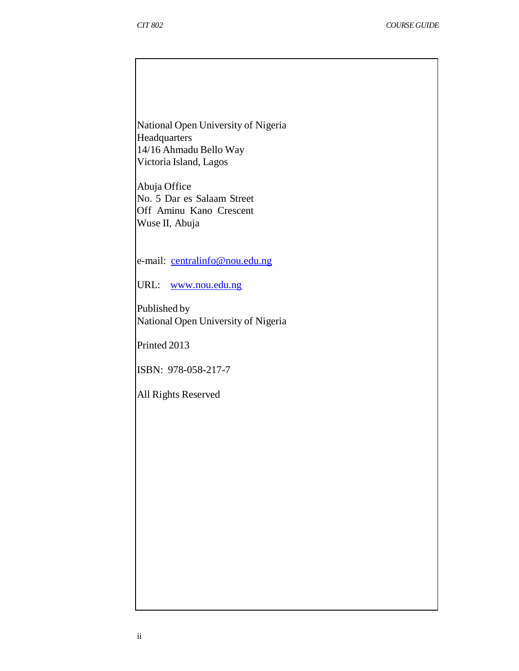National Open University of Nigeria **Headquarters** 14/16 Ahmadu Bello Way Victoria Island, Lagos

Abuja Office No. 5 Dar es Salaam Street Off Aminu Kano Crescent Wuse II, Abuja

e-mail: centralinfo@nou.edu.ng

URL: www.nou.edu.ng

Published by National Open University of Nigeria

Printed 2013

ISBN: 978-058-217-7

All Rights Reserved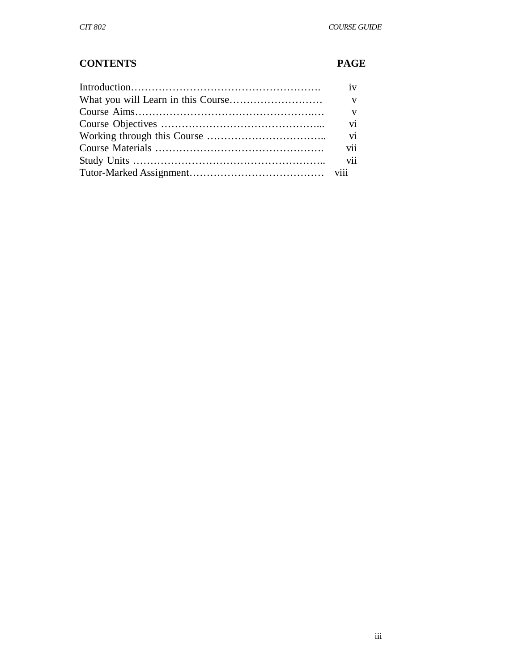# **CONTENTS PAGE**

| iv                       |
|--------------------------|
| $\mathbf{V}$             |
| $\mathbf{V}$             |
| $\overline{\mathbf{vi}}$ |
|                          |
|                          |
|                          |
|                          |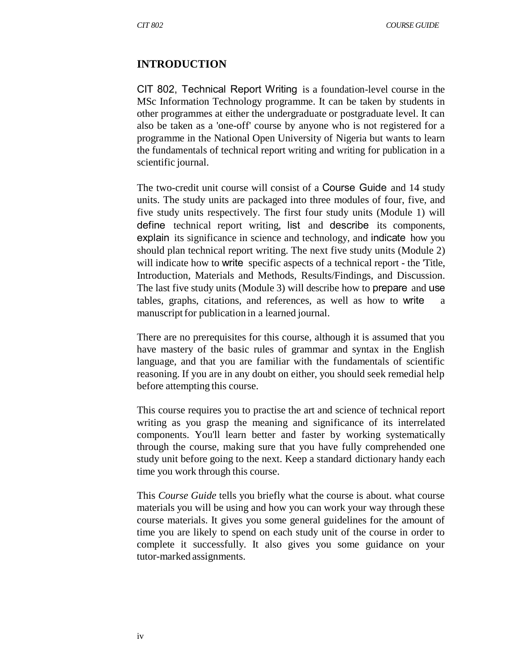#### **INTRODUCTION**

CIT 802, Technical Report Writing is a foundation-level course in the MSc Information Technology programme. It can be taken by students in other programmes at either the undergraduate or postgraduate level. It can also be taken as a 'one-off' course by anyone who is not registered for a programme in the National Open University of Nigeria but wants to learn the fundamentals of technical report writing and writing for publication in a scientific journal.

The two-credit unit course will consist of a Course Guide and 14 study units. The study units are packaged into three modules of four, five, and five study units respectively. The first four study units (Module 1) will define technical report writing, list and describe its components, explain its significance in science and technology, and indicate how you should plan technical report writing. The next five study units (Module 2) will indicate how to write specific aspects of a technical report - the Title, Introduction, Materials and Methods, Results/Findings, and Discussion. The last five study units (Module 3) will describe how to prepare and use tables, graphs, citations, and references, as well as how to write a manuscript for publication in a learned journal.

There are no prerequisites for this course, although it is assumed that you have mastery of the basic rules of grammar and syntax in the English language, and that you are familiar with the fundamentals of scientific reasoning. If you are in any doubt on either, you should seek remedial help before attempting this course.

This course requires you to practise the art and science of technical report writing as you grasp the meaning and significance of its interrelated components. You'll learn better and faster by working systematically through the course, making sure that you have fully comprehended one study unit before going to the next. Keep a standard dictionary handy each time you work through this course.

This *Course Guide* tells you briefly what the course is about. what course materials you will be using and how you can work your way through these course materials. It gives you some general guidelines for the amount of time you are likely to spend on each study unit of the course in order to complete it successfully. It also gives you some guidance on your tutor-marked assignments.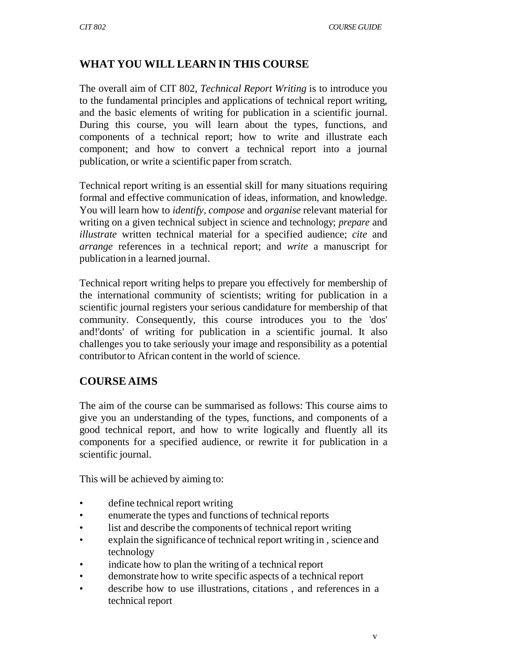## **WHAT YOU WILL LEARN IN THIS COURSE**

The overall aim of CIT 802, *Technical Report Writing* is to introduce you to the fundamental principles and applications of technical report writing, and the basic elements of writing for publication in a scientific journal. During this course, you will learn about the types, functions, and components of a technical report; how to write and illustrate each component; and how to convert a technical report into a journal publication, or write a scientific paper from scratch.

Technical report writing is an essential skill for many situations requiring formal and effective communication of ideas, information, and knowledge. You will learn how to *identify, compose* and *organise* relevant material for writing on a given technical subject in science and technology; *prepare* and *illustrate* written technical material for a specified audience; *cite* and *arrange* references in a technical report; and *write* a manuscript for publication in a learned journal.

Technical report writing helps to prepare you effectively for membership of the international community of scientists; writing for publication in a scientific journal registers your serious candidature for membership of that community. Consequently, this course introduces you to the 'dos' and!'donts' of writing for publication in a scientific journal. It also challenges you to take seriously your image and responsibility as a potential contributor to African content in the world of science.

## **COURSE AIMS**

The aim of the course can be summarised as follows: This course aims to give you an understanding of the types, functions, and components of a good technical report, and how to write logically and fluently all its components for a specified audience, or rewrite it for publication in a scientific journal.

This will be achieved by aiming to:

- define technical report writing
- enumerate the types and functions of technical reports
- list and describe the components of technical report writing
- explain the significance of technical report writing in, science and technology
- indicate how to plan the writing of a technical report
- demonstrate how to write specific aspects of a technical report
- describe how to use illustrations, citations, and references in a technical report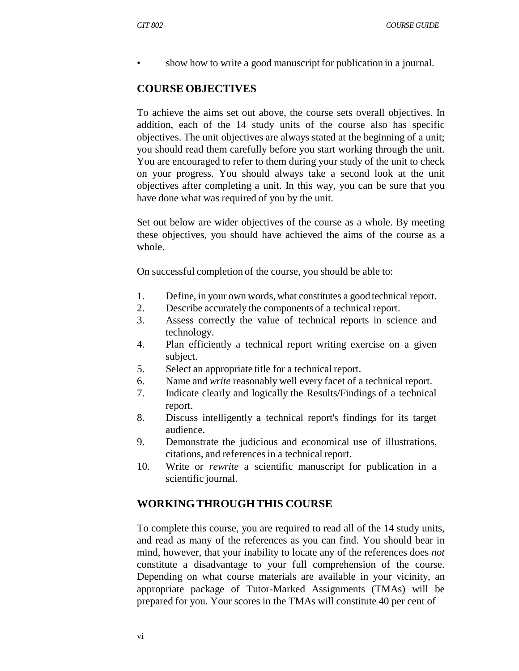• show how to write a good manuscript for publication in a journal.

#### **COURSE OBJECTIVES**

To achieve the aims set out above, the course sets overall objectives. In addition, each of the 14 study units of the course also has specific objectives. The unit objectives are always stated at the beginning of a unit; you should read them carefully before you start working through the unit. You are encouraged to refer to them during your study of the unit to check on your progress. You should always take a second look at the unit objectives after completing a unit. In this way, you can be sure that you have done what was required of you by the unit.

Set out below are wider objectives of the course as a whole. By meeting these objectives, you should have achieved the aims of the course as a whole.

On successful completion of the course, you should be able to:

- 1. Define, in your own words, what constitutes a good technical report.
- 2. Describe accurately the components of a technical report.
- 3. Assess correctly the value of technical reports in science and technology.
- 4. Plan efficiently a technical report writing exercise on a given subject.
- 5. Select an appropriate title for a technical report.
- 6. Name and *write* reasonably well every facet of a technical report.
- 7. Indicate clearly and logically the Results/Findings of a technical report.
- 8. Discuss intelligently a technical report's findings for its target audience.
- 9. Demonstrate the judicious and economical use of illustrations, citations, and references in a technical report.
- 10. Write or *rewrite* a scientific manuscript for publication in a scientific journal.

#### **WORKING THROUGH THIS COURSE**

To complete this course, you are required to read all of the 14 study units, and read as many of the references as you can find. You should bear in mind, however, that your inability to locate any of the references does *not*  constitute a disadvantage to your full comprehension of the course. Depending on what course materials are available in your vicinity, an appropriate package of Tutor-Marked Assignments (TMAs) will be prepared for you. Your scores in the TMAs will constitute 40 per cent of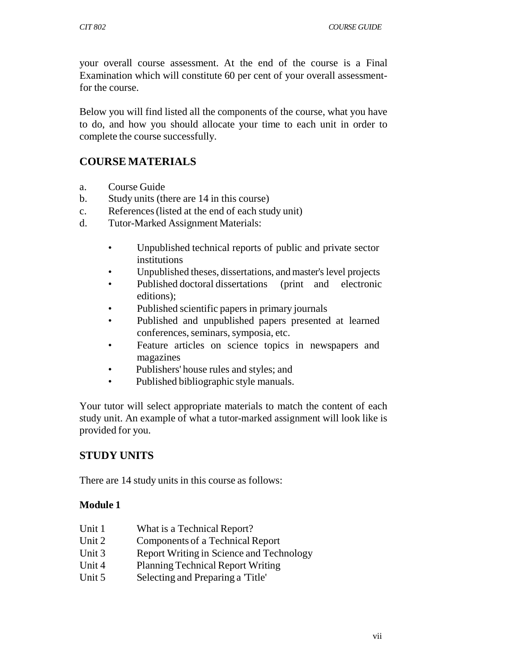your overall course assessment. At the end of the course is a Final Examination which will constitute 60 per cent of your overall assessmentfor the course.

Below you will find listed all the components of the course, what you have to do, and how you should allocate your time to each unit in order to complete the course successfully.

## **COURSE MATERIALS**

- a. Course Guide
- b. Study units (there are 14 in this course)
- c. References (listed at the end of each study unit)
- d. Tutor-Marked Assignment Materials:
	- Unpublished technical reports of public and private sector institutions
	- Unpublished theses, dissertations, and master's level projects
	- Published doctoral dissertations (print and electronic editions);
	- Published scientific papers in primary journals
	- Published and unpublished papers presented at learned conferences, seminars, symposia, etc.
	- Feature articles on science topics in newspapers and magazines
	- Publishers' house rules and styles; and
	- Published bibliographic style manuals.

Your tutor will select appropriate materials to match the content of each study unit. An example of what a tutor-marked assignment will look like is provided for you.

## **STUDY UNITS**

There are 14 study units in this course as follows:

#### **Module 1**

- Unit 1 What is a Technical Report?
- Unit 2 Components of a Technical Report
- Unit 3 Report Writing in Science and Technology
- Unit 4 Planning Technical Report Writing
- Unit 5 Selecting and Preparing a 'Title'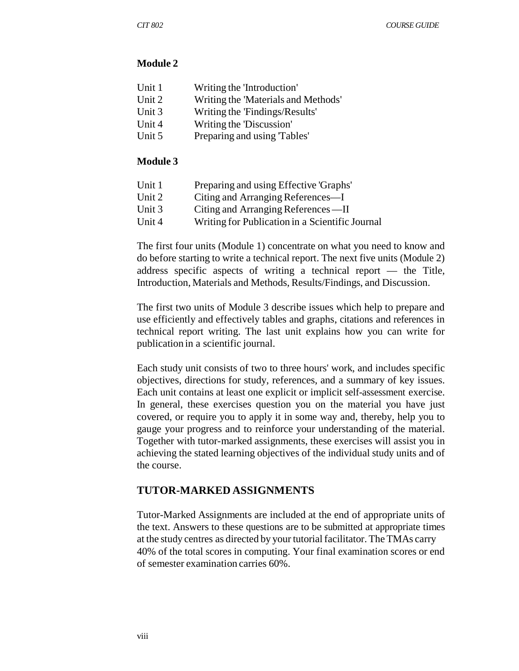#### **Module 2**

| Unit 1 | Writing the 'Introduction'          |
|--------|-------------------------------------|
| Unit 2 | Writing the 'Materials and Methods' |
| Unit 3 | Writing the 'Findings/Results'      |
| Unit 4 | Writing the 'Discussion'            |
| Unit 5 | Preparing and using Tables'         |
|        |                                     |

#### **Module 3**

| Unit 1 | Preparing and using Effective 'Graphs'          |
|--------|-------------------------------------------------|
| Unit 2 | Citing and Arranging References—I               |
| Unit 3 | Citing and Arranging References—II              |
| Unit 4 | Writing for Publication in a Scientific Journal |

The first four units (Module 1) concentrate on what you need to know and do before starting to write a technical report. The next five units (Module 2) address specific aspects of writing a technical report — the Title, Introduction, Materials and Methods, Results/Findings, and Discussion.

The first two units of Module 3 describe issues which help to prepare and use efficiently and effectively tables and graphs, citations and references in technical report writing. The last unit explains how you can write for publication in a scientific journal.

Each study unit consists of two to three hours' work, and includes specific objectives, directions for study, references, and a summary of key issues. Each unit contains at least one explicit or implicit self-assessment exercise. In general, these exercises question you on the material you have just covered, or require you to apply it in some way and, thereby, help you to gauge your progress and to reinforce your understanding of the material. Together with tutor-marked assignments, these exercises will assist you in achieving the stated learning objectives of the individual study units and of the course.

#### **TUTOR-MARKED ASSIGNMENTS**

Tutor-Marked Assignments are included at the end of appropriate units of the text. Answers to these questions are to be submitted at appropriate times at the study centres as directed by your tutorial facilitator. The TMAs carry 40% of the total scores in computing. Your final examination scores or end of semester examination carries 60%.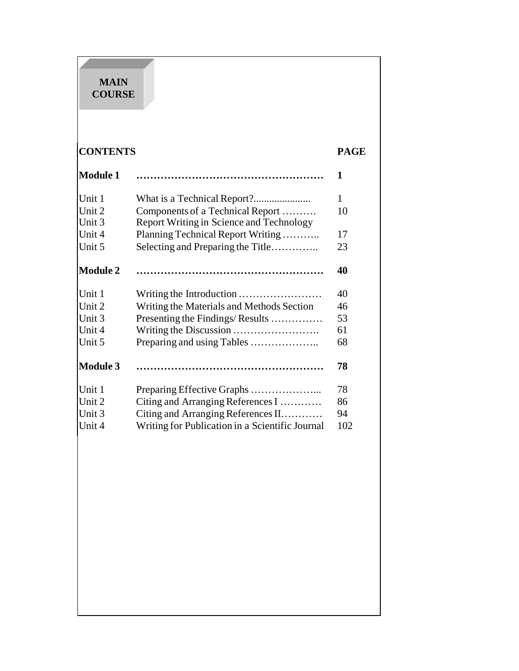#### **MAIN COURSE**

|                                                 | <b>PAGE</b>                                                                                                                                                                                              |
|-------------------------------------------------|----------------------------------------------------------------------------------------------------------------------------------------------------------------------------------------------------------|
|                                                 | 1                                                                                                                                                                                                        |
|                                                 | $\mathbf{1}$                                                                                                                                                                                             |
| Components of a Technical Report                | 10                                                                                                                                                                                                       |
| <b>Report Writing in Science and Technology</b> |                                                                                                                                                                                                          |
| Planning Technical Report Writing               | 17                                                                                                                                                                                                       |
| Selecting and Preparing the Title               | 23                                                                                                                                                                                                       |
|                                                 | 40                                                                                                                                                                                                       |
| Writing the Introduction                        | 40                                                                                                                                                                                                       |
|                                                 | 46                                                                                                                                                                                                       |
|                                                 | 53                                                                                                                                                                                                       |
|                                                 | 61                                                                                                                                                                                                       |
| Preparing and using Tables                      | 68                                                                                                                                                                                                       |
|                                                 | 78                                                                                                                                                                                                       |
|                                                 | 78                                                                                                                                                                                                       |
|                                                 | 86                                                                                                                                                                                                       |
|                                                 | 94                                                                                                                                                                                                       |
| Writing for Publication in a Scientific Journal | 102                                                                                                                                                                                                      |
|                                                 |                                                                                                                                                                                                          |
|                                                 | <b>CONTENTS</b><br>Writing the Materials and Methods Section<br>Presenting the Findings/Results<br>Preparing Effective Graphs<br>Citing and Arranging References I<br>Citing and Arranging References II |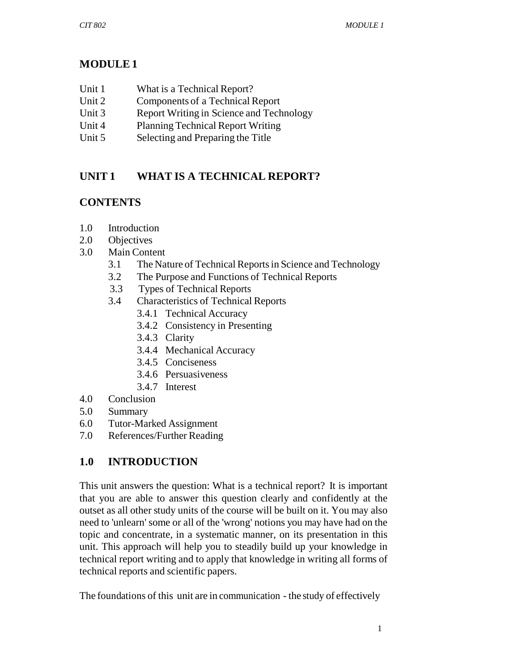# **MODULE 1**

- Unit 1 What is a Technical Report?
- Unit 2 Components of a Technical Report
- Unit 3 Report Writing in Science and Technology
- Unit 4 Planning Technical Report Writing
- Unit 5 Selecting and Preparing the Title

# **UNIT 1 WHAT IS A TECHNICAL REPORT?**

# **CONTENTS**

- 1.0 Introduction
- 2.0 Objectives
- 3.0 Main Content
	- 3.1 The Nature of Technical Reports in Science and Technology
	- 3.2 The Purpose and Functions of Technical Reports
	- 3.3 Types of Technical Reports
	- 3.4 Characteristics of Technical Reports
		- 3.4.1 Technical Accuracy
		- 3.4.2 Consistency in Presenting
		- 3.4.3 Clarity
		- 3.4.4 Mechanical Accuracy
		- 3.4.5 Conciseness
		- 3.4.6 Persuasiveness
		- 3.4.7 Interest
- 4.0 Conclusion
- 5.0 Summary
- 6.0 Tutor-Marked Assignment
- 7.0 References/Further Reading

# **1.0 INTRODUCTION**

This unit answers the question: What is a technical report? It is important that you are able to answer this question clearly and confidently at the outset as all other study units of the course will be built on it. You may also need to 'unlearn' some or all of the 'wrong' notions you may have had on the topic and concentrate, in a systematic manner, on its presentation in this unit. This approach will help you to steadily build up your knowledge in technical report writing and to apply that knowledge in writing all forms of technical reports and scientific papers.

The foundations of this unit are in communication - the study of effectively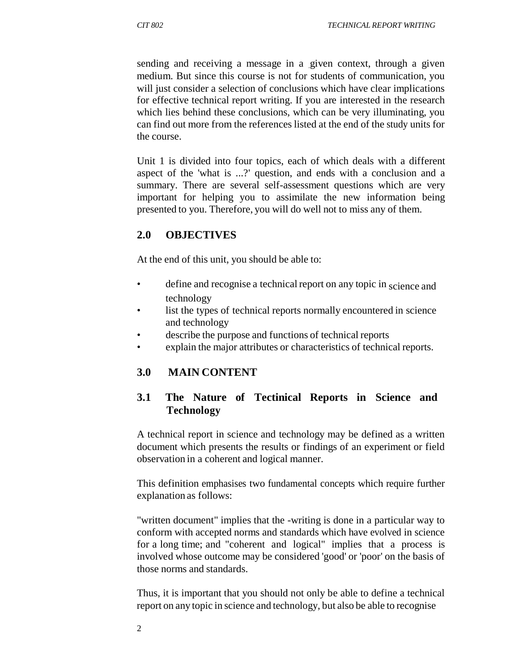sending and receiving a message in a given context, through a given medium. But since this course is not for students of communication, you will just consider a selection of conclusions which have clear implications for effective technical report writing. If you are interested in the research which lies behind these conclusions, which can be very illuminating, you can find out more from the references listed at the end of the study units for the course.

Unit 1 is divided into four topics, each of which deals with a different aspect of the 'what is ...?' question, and ends with a conclusion and a summary. There are several self-assessment questions which are very important for helping you to assimilate the new information being presented to you. Therefore, you will do well not to miss any of them.

## **2.0 OBJECTIVES**

At the end of this unit, you should be able to:

- define and recognise a technical report on any topic in science and technology
- list the types of technical reports normally encountered in science and technology
- describe the purpose and functions of technical reports
- explain the major attributes or characteristics of technical reports.

## **3.0 MAIN CONTENT**

## **3.1 The Nature of Tectinical Reports in Science and Technology**

A technical report in science and technology may be defined as a written document which presents the results or findings of an experiment or field observation in a coherent and logical manner.

This definition emphasises two fundamental concepts which require further explanation as follows:

"written document" implies that the -writing is done in a particular way to conform with accepted norms and standards which have evolved in science for a long time; and "coherent and logical" implies that a process is involved whose outcome may be considered 'good' or 'poor' on the basis of those norms and standards.

Thus, it is important that you should not only be able to define a technical report on any topic in science and technology, but also be able to recognise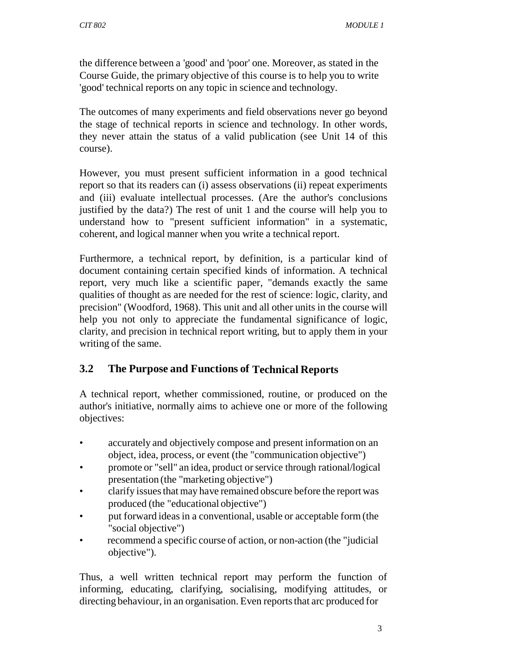the difference between a 'good' and 'poor' one. Moreover, as stated in the Course Guide*,* the primary objective of this course is to help you to write 'good' technical reports on any topic in science and technology.

The outcomes of many experiments and field observations never go beyond the stage of technical reports in science and technology. In other words, they never attain the status of a valid publication (see Unit 14 of this course).

However, you must present sufficient information in a good technical report so that its readers can (i) assess observations (ii) repeat experiments and (iii) evaluate intellectual processes. (Are the author's conclusions justified by the data?) The rest of unit 1 and the course will help you to understand how to "present sufficient information" in a systematic, coherent, and logical manner when you write a technical report.

Furthermore, a technical report, by definition, is a particular kind of document containing certain specified kinds of information. A technical report, very much like a scientific paper, "demands exactly the same qualities of thought as are needed for the rest of science: logic, clarity, and precision" (Woodford, 1968). This unit and all other units in the course will help you not only to appreciate the fundamental significance of logic, clarity, and precision in technical report writing, but to apply them in your writing of the same.

# **3.2 The Purpose and Functions of Technical Reports**

A technical report, whether commissioned, routine, or produced on the author's initiative, normally aims to achieve one or more of the following objectives:

- accurately and objectively compose and present information on an object, idea, process, or event (the "communication objective")
- promote or "sell" an idea, product or service through rational/logical presentation (the "marketing objective")
- clarify issues that may have remained obscure before the report was produced (the "educational objective")
- put forward ideas in a conventional, usable or acceptable form (the "social objective")
- recommend a specific course of action, or non-action (the "judicial objective").

Thus, a well written technical report may perform the function of informing, educating, clarifying, socialising, modifying attitudes, or directing behaviour, in an organisation. Even reports that arc produced for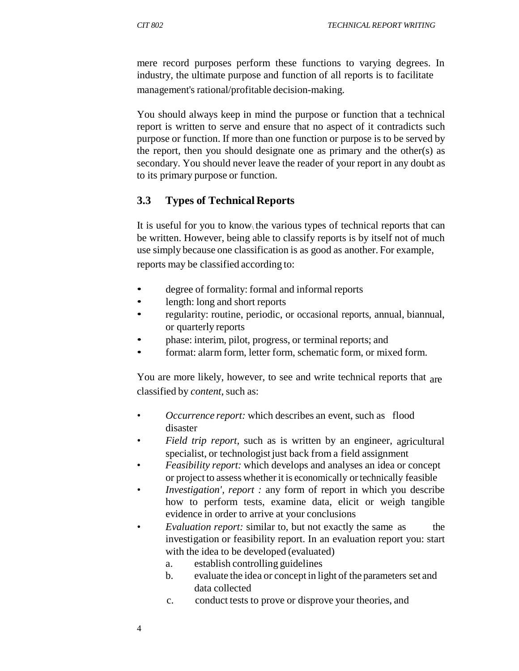mere record purposes perform these functions to varying degrees. In industry, the ultimate purpose and function of all reports is to facilitate management's rational/profitable decision-making.

You should always keep in mind the purpose or function that a technical report is written to serve and ensure that no aspect of it contradicts such purpose or function. If more than one function or purpose is to be served by the report, then you should designate one as primary and the other(s) as secondary. You should never leave the reader of your report in any doubt as to its primary purpose or function.

#### **3.3 Types of Technical Reports**

It is useful for you to know the various types of technical reports that can be written. However, being able to classify reports is by itself not of much use simply because one classification is as good as another. For example, reports may be classified according to:

- degree of formality: formal and informal reports
- length: long and short reports
- regularity: routine, periodic, or occasional reports, annual, biannual, or quarterly reports
- phase: interim, pilot, progress, or terminal reports; and
- format: alarm form, letter form, schematic form, or mixed form.

You are more likely, however, to see and write technical reports that are classified by *content,* such as:

- *Occurrence report:* which describes an event, such as flood disaster
- *Field trip report,* such as is written by an engineer, agricultural specialist, or technologist just back from a field assignment
- *Feasibility report:* which develops and analyses an idea or concept or project to assess whether it is economically or technically feasible
- *Investigation', report : any form of report in which you describe* how to perform tests, examine data, elicit or weigh tangible evidence in order to arrive at your conclusions
- *Evaluation report:* similar to, but not exactly the same as the investigation or feasibility report. In an evaluation report you: start with the idea to be developed (evaluated)
	- a. establish controlling guidelines
	- b. evaluate the idea or concept in light of the parameters set and data collected
	- c. conduct tests to prove or disprove your theories, and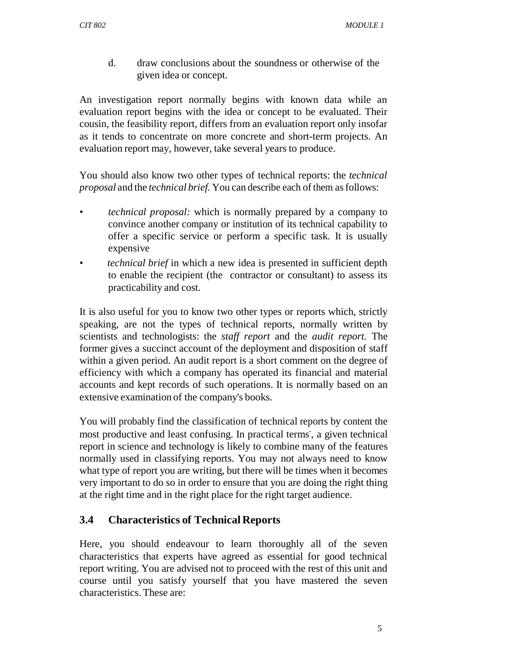d. draw conclusions about the soundness or otherwise of the given idea or concept.

An investigation report normally begins with known data while an evaluation report begins with the idea or concept to be evaluated. Their cousin, the feasibility report, differs from an evaluation report only insofar as it tends to concentrate on more concrete and short-term projects. An evaluation report may, however, take several years to produce.

You should also know two other types of technical reports: the *technical proposal* and the *technical brief.* You can describe each of them as follows:

- *technical proposal:* which is normally prepared by a company to convince another company or institution of its technical capability to offer a specific service or perform a specific task. It is usually expensive
- *technical brief* in which a new idea is presented in sufficient depth to enable the recipient (the contractor or consultant) to assess its practicability and cost.

It is also useful for you to know two other types or reports which, strictly speaking, are not the types of technical reports, normally written by scientists and technologists: the *staff report* and the *audit report.* The former gives a succinct account of the deployment and disposition of staff within a given period. An audit report is a short comment on the degree of efficiency with which a company has operated its financial and material accounts and kept records of such operations. It is normally based on an extensive examination of the company's books.

You will probably find the classification of technical reports by content the most productive and least confusing. In practical terms, a given technical report in science and technology is likely to combine many of the features normally used in classifying reports. You may not always need to know what type of report you are writing, but there will be times when it becomes very important to do so in order to ensure that you are doing the right thing at the right time and in the right place for the right target audience.

## **3.4 Characteristics of Technical Reports**

Here, you should endeavour to learn thoroughly all of the seven characteristics that experts have agreed as essential for good technical report writing. You are advised not to proceed with the rest of this unit and course until you satisfy yourself that you have mastered the seven characteristics. These are: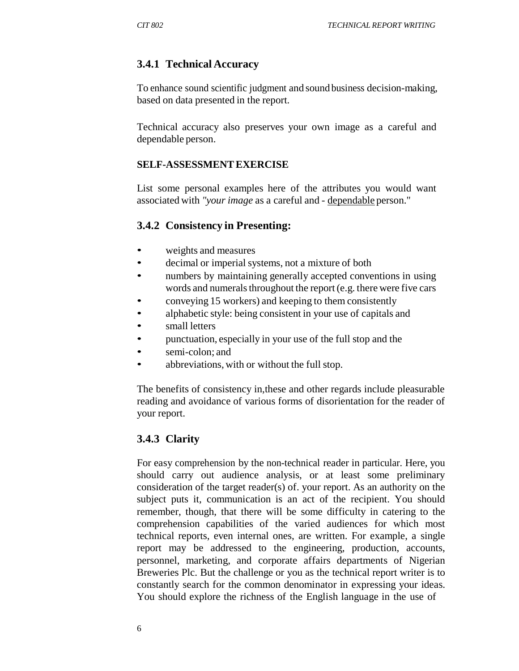## **3.4.1 Technical Accuracy**

To enhance sound scientific judgment and sound business decision-making, based on data presented in the report.

Technical accuracy also preserves your own image as a careful and dependable person.

#### **SELF-ASSESSMENT EXERCISE**

List some personal examples here of the attributes you would want associated with *"your image* as a careful and - dependable person."

#### **3.4.2 Consistency in Presenting:**

- weights and measures
- decimal or imperial systems, not a mixture of both
- numbers by maintaining generally accepted conventions in using words and numerals throughout the report (e.g. there were five cars
- conveying 15 workers) and keeping to them consistently
- alphabetic style: being consistent in your use of capitals and
- small letters
- punctuation, especially in your use of the full stop and the
- semi-colon; and
- abbreviations, with or without the full stop.

The benefits of consistency in,these and other regards include pleasurable reading and avoidance of various forms of disorientation for the reader of your report.

## **3.4.3 Clarity**

For easy comprehension by the non-technical reader in particular. Here, you should carry out audience analysis, or at least some preliminary consideration of the target reader(s) of. your report. As an authority on the subject puts it, communication is an act of the recipient. You should remember, though, that there will be some difficulty in catering to the comprehension capabilities of the varied audiences for which most technical reports, even internal ones, are written. For example, a single report may be addressed to the engineering, production, accounts, personnel, marketing, and corporate affairs departments of Nigerian Breweries Plc. But the challenge or you as the technical report writer is to constantly search for the common denominator in expressing your ideas. You should explore the richness of the English language in the use of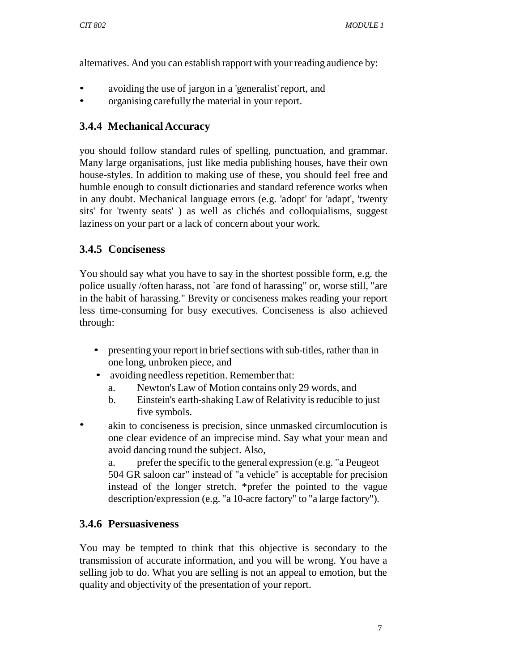alternatives. And you can establish rapport with your reading audience by:

- avoiding the use of jargon in a 'generalist' report, and
- organising carefully the material in your report.

# **3.4.4 Mechanical Accuracy**

you should follow standard rules of spelling, punctuation, and grammar. Many large organisations, just like media publishing houses, have their own house-styles. In addition to making use of these, you should feel free and humble enough to consult dictionaries and standard reference works when in any doubt. Mechanical language errors (e.g. 'adopt' for 'adapt', 'twenty sits' for 'twenty seats' ) as well as clichés and colloquialisms, suggest laziness on your part or a lack of concern about your work.

# **3.4.5 Conciseness**

You should say what you have to say in the shortest possible form, e.g. the police usually /often harass, not `are fond of harassing" or, worse still, "are in the habit of harassing." Brevity or conciseness makes reading your report less time-consuming for busy executives. Conciseness is also achieved through:

- presenting your report in brief sections with sub-titles, rather than in one long, unbroken piece, and
- avoiding needless repetition. Remember that:
	- a. Newton's Law of Motion contains only 29 words, and
	- b. Einstein's earth-shaking Law of Relativity is reducible to just five symbols.
- akin to conciseness is precision, since unmasked circumlocution is one clear evidence of an imprecise mind. Say what your mean and avoid dancing round the subject. Also,

a. prefer the specific to the general expression (e.g. "a Peugeot 504 GR saloon car" instead of "a vehicle" is acceptable for precision instead of the longer stretch. \*prefer the pointed to the vague description/expression (e.g. "a 10-acre factory" to "a large factory").

# **3.4.6 Persuasiveness**

You may be tempted to think that this objective is secondary to the transmission of accurate information, and you will be wrong. You have a selling job to do. What you are selling is not an appeal to emotion, but the quality and objectivity of the presentation of your report.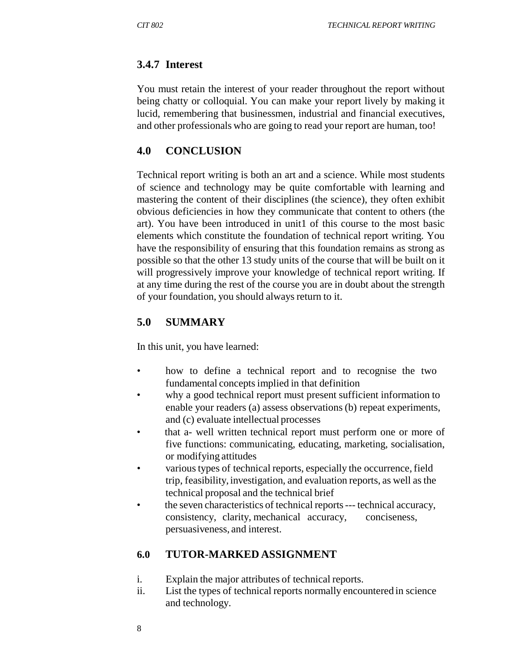## **3.4.7 Interest**

You must retain the interest of your reader throughout the report without being chatty or colloquial. You can make your report lively by making it lucid, remembering that businessmen, industrial and financial executives, and other professionals who are going to read your report are human, too!

## **4.0 CONCLUSION**

Technical report writing is both an art and a science. While most students of science and technology may be quite comfortable with learning and mastering the content of their disciplines (the science), they often exhibit obvious deficiencies in how they communicate that content to others (the art). You have been introduced in unit1 of this course to the most basic elements which constitute the foundation of technical report writing. You have the responsibility of ensuring that this foundation remains as strong as possible so that the other 13 study units of the course that will be built on it will progressively improve your knowledge of technical report writing. If at any time during the rest of the course you are in doubt about the strength of your foundation, you should always return to it.

## **5.0 SUMMARY**

In this unit, you have learned:

- how to define a technical report and to recognise the two fundamental concepts implied in that definition
- why a good technical report must present sufficient information to enable your readers (a) assess observations (b) repeat experiments, and (c) evaluate intellectual processes
- that a- well written technical report must perform one or more of five functions: communicating, educating, marketing, socialisation, or modifying attitudes
- various types of technical reports, especially the occurrence, field trip, feasibility, investigation, and evaluation reports, as well as the technical proposal and the technical brief
- the seven characteristics of technical reports --- technical accuracy, consistency, clarity, mechanical accuracy, conciseness, persuasiveness, and interest.

# **6.0 TUTOR-MARKED ASSIGNMENT**

- i. Explain the major attributes of technical reports.
- ii. List the types of technical reports normally encountered in science and technology.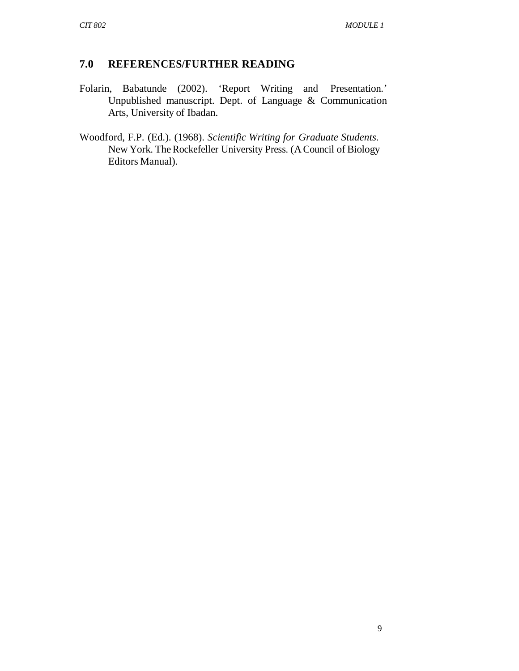## **7.0 REFERENCES/FURTHER READING**

- Folarin, Babatunde (2002). 'Report Writing and Presentation*.*' Unpublished manuscript. Dept. of Language & Communication Arts, University of Ibadan.
- Woodford, F.P. (Ed.). (1968). *Scientific Writing for Graduate Students.* New York. The Rockefeller University Press. (A Council of Biology Editors Manual).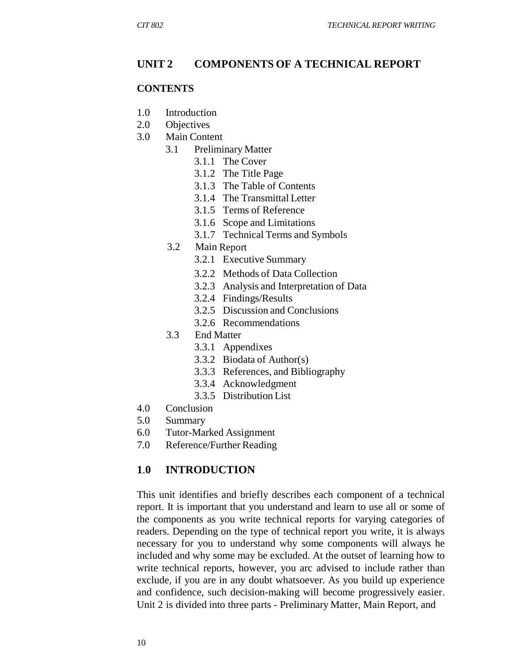#### **UNIT 2 COMPONENTS OF A TECHNICAL REPORT**

#### **CONTENTS**

- 1.0 Introduction
- 2.0 Objectives
- 3.0 Main Content
	- 3.1 Preliminary Matter
		- 3.1.1 The Cover
		- 3.1.2 The Title Page
		- 3.1.3 The Table of Contents
		- 3.1.4 The Transmittal Letter
		- 3.1.5 Terms of Reference
		- 3.1.6 Scope and Limitations
		- 3.1.7 Technical Terms and Symbols
	- 3.2 Main Report
		- 3.2.1 Executive Summary
		- 3.2.2 Methods of Data Collection
		- 3.2.3 Analysis and Interpretation of Data
		- 3.2.4 Findings/Results
		- 3.2.5 Discussion and Conclusions
		- 3.2.6 Recommendations
	- 3.3 End Matter
		- 3.3.1 Appendixes
		- 3.3.2 Biodata of Author(s)
		- 3.3.3 References, and Bibliography
		- 3.3.4 Acknowledgment
		- 3.3.5 Distribution List
- 4.0 Conclusion
- 5.0 Summary
- 6.0 Tutor-Marked Assignment
- 7.0 Reference/Further Reading

#### **1**.**0 INTRODUCTION**

This unit identifies and briefly describes each component of a technical report. It is important that you understand and learn to use all or some of the components as you write technical reports for varying categories of readers. Depending on the type of technical report you write, it is always necessary for you to understand why some components will always he included and why some may be excluded. At the outset of learning how to write technical reports, however, you arc advised to include rather than exclude, if you are in any doubt whatsoever. As you build up experience and confidence, such decision-making will become progressively easier. Unit 2 is divided into three parts - Preliminary Matter, Main Report, and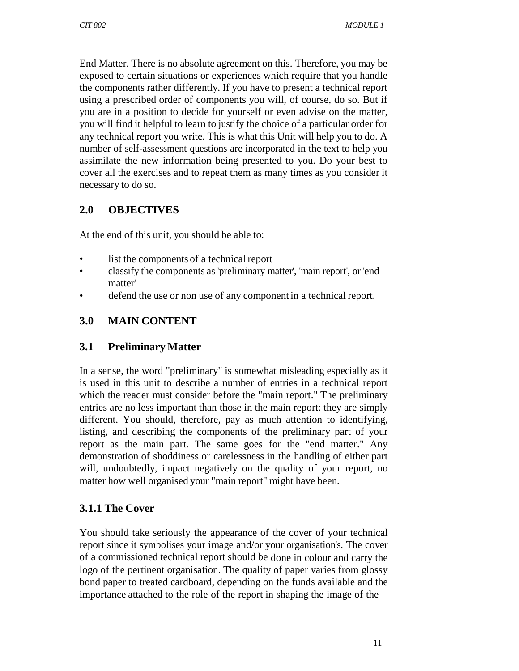End Matter. There is no absolute agreement on this. Therefore, you may be exposed to certain situations or experiences which require that you handle the components rather differently. If you have to present a technical report using a prescribed order of components you will, of course, do so. But if you are in a position to decide for yourself or even advise on the matter, you will find it helpful to learn to justify the choice of a particular order for any technical report you write. This is what this Unit will help you to do. A number of self-assessment questions are incorporated in the text to help you assimilate the new information being presented to you. Do your best to cover all the exercises and to repeat them as many times as you consider it necessary to do so.

## **2.0 OBJECTIVES**

At the end of this unit, you should be able to:

- list the components of a technical report
- classify the components as 'preliminary matter', 'main report', or 'end matter'
- defend the use or non use of any component in a technical report.

## **3.0 MAIN CONTENT**

## **3.1 Preliminary Matter**

In a sense, the word "preliminary" is somewhat misleading especially as it is used in this unit to describe a number of entries in a technical report which the reader must consider before the "main report." The preliminary entries are no less important than those in the main report: they are simply different. You should, therefore, pay as much attention to identifying, listing, and describing the components of the preliminary part of your report as the main part. The same goes for the "end matter." Any demonstration of shoddiness or carelessness in the handling of either part will, undoubtedly, impact negatively on the quality of your report, no matter how well organised your "main report" might have been.

## **3.1.1 The Cover**

You should take seriously the appearance of the cover of your technical report since it symbolises your image and/or your organisation's. The cover of a commissioned technical report should be done in colour and carry the logo of the pertinent organisation. The quality of paper varies from glossy bond paper to treated cardboard, depending on the funds available and the importance attached to the role of the report in shaping the image of the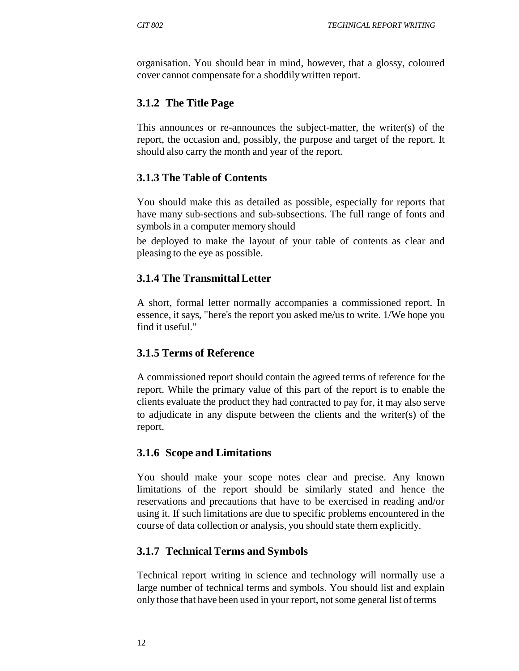organisation. You should bear in mind, however, that a glossy, coloured cover cannot compensate for a shoddily written report.

## **3.1.2 The Title Page**

This announces or re-announces the subject-matter, the writer(s) of the report, the occasion and, possibly, the purpose and target of the report. It should also carry the month and year of the report.

## **3.1.3 The Table of Contents**

You should make this as detailed as possible, especially for reports that have many sub-sections and sub-subsections. The full range of fonts and symbols in a computer memory should

be deployed to make the layout of your table of contents as clear and pleasing to the eye as possible.

## **3.1.4 The Transmittal Letter**

A short, formal letter normally accompanies a commissioned report. In essence, it says, "here's the report you asked me/us to write. 1/We hope you find it useful."

## **3.1.5 Terms of Reference**

A commissioned report should contain the agreed terms of reference for the report. While the primary value of this part of the report is to enable the clients evaluate the product they had contracted to pay for, it may also serve to adjudicate in any dispute between the clients and the writer(s) of the report.

## **3.1.6 Scope and Limitations**

You should make your scope notes clear and precise. Any known limitations of the report should be similarly stated and hence the reservations and precautions that have to be exercised in reading and/or using it. If such limitations are due to specific problems encountered in the course of data collection or analysis, you should state them explicitly.

## **3.1.7 Technical Terms and Symbols**

Technical report writing in science and technology will normally use a large number of technical terms and symbols. You should list and explain only those that have been used in your report, not some general list of terms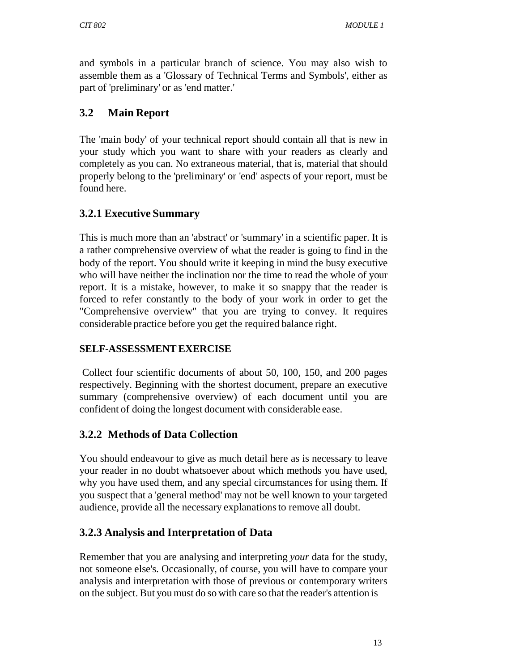and symbols in a particular branch of science. You may also wish to assemble them as a 'Glossary of Technical Terms and Symbols', either as part of 'preliminary' or as 'end matter.'

# **3.2 Main Report**

The 'main body' of your technical report should contain all that is new in your study which you want to share with your readers as clearly and completely as you can. No extraneous material, that is, material that should properly belong to the 'preliminary' or 'end' aspects of your report, must be found here.

## **3.2.1 Executive Summary**

This is much more than an 'abstract' or 'summary' in a scientific paper. It is a rather comprehensive overview of what the reader is going to find in the body of the report. You should write it keeping in mind the busy executive who will have neither the inclination nor the time to read the whole of your report. It is a mistake, however, to make it so snappy that the reader is forced to refer constantly to the body of your work in order to get the "Comprehensive overview" that you are trying to convey. It requires considerable practice before you get the required balance right.

## **SELF-ASSESSMENT EXERCISE**

Collect four scientific documents of about 50, 100, 150, and 200 pages respectively. Beginning with the shortest document, prepare an executive summary (comprehensive overview) of each document until you are confident of doing the longest document with considerable ease.

# **3.2.2 Methods of Data Collection**

You should endeavour to give as much detail here as is necessary to leave your reader in no doubt whatsoever about which methods you have used, why you have used them, and any special circumstances for using them. If you suspect that a 'general method' may not be well known to your targeted audience, provide all the necessary explanations to remove all doubt.

## **3.2.3 Analysis and Interpretation of Data**

Remember that you are analysing and interpreting *your* data for the study, not someone else's. Occasionally, of course, you will have to compare your analysis and interpretation with those of previous or contemporary writers on the subject. But you must do so with care so that the reader's attention is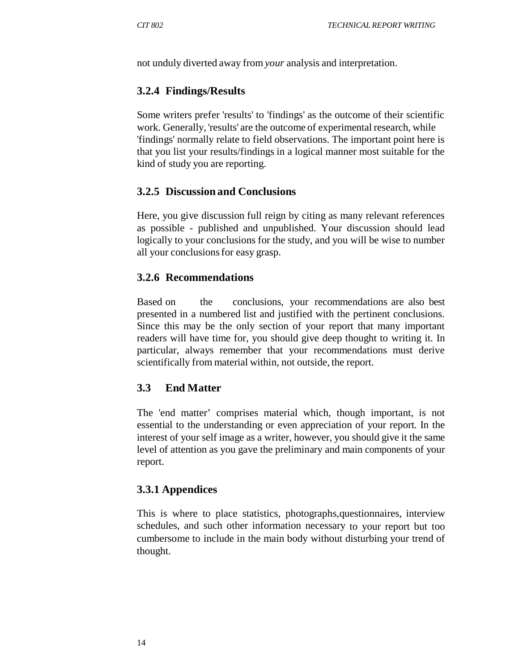not unduly diverted away from *your* analysis and interpretation.

#### **3.2.4 Findings/Results**

Some writers prefer 'results' to 'findings' as the outcome of their scientific work. Generally, 'results' are the outcome of experimental research, while 'findings' normally relate to field observations. The important point here is that you list your results/findings in a logical manner most suitable for the kind of study you are reporting.

#### **3.2.5 Discussion and Conclusions**

Here, you give discussion full reign by citing as many relevant references as possible - published and unpublished. Your discussion should lead logically to your conclusions for the study, and you will be wise to number all your conclusions for easy grasp.

#### **3.2.6 Recommendations**

Based on the conclusions, your recommendations are also best presented in a numbered list and justified with the pertinent conclusions. Since this may be the only section of your report that many important readers will have time for, you should give deep thought to writing it. In particular, always remember that your recommendations must derive scientifically from material within, not outside, the report.

## **3.3 End Matter**

The 'end matter' comprises material which, though important, is not essential to the understanding or even appreciation of your report. In the interest of your self image as a writer, however, you should give it the same level of attention as you gave the preliminary and main components of your report.

#### **3.3.1 Appendices**

This is where to place statistics, photographs,questionnaires, interview schedules, and such other information necessary to your report but too cumbersome to include in the main body without disturbing your trend of thought.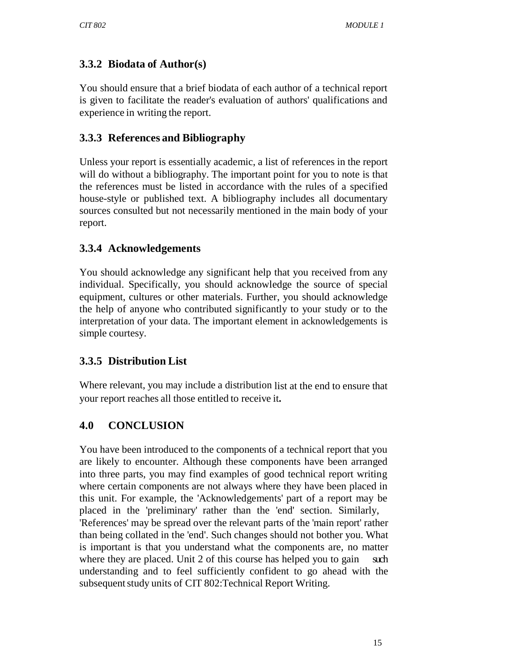# **3.3.2 Biodata of Author(s)**

You should ensure that a brief biodata of each author of a technical report is given to facilitate the reader's evaluation of authors' qualifications and experience in writing the report.

## **3.3.3 References and Bibliography**

Unless your report is essentially academic, a list of references in the report will do without a bibliography. The important point for you to note is that the references must be listed in accordance with the rules of a specified house-style or published text. A bibliography includes all documentary sources consulted but not necessarily mentioned in the main body of your report.

## **3.3.4 Acknowledgements**

You should acknowledge any significant help that you received from any individual. Specifically, you should acknowledge the source of special equipment, cultures or other materials. Further, you should acknowledge the help of anyone who contributed significantly to your study or to the interpretation of your data. The important element in acknowledgements is simple courtesy.

# **3.3.5 Distribution List**

Where relevant, you may include a distribution list at the end to ensure that your report reaches all those entitled to receive it**.**

# **4.0 CONCLUSION**

You have been introduced to the components of a technical report that you are likely to encounter. Although these components have been arranged into three parts, you may find examples of good technical report writing where certain components are not always where they have been placed in this unit. For example, the 'Acknowledgements' part of a report may be placed in the 'preliminary' rather than the 'end' section. Similarly, 'References' may be spread over the relevant parts of the 'main report' rather than being collated in the 'end'. Such changes should not bother you. What is important is that you understand what the components are, no matter where they are placed. Unit 2 of this course has helped you to gain such understanding and to feel sufficiently confident to go ahead with the subsequent study units of CIT 802:Technical Report Writing.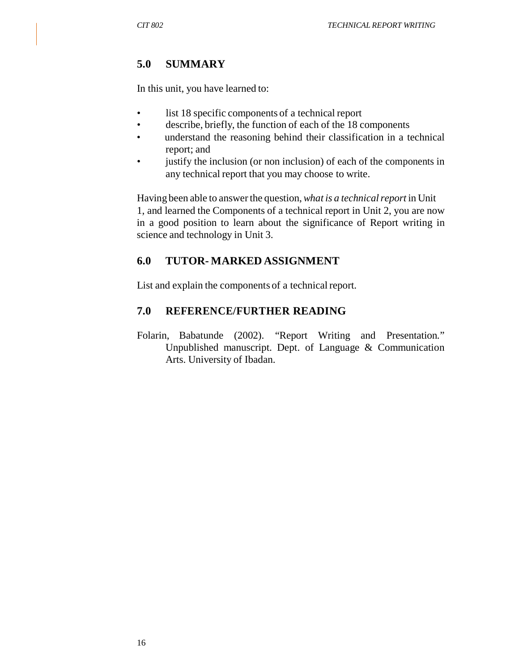## **5.0 SUMMARY**

In this unit, you have learned to:

- list 18 specific components of a technical report
- describe, briefly, the function of each of the 18 components
- understand the reasoning behind their classification in a technical report; and
- justify the inclusion (or non inclusion) of each of the components in any technical report that you may choose to write.

Having been able to answer the question, *what is a technical report* in Unit 1, and learned the Components of a technical report in Unit 2, you are now in a good position to learn about the significance of Report writing in science and technology in Unit 3.

## **6.0 TUTOR- MARKED ASSIGNMENT**

List and explain the components of a technical report.

#### **7.0 REFERENCE/FURTHER READING**

Folarin, Babatunde (2002). "Report Writing and Presentation*.*" Unpublished manuscript. Dept. of Language & Communication Arts. University of Ibadan.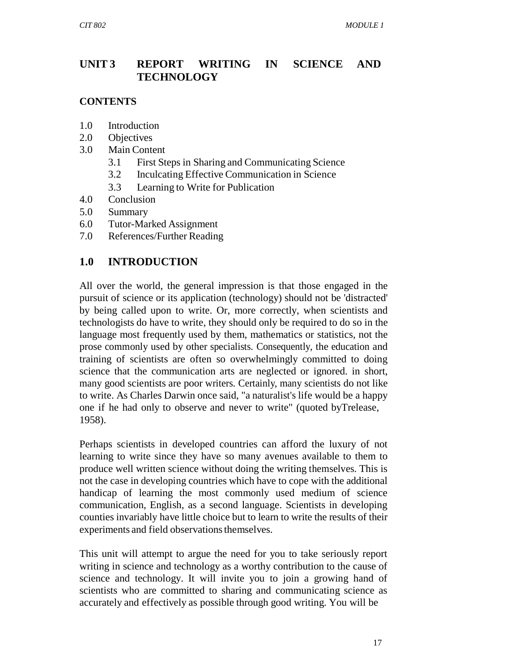## **UNIT 3 REPORT WRITING IN SCIENCE AND TECHNOLOGY**

#### **CONTENTS**

- 1.0 Introduction
- 2.0 Objectives
- 3.0 Main Content
	- 3.1 First Steps in Sharing and Communicating Science
	- 3.2 Inculcating Effective Communication in Science
	- 3.3 Learning to Write for Publication
- 4.0 Conclusion
- 5.0 Summary
- 6.0 Tutor-Marked Assignment
- 7.0 References/Further Reading

## **1.0 INTRODUCTION**

All over the world, the general impression is that those engaged in the pursuit of science or its application (technology) should not be 'distracted' by being called upon to write. Or, more correctly, when scientists and technologists do have to write, they should only be required to do so in the language most frequently used by them, mathematics or statistics, not the prose commonly used by other specialists. Consequently, the education and training of scientists are often so overwhelmingly committed to doing science that the communication arts are neglected or ignored. in short, many good scientists are poor writers. Certainly, many scientists do not like to write. As Charles Darwin once said, "a naturalist's life would be a happy one if he had only to observe and never to write" (quoted byTrelease, 1958).

Perhaps scientists in developed countries can afford the luxury of not learning to write since they have so many avenues available to them to produce well written science without doing the writing themselves. This is not the case in developing countries which have to cope with the additional handicap of learning the most commonly used medium of science communication, English, as a second language. Scientists in developing counties invariably have little choice but to learn to write the results of their experiments and field observations themselves.

This unit will attempt to argue the need for you to take seriously report writing in science and technology as a worthy contribution to the cause of science and technology. It will invite you to join a growing hand of scientists who are committed to sharing and communicating science as accurately and effectively as possible through good writing. You will be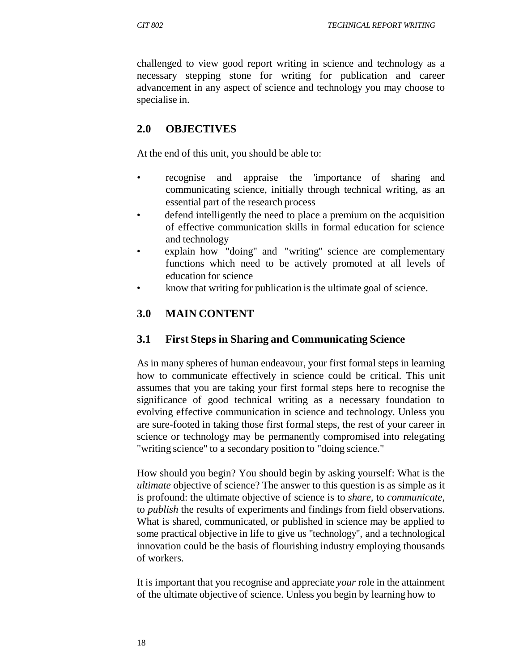challenged to view good report writing in science and technology as a necessary stepping stone for writing for publication and career advancement in any aspect of science and technology you may choose to specialise in.

## **2.0 OBJECTIVES**

At the end of this unit, you should be able to:

- recognise and appraise the 'importance of sharing and communicating science, initially through technical writing, as an essential part of the research process
- defend intelligently the need to place a premium on the acquisition of effective communication skills in formal education for science and technology
- explain how "doing" and "writing" science are complementary functions which need to be actively promoted at all levels of education for science
- know that writing for publication is the ultimate goal of science.

## **3.0 MAIN CONTENT**

#### **3.1 First Steps in Sharing and Communicating Science**

As in many spheres of human endeavour, your first formal steps in learning how to communicate effectively in science could be critical. This unit assumes that you are taking your first formal steps here to recognise the significance of good technical writing as a necessary foundation to evolving effective communication in science and technology. Unless you are sure-footed in taking those first formal steps, the rest of your career in science or technology may be permanently compromised into relegating "writing science" to a secondary position to "doing science."

How should you begin? You should begin by asking yourself: What is the *ultimate* objective of science? The answer to this question is as simple as it is profound: the ultimate objective of science is to *share,* to *communicate,*  to *publish* the results of experiments and findings from field observations. What is shared, communicated, or published in science may be applied to some practical objective in life to give us "technology", and a technological innovation could be the basis of flourishing industry employing thousands of workers.

It is important that you recognise and appreciate *your* role in the attainment of the ultimate objective of science. Unless you begin by learning how to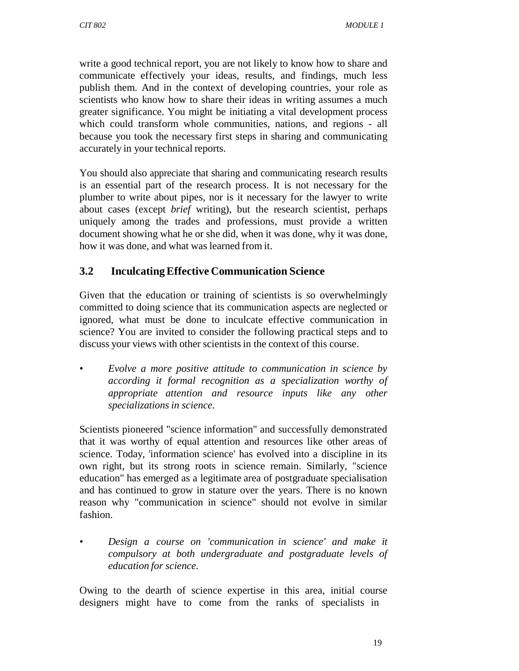write a good technical report, you are not likely to know how to share and communicate effectively your ideas, results, and findings, much less publish them. And in the context of developing countries, your role as scientists who know how to share their ideas in writing assumes a much greater significance. You might be initiating a vital development process which could transform whole communities, nations, and regions - all because you took the necessary first steps in sharing and communicating accurately in your technical reports.

You should also appreciate that sharing and communicating research results is an essential part of the research process. It is not necessary for the plumber to write about pipes, nor is it necessary for the lawyer to write about cases (except *brief* writing), but the research scientist, perhaps uniquely among the trades and professions, must provide a written document showing what he or she did, when it was done, why it was done, how it was done, and what was learned from it.

## **3.2 Inculcating Effective Communication Science**

Given that the education or training of scientists is so overwhelmingly committed to doing science that its communication aspects are neglected or ignored, what must be done to inculcate effective communication in science? You are invited to consider the following practical steps and to discuss your views with other scientists in the context of this course.

*• Evolve a more positive attitude to communication in science by according it formal recognition as a specialization worthy of appropriate attention and resource inputs like any other specializations in science.*

Scientists pioneered "science information" and successfully demonstrated that it was worthy of equal attention and resources like other areas of science. Today, 'information science' has evolved into a discipline in its own right, but its strong roots in science remain. Similarly, "science education" has emerged as a legitimate area of postgraduate specialisation and has continued to grow in stature over the years. There is no known reason why "communication in science" should not evolve in similar fashion.

*• Design a course on 'communication in science' and make it compulsory at both undergraduate and postgraduate levels of education for science.*

Owing to the dearth of science expertise in this area, initial course designers might have to come from the ranks of specialists in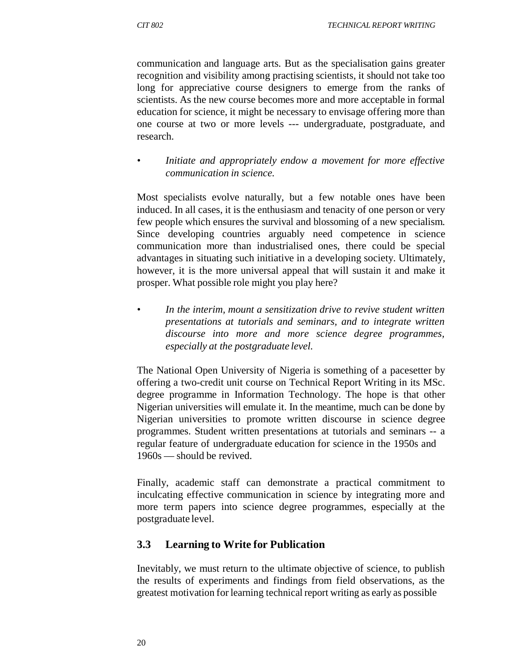communication and language arts. But as the specialisation gains greater recognition and visibility among practising scientists, it should not take too long for appreciative course designers to emerge from the ranks of scientists. As the new course becomes more and more acceptable in formal education for science, it might be necessary to envisage offering more than one course at two or more levels --- undergraduate, postgraduate, and research.

*• Initiate and appropriately endow a movement for more effective communication in science.*

Most specialists evolve naturally, but a few notable ones have been induced. In all cases, it is the enthusiasm and tenacity of one person or very few people which ensures the survival and blossoming of a new specialism. Since developing countries arguably need competence in science communication more than industrialised ones, there could be special advantages in situating such initiative in a developing society. Ultimately, however, it is the more universal appeal that will sustain it and make it prosper. What possible role might you play here?

*• In the interim, mount a sensitization drive to revive student written presentations at tutorials and seminars, and to integrate written discourse into more and more science degree programmes, especially at the postgraduate level.*

The National Open University of Nigeria is something of a pacesetter by offering a two-credit unit course on Technical Report Writing in its MSc. degree programme in Information Technology. The hope is that other Nigerian universities will emulate it. In the meantime, much can be done by Nigerian universities to promote written discourse in science degree programmes. Student written presentations at tutorials and seminars -- a regular feature of undergraduate education for science in the 1950s and 1960s — should be revived.

Finally, academic staff can demonstrate a practical commitment to inculcating effective communication in science by integrating more and more term papers into science degree programmes, especially at the postgraduate level.

## **3.3 Learning to Write for Publication**

Inevitably, we must return to the ultimate objective of science, to publish the results of experiments and findings from field observations, as the greatest motivation for learning technical report writing as early as possible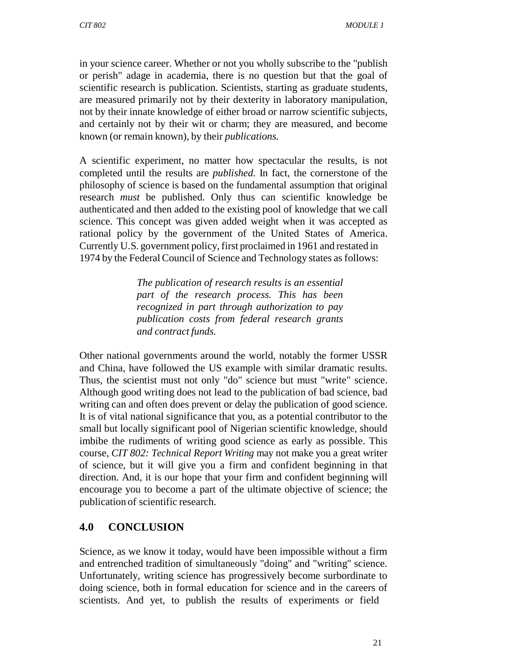in your science career. Whether or not you wholly subscribe to the "publish or perish" adage in academia, there is no question but that the goal of scientific research is publication. Scientists, starting as graduate students, are measured primarily not by their dexterity in laboratory manipulation, not by their innate knowledge of either broad or narrow scientific subjects, and certainly not by their wit or charm; they are measured, and become known (or remain known), by their *publications.*

A scientific experiment, no matter how spectacular the results, is not completed until the results are *published.* In fact, the cornerstone of the philosophy of science is based on the fundamental assumption that original research *must* be published. Only thus can scientific knowledge be authenticated and then added to the existing pool of knowledge that we call science. This concept was given added weight when it was accepted as rational policy by the government of the United States of America. Currently U.S. government policy, first proclaimed in 1961 and restated in 1974 by the Federal Council of Science and Technology states as follows:

> *The publication of research results is an essential part of the research process. This has been recognized in part through authorization to pay publication costs from federal research grants and contract funds.*

Other national governments around the world, notably the former USSR and China, have followed the US example with similar dramatic results. Thus, the scientist must not only "do" science but must "write" science. Although good writing does not lead to the publication of bad science, bad writing can and often does prevent or delay the publication of good science. It is of vital national significance that you, as a potential contributor to the small but locally significant pool of Nigerian scientific knowledge, should imbibe the rudiments of writing good science as early as possible. This course, *CIT 802: Technical Report Writing* may not make you a great writer of science, but it will give you a firm and confident beginning in that direction. And, it is our hope that your firm and confident beginning will encourage you to become a part of the ultimate objective of science; the publication of scientific research.

## **4.0 CONCLUSION**

Science, as we know it today, would have been impossible without a firm and entrenched tradition of simultaneously "doing" and "writing" science. Unfortunately, writing science has progressively become surbordinate to doing science, both in formal education for science and in the careers of scientists. And yet, to publish the results of experiments or field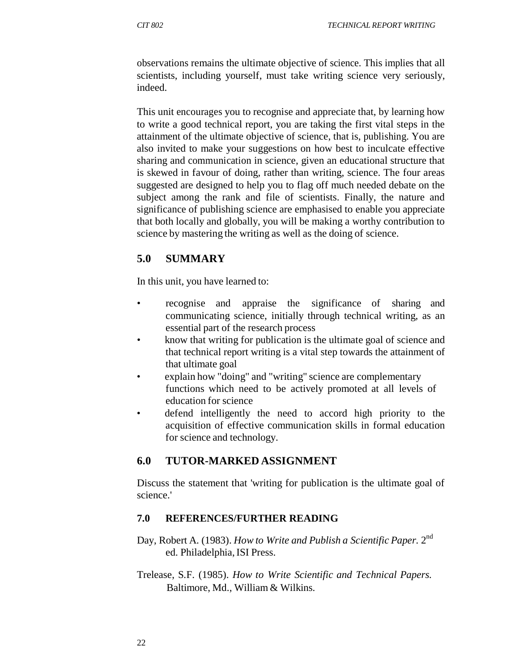observations remains the ultimate objective of science. This implies that all scientists, including yourself, must take writing science very seriously, indeed.

This unit encourages you to recognise and appreciate that, by learning how to write a good technical report, you are taking the first vital steps in the attainment of the ultimate objective of science, that is, publishing. You are also invited to make your suggestions on how best to inculcate effective sharing and communication in science, given an educational structure that is skewed in favour of doing, rather than writing, science. The four areas suggested are designed to help you to flag off much needed debate on the subject among the rank and file of scientists. Finally, the nature and significance of publishing science are emphasised to enable you appreciate that both locally and globally, you will be making a worthy contribution to science by mastering the writing as well as the doing of science.

## **5.0 SUMMARY**

In this unit, you have learned to:

- recognise and appraise the significance of sharing and communicating science, initially through technical writing, as an essential part of the research process
- know that writing for publication is the ultimate goal of science and that technical report writing is a vital step towards the attainment of that ultimate goal
- explain how "doing" and "writing" science are complementary functions which need to be actively promoted at all levels of education for science
- defend intelligently the need to accord high priority to the acquisition of effective communication skills in formal education for science and technology.

## **6.0 TUTOR-MARKED ASSIGNMENT**

Discuss the statement that 'writing for publication is the ultimate goal of science.'

#### **7.0 REFERENCES/FURTHER READING**

- Day, Robert A. (1983). *How to Write and Publish a Scientific Paper.* 2nd ed. Philadelphia, ISI Press.
- Trelease, S.F. (1985). *How to Write Scientific and Technical Papers.* Baltimore, Md., William & Wilkins.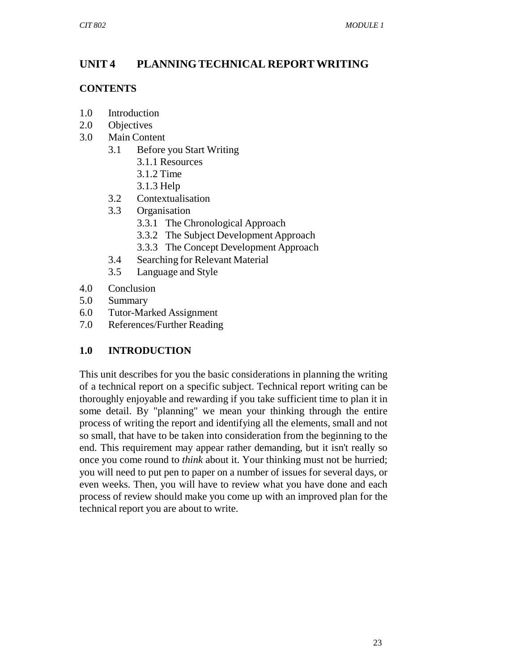# **UNIT 4 PLANNING TECHNICAL REPORT WRITING**

## **CONTENTS**

- 1.0 Introduction
- 2.0 Objectives
- 3.0 Main Content
	- 3.1 Before you Start Writing
		- 3.1.1 Resources
		- 3.1.2 Time
		- 3.1.3 Help
	- 3.2 Contextualisation
	- 3.3 Organisation
		- 3.3.1 The Chronological Approach
		- 3.3.2 The Subject Development Approach
		- 3.3.3 The Concept Development Approach
	- 3.4 Searching for Relevant Material
	- 3.5 Language and Style
- 4.0 Conclusion
- 5.0 Summary
- 6.0 Tutor-Marked Assignment
- 7.0 References/Further Reading

## **1.0 INTRODUCTION**

This unit describes for you the basic considerations in planning the writing of a technical report on a specific subject. Technical report writing can be thoroughly enjoyable and rewarding if you take sufficient time to plan it in some detail. By "planning" we mean your thinking through the entire process of writing the report and identifying all the elements, small and not so small, that have to be taken into consideration from the beginning to the end. This requirement may appear rather demanding, but it isn't really so once you come round to *think* about it. Your thinking must not be hurried; you will need to put pen to paper on a number of issues for several days, or even weeks. Then, you will have to review what you have done and each process of review should make you come up with an improved plan for the technical report you are about to write.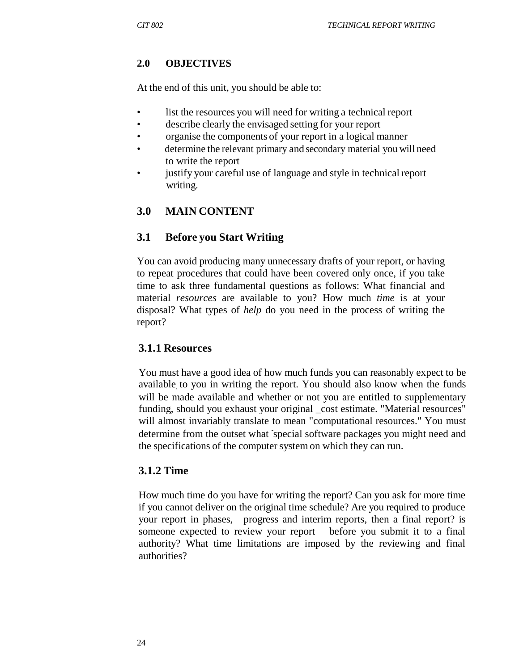#### **2.0 OBJECTIVES**

At the end of this unit, you should be able to:

- list the resources you will need for writing a technical report
- describe clearly the envisaged setting for your report
- organise the components of your report in a logical manner
- determine the relevant primary and secondary material you will need to write the report
- justify your careful use of language and style in technical report writing.

## **3.0 MAIN CONTENT**

#### **3.1 Before you Start Writing**

You can avoid producing many unnecessary drafts of your report, or having to repeat procedures that could have been covered only once, if you take time to ask three fundamental questions as follows: What financial and material *resources* are available to you? How much *time* is at your disposal? What types of *help* do you need in the process of writing the report?

#### **3.1.1 Resources**

You must have a good idea of how much funds you can reasonably expect to be available. to you in writing the report. You should also know when the funds will be made available and whether or not you are entitled to supplementary funding, should you exhaust your original \_cost estimate. "Material resources" will almost invariably translate to mean "computational resources." You must determine from the outset what special software packages you might need and the specifications of the computer system on which they can run.

#### **3.1.2 Time**

How much time do you have for writing the report? Can you ask for more time if you cannot deliver on the original time schedule? Are you required to produce your report in phases, progress and interim reports, then a final report? is someone expected to review your report before you submit it to a final authority? What time limitations are imposed by the reviewing and final authorities?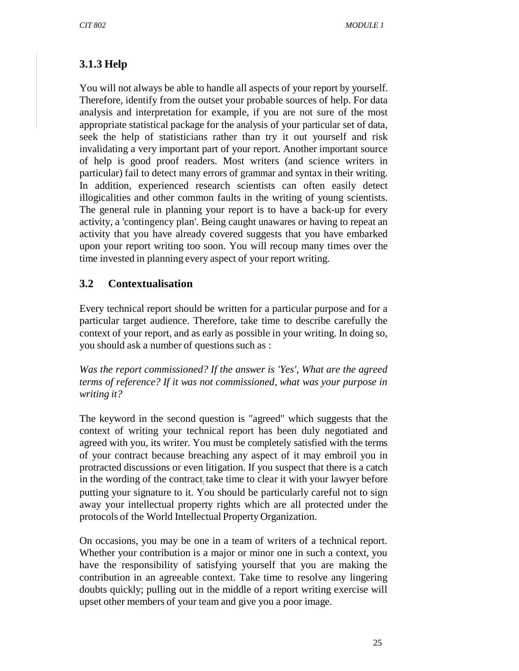# **3.1.3 Help**

You will not always be able to handle all aspects of your report by yourself. Therefore, identify from the outset your probable sources of help. For data analysis and interpretation for example, if you are not sure of the most appropriate statistical package for the analysis of your particular set of data, seek the help of statisticians rather than try it out yourself and risk invalidating a very important part of your report. Another important source of help is good proof readers. Most writers (and science writers in particular) fail to detect many errors of grammar and syntax in their writing. In addition, experienced research scientists can often easily detect illogicalities and other common faults in the writing of young scientists. The general rule in planning your report is to have a back-up for every activity, a 'contingency plan'. Being caught unawares or having to repeat an activity that you have already covered suggests that you have embarked upon your report writing too soon. You will recoup many times over the time invested in planning every aspect of your report writing.

## **3.2 Contextualisation**

Every technical report should be written for a particular purpose and for a particular target audience. Therefore, take time to describe carefully the context of your report, and as early as possible in your writing. In doing so, you should ask a number of questions such as :

*Was the report commissioned? If the answer is 'Yes', What are the agreed terms of reference? If it was not commissioned, what was your purpose in writing it?*

The keyword in the second question is "agreed" which suggests that the context of writing your technical report has been duly negotiated and agreed with you, its writer. You must be completely satisfied with the terms of your contract because breaching any aspect of it may embroil you in protracted discussions or even litigation. If you suspect that there is a catch in the wording of the contract; take time to clear it with your lawyer before putting your signature to it. You should be particularly careful not to sign away your intellectual property rights which are all protected under the protocols of the World Intellectual Property Organization.

On occasions, you may be one in a team of writers of a technical report. Whether your contribution is a major or minor one in such a context, you have the responsibility of satisfying yourself that you are making the contribution in an agreeable context. Take time to resolve any lingering doubts quickly; pulling out in the middle of a report writing exercise will upset other members of your team and give you a poor image.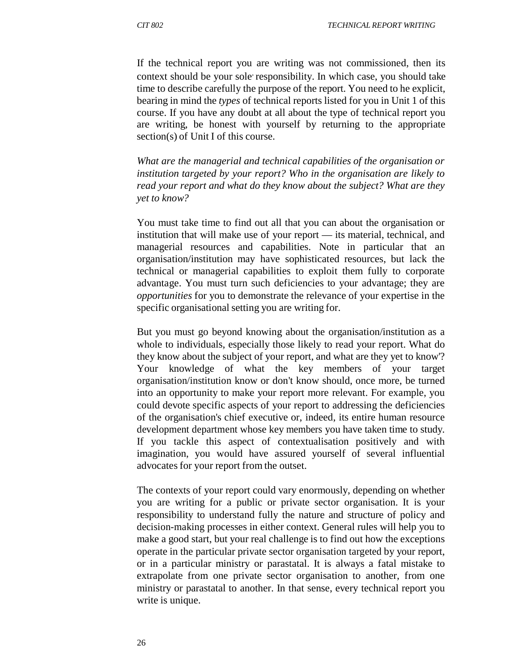If the technical report you are writing was not commissioned, then its context should be your sole responsibility. In which case, you should take time to describe carefully the purpose of the report. You need to he explicit, bearing in mind the *types* of technical reports listed for you in Unit 1 of this course. If you have any doubt at all about the type of technical report you are writing, be honest with yourself by returning to the appropriate section(s) of Unit I of this course.

*What are the managerial and technical capabilities of the organisation or institution targeted by your report? Who in the organisation are likely to read your report and what do they know about the subject? What are they yet to know?*

You must take time to find out all that you can about the organisation or institution that will make use of your report — its material, technical, and managerial resources and capabilities. Note in particular that an organisation/institution may have sophisticated resources, but lack the technical or managerial capabilities to exploit them fully to corporate advantage. You must turn such deficiencies to your advantage; they are *opportunities* for you to demonstrate the relevance of your expertise in the specific organisational setting you are writing for.

But you must go beyond knowing about the organisation/institution as a whole to individuals, especially those likely to read your report. What do they know about the subject of your report, and what are they yet to know'? Your knowledge of what the key members of your target organisation/institution know or don't know should, once more, be turned into an opportunity to make your report more relevant. For example, you could devote specific aspects of your report to addressing the deficiencies of the organisation's chief executive or, indeed, its entire human resource development department whose key members you have taken time to study. If you tackle this aspect of contextualisation positively and with imagination, you would have assured yourself of several influential advocates for your report from the outset.

The contexts of your report could vary enormously, depending on whether you are writing for a public or private sector organisation. It is your responsibility to understand fully the nature and structure of policy and decision-making processes in either context. General rules will help you to make a good start, but your real challenge is to find out how the exceptions operate in the particular private sector organisation targeted by your report, or in a particular ministry or parastatal. It is always a fatal mistake to extrapolate from one private sector organisation to another, from one ministry or parastatal to another. In that sense, every technical report you write is unique.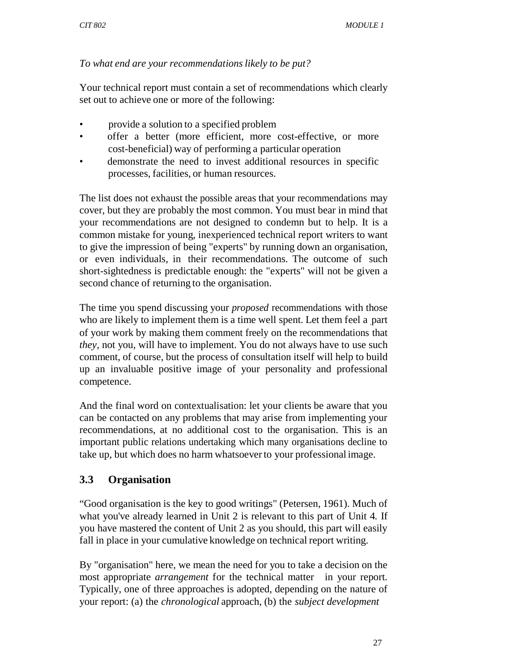### *To what end are your recommendations likely to be put?*

Your technical report must contain a set of recommendations which clearly set out to achieve one or more of the following:

- provide a solution to a specified problem
- offer a better (more efficient, more cost-effective, or more cost-beneficial) way of performing a particular operation
- demonstrate the need to invest additional resources in specific processes, facilities, or human resources.

The list does not exhaust the possible areas that your recommendations may cover, but they are probably the most common. You must bear in mind that your recommendations are not designed to condemn but to help. It is a common mistake for young, inexperienced technical report writers to want to give the impression of being "experts" by running down an organisation, or even individuals, in their recommendations. The outcome of such short-sightedness is predictable enough: the "experts" will not be given a second chance of returning to the organisation.

The time you spend discussing your *proposed* recommendations with those who are likely to implement them is a time well spent. Let them feel a part of your work by making them comment freely on the recommendations that *they,* not you, will have to implement. You do not always have to use such comment, of course, but the process of consultation itself will help to build up an invaluable positive image of your personality and professional competence.

And the final word on contextualisation: let your clients be aware that you can be contacted on any problems that may arise from implementing your recommendations, at no additional cost to the organisation. This is an important public relations undertaking which many organisations decline to take up, but which does no harm whatsoever to your professional image.

# **3.3 Organisation**

"Good organisation is the key to good writings" (Petersen, 1961). Much of what you've already learned in Unit 2 is relevant to this part of Unit 4*.* If you have mastered the content of Unit 2 as you should, this part will easily fall in place in your cumulative knowledge on technical report writing.

By "organisation" here, we mean the need for you to take a decision on the most appropriate *arrangement* for the technical matter in your report. Typically, one of three approaches is adopted, depending on the nature of your report: (a) the *chronological* approach, (b) the *subject development*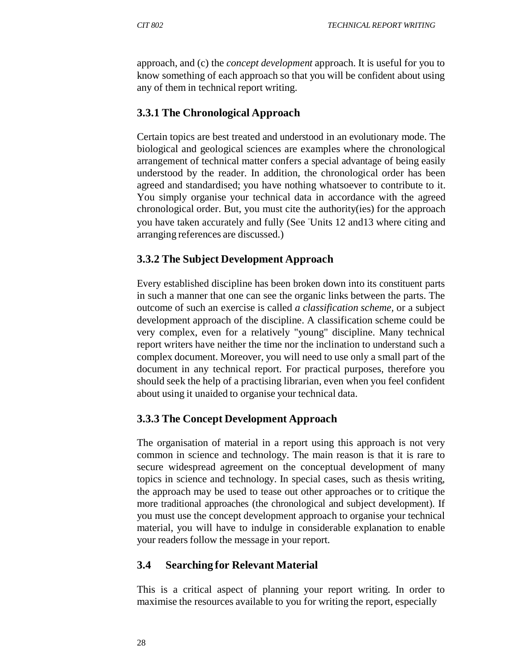approach, and (c) the *concept development* approach. It is useful for you to know something of each approach so that you will be confident about using any of them in technical report writing.

#### **3.3.1 The Chronological Approach**

Certain topics are best treated and understood in an evolutionary mode. The biological and geological sciences are examples where the chronological arrangement of technical matter confers a special advantage of being easily understood by the reader. In addition, the chronological order has been agreed and standardised; you have nothing whatsoever to contribute to it. You simply organise your technical data in accordance with the agreed chronological order. But, you must cite the authority(ies) for the approach you have taken accurately and fully (See *Units 12 and 13* where citing and arranging references are discussed.)

#### **3.3.2 The Subject Development Approach**

Every established discipline has been broken down into its constituent parts in such a manner that one can see the organic links between the parts. The outcome of such an exercise is called *a classification scheme,* or a subject development approach of the discipline. A classification scheme could be very complex, even for a relatively "young" discipline. Many technical report writers have neither the time nor the inclination to understand such a complex document. Moreover, you will need to use only a small part of the document in any technical report. For practical purposes, therefore you should seek the help of a practising librarian, even when you feel confident about using it unaided to organise your technical data.

#### **3.3.3 The Concept Development Approach**

The organisation of material in a report using this approach is not very common in science and technology. The main reason is that it is rare to secure widespread agreement on the conceptual development of many topics in science and technology. In special cases, such as thesis writing, the approach may be used to tease out other approaches or to critique the more traditional approaches (the chronological and subject development). If you must use the concept development approach to organise your technical material, you will have to indulge in considerable explanation to enable your readers follow the message in your report.

#### **3.4 Searching for Relevant Material**

This is a critical aspect of planning your report writing. In order to maximise the resources available to you for writing the report, especially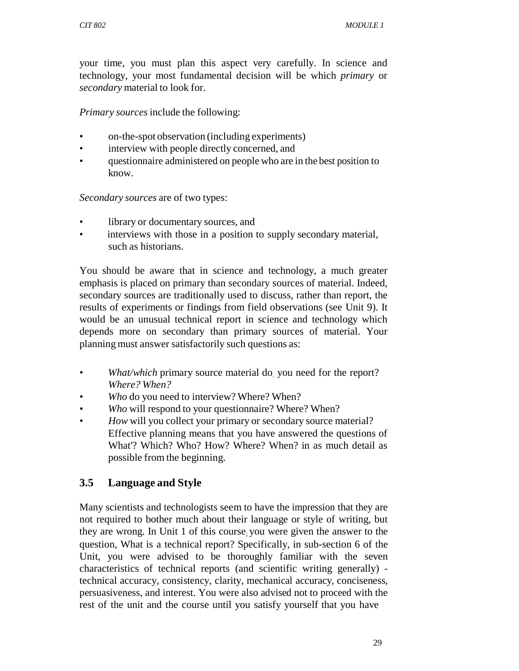your time, you must plan this aspect very carefully. In science and technology, your most fundamental decision will be which *primary* or *secondary* material to look for.

*Primary sources* include the following:

- on-the-spot observation (including experiments)
- interview with people directly concerned, and
- questionnaire administered on people who are in the best position to know.

*Secondary sources* are of two types:

- library or documentary sources, and
- interviews with those in a position to supply secondary material, such as historians.

You should be aware that in science and technology, a much greater emphasis is placed on primary than secondary sources of material. Indeed, secondary sources are traditionally used to discuss, rather than report, the results of experiments or findings from field observations (see Unit 9). It would be an unusual technical report in science and technology which depends more on secondary than primary sources of material. Your planning must answer satisfactorily such questions as:

- *What/which primary source material do you need for the report? Where? When?*
- *Who* do you need to interview? Where? When?
- *Who* will respond to your questionnaire? Where? When?
- *How will you collect your primary or secondary source material?* Effective planning means that you have answered the questions of What'? Which? Who? How? Where? When? in as much detail as possible from the beginning.

### **3.5 Language and Style**

Many scientists and technologists seem to have the impression that they are not required to bother much about their language or style of writing, but they are wrong. In Unit 1 of this course; you were given the answer to the question, What is a technical report? Specifically, in sub-section 6 of the Unit, you were advised to be thoroughly familiar with the seven characteristics of technical reports (and scientific writing generally) technical accuracy, consistency, clarity, mechanical accuracy, conciseness, persuasiveness, and interest. You were also advised not to proceed with the rest of the unit and the course until you satisfy yourself that you have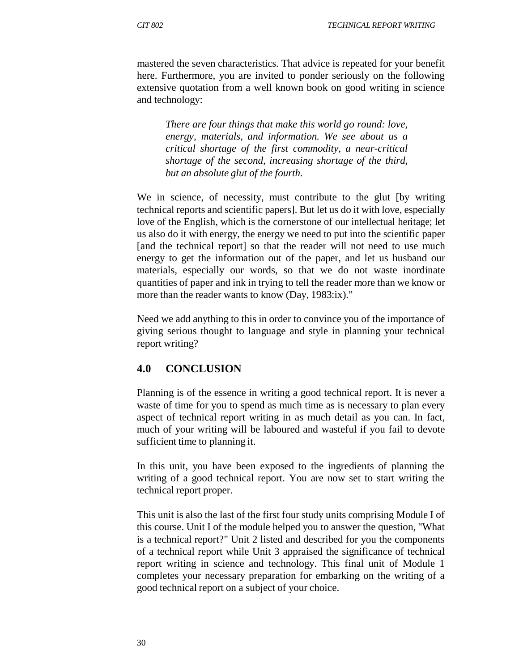mastered the seven characteristics. That advice is repeated for your benefit here. Furthermore, you are invited to ponder seriously on the following extensive quotation from a well known book on good writing in science and technology:

*There are four things that make this world go round: love, energy, materials, and information. We see about us a critical shortage of the first commodity, a near-critical shortage of the second, increasing shortage of the third, but an absolute glut of the fourth.*

We in science, of necessity, must contribute to the glut [by writing technical reports and scientific papers]. But let us do it with love, especially love of the English, which is the cornerstone of our intellectual heritage; let us also do it with energy, the energy we need to put into the scientific paper [and the technical report] so that the reader will not need to use much energy to get the information out of the paper, and let us husband our materials, especially our words, so that we do not waste inordinate quantities of paper and ink in trying to tell the reader more than we know or more than the reader wants to know (Day, 1983:ix)."

Need we add anything to this in order to convince you of the importance of giving serious thought to language and style in planning your technical report writing?

### **4.0 CONCLUSION**

Planning is of the essence in writing a good technical report. It is never a waste of time for you to spend as much time as is necessary to plan every aspect of technical report writing in as much detail as you can. In fact, much of your writing will be laboured and wasteful if you fail to devote sufficient time to planning it.

In this unit, you have been exposed to the ingredients of planning the writing of a good technical report. You are now set to start writing the technical report proper.

This unit is also the last of the first four study units comprising Module I of this course. Unit I of the module helped you to answer the question, "What is a technical report?" Unit 2 listed and described for you the components of a technical report while Unit 3 appraised the significance of technical report writing in science and technology. This final unit of Module 1 completes your necessary preparation for embarking on the writing of a good technical report on a subject of your choice.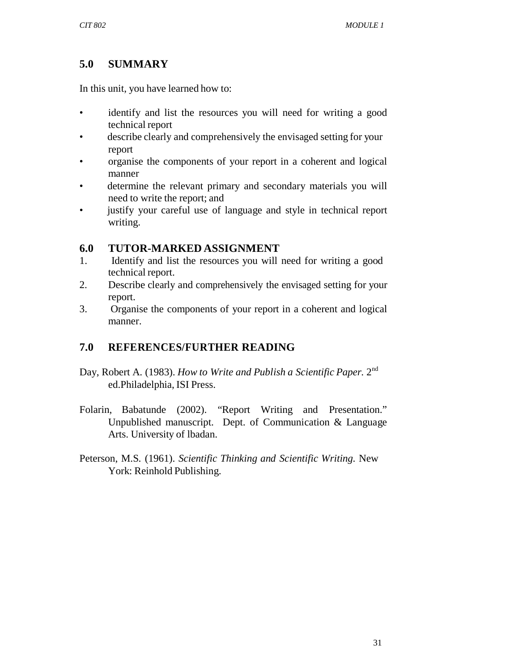# **5.0 SUMMARY**

In this unit, you have learned how to:

- identify and list the resources you will need for writing a good technical report
- describe clearly and comprehensively the envisaged setting for your report
- organise the components of your report in a coherent and logical manner
- determine the relevant primary and secondary materials you will need to write the report; and
- justify your careful use of language and style in technical report writing.

## **6.0 TUTOR-MARKED ASSIGNMENT**

- 1. Identify and list the resources you will need for writing a good technical report.
- 2. Describe clearly and comprehensively the envisaged setting for your report.
- 3. Organise the components of your report in a coherent and logical manner.

# **7.0 REFERENCES/FURTHER READING**

- Day, Robert A. (1983). *How to Write and Publish a Scientific Paper.* 2nd ed.Philadelphia, ISI Press.
- Folarin, Babatunde (2002). "Report Writing and Presentation." Unpublished manuscript. Dept. of Communication & Language Arts. University of lbadan.
- Peterson, M.S. (1961). *Scientific Thinking and Scientific Writing.* New York: Reinhold Publishing.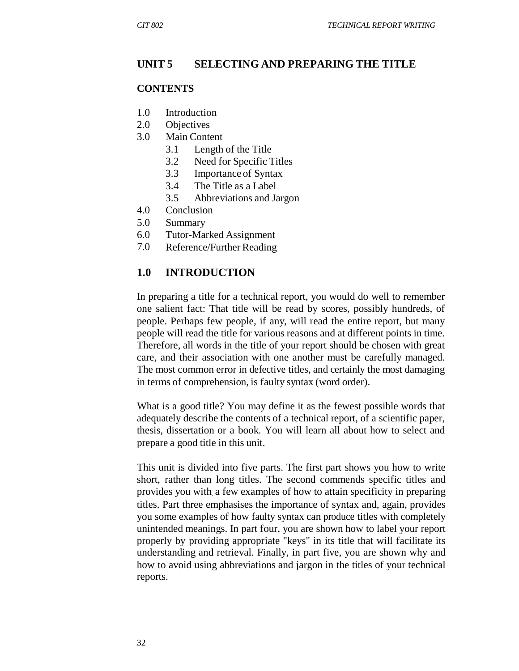#### **UNIT 5 SELECTING AND PREPARING THE TITLE**

#### **CONTENTS**

- 1.0 Introduction
- 2.0 Objectives
- 3.0 Main Content
	- 3.1 Length of the Title
	- 3.2 Need for Specific Titles
	- 3.3 Importance of Syntax
	- 3.4 The Title as a Label
	- 3.5 Abbreviations and Jargon
- 4.0 Conclusion
- 5.0 Summary
- 6.0 Tutor-Marked Assignment
- 7.0 Reference/Further Reading

#### **1.0 INTRODUCTION**

In preparing a title for a technical report, you would do well to remember one salient fact: That title will be read by scores, possibly hundreds, of people. Perhaps few people, if any, will read the entire report, but many people will read the title for various reasons and at different points in time. Therefore, all words in the title of your report should be chosen with great care, and their association with one another must be carefully managed. The most common error in defective titles, and certainly the most damaging in terms of comprehension, is faulty syntax (word order).

What is a good title? You may define it as the fewest possible words that adequately describe the contents of a technical report, of a scientific paper, thesis, dissertation or a book. You will learn all about how to select and prepare a good title in this unit.

This unit is divided into five parts. The first part shows you how to write short, rather than long titles. The second commends specific titles and provides you with. a few examples of how to attain specificity in preparing titles. Part three emphasises the importance of syntax and, again, provides you some examples of how faulty syntax can produce titles with completely unintended meanings. In part four, you are shown how to label your report properly by providing appropriate "keys" in its title that will facilitate its understanding and retrieval. Finally, in part five, you are shown why and how to avoid using abbreviations and jargon in the titles of your technical reports.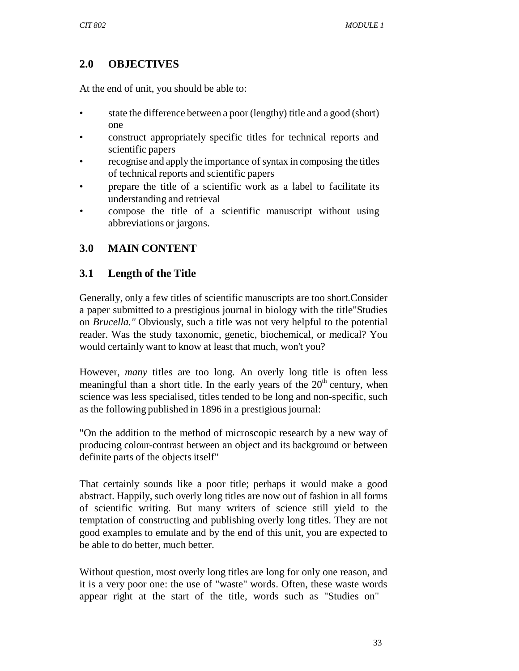# **2.0 OBJECTIVES**

At the end of unit, you should be able to:

- state the difference between a poor (lengthy) title and a good (short) one
- construct appropriately specific titles for technical reports and scientific papers
- recognise and apply the importance of syntax in composing the titles of technical reports and scientific papers
- prepare the title of a scientific work as a label to facilitate its understanding and retrieval
- compose the title of a scientific manuscript without using abbreviations or jargons.

# **3.0 MAIN CONTENT**

### **3.1 Length of the Title**

Generally, only a few titles of scientific manuscripts are too short.Consider a paper submitted to a prestigious journal in biology with the title"Studies on *Brucella."* Obviously, such a title was not very helpful to the potential reader. Was the study taxonomic, genetic, biochemical, or medical? You would certainly want to know at least that much, won't you?

However, *many* titles are too long. An overly long title is often less meaningful than a short title. In the early years of the  $20<sup>th</sup>$  century, when science was less specialised, titles tended to be long and non-specific, such as the following published in 1896 in a prestigious journal:

"On the addition to the method of microscopic research by a new way of producing colour-contrast between an object and its background or between definite parts of the objects itself"

That certainly sounds like a poor title; perhaps it would make a good abstract. Happily, such overly long titles are now out of fashion in all forms of scientific writing. But many writers of science still yield to the temptation of constructing and publishing overly long titles. They are not good examples to emulate and by the end of this unit, you are expected to be able to do better, much better.

Without question, most overly long titles are long for only one reason, and it is a very poor one: the use of "waste" words. Often, these waste words appear right at the start of the title, words such as "Studies on"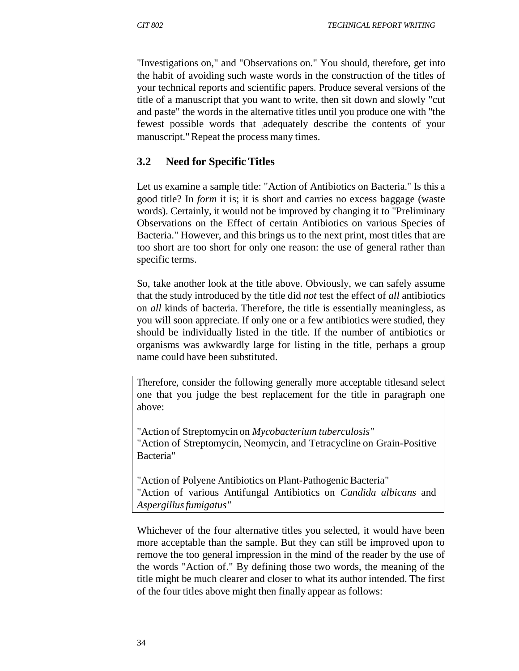"Investigations on," and "Observations on." You should, therefore, get into the habit of avoiding such waste words in the construction of the titles of your technical reports and scientific papers. Produce several versions of the title of a manuscript that you want to write, then sit down and slowly "cut and paste" the words in the alternative titles until you produce one with "the fewest possible words that adequately describe the contents of your manuscript." Repeat the process many times.

### **3.2 Need for Specific Titles**

Let us examine a sample title: "Action of Antibiotics on Bacteria." Is this a good title? In *form* it is; it is short and carries no excess baggage (waste words). Certainly, it would not be improved by changing it to "Preliminary Observations on the Effect of certain Antibiotics on various Species of Bacteria." However, and this brings us to the next print, most titles that are too short are too short for only one reason: the use of general rather than specific terms.

So, take another look at the title above. Obviously, we can safely assume that the study introduced by the title did *not* test the effect of *all* antibiotics on *all* kinds of bacteria. Therefore, the title is essentially meaningless, as you will soon appreciate. If only one or a few antibiotics were studied, they should be individually listed in the title. If the number of antibiotics or organisms was awkwardly large for listing in the title, perhaps a group name could have been substituted.

Therefore, consider the following generally more acceptable titlesand select one that you judge the best replacement for the title in paragraph one above:

"Action of Streptomycin on *Mycobacterium tuberculosis"* "Action of Streptomycin, Neomycin, and Tetracycline on Grain-Positive Bacteria"

"Action of Polyene Antibiotics on Plant-Pathogenic Bacteria" "Action of various Antifungal Antibiotics on *Candida albicans* and *Aspergillus fumigatus"*

Whichever of the four alternative titles you selected, it would have been more acceptable than the sample. But they can still be improved upon to remove the too general impression in the mind of the reader by the use of the words "Action of." By defining those two words, the meaning of the title might be much clearer and closer to what its author intended. The first of the four titles above might then finally appear as follows: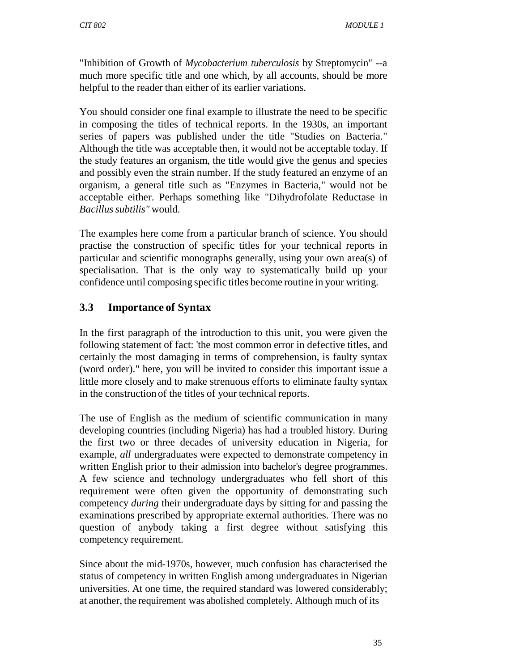"Inhibition of Growth of *Mycobacterium tuberculosis* by Streptomycin" --a much more specific title and one which, by all accounts, should be more helpful to the reader than either of its earlier variations.

You should consider one final example to illustrate the need to be specific in composing the titles of technical reports. In the 1930s, an important series of papers was published under the title "Studies on Bacteria." Although the title was acceptable then, it would not be acceptable today. If the study features an organism, the title would give the genus and species and possibly even the strain number. If the study featured an enzyme of an organism, a general title such as "Enzymes in Bacteria," would not be acceptable either. Perhaps something like "Dihydrofolate Reductase in *Bacillus subtilis"* would.

The examples here come from a particular branch of science. You should practise the construction of specific titles for your technical reports in particular and scientific monographs generally, using your own area(s) of specialisation. That is the only way to systematically build up your confidence until composing specific titles become routine in your writing.

### **3.3 Importance of Syntax**

In the first paragraph of the introduction to this unit, you were given the following statement of fact: 'the most common error in defective titles, and certainly the most damaging in terms of comprehension, is faulty syntax (word order)." here, you will be invited to consider this important issue a little more closely and to make strenuous efforts to eliminate faulty syntax in the construction of the titles of your technical reports.

The use of English as the medium of scientific communication in many developing countries (including Nigeria) has had a troubled history. During the first two or three decades of university education in Nigeria, for example, *all* undergraduates were expected to demonstrate competency in written English prior to their admission into bachelor's degree programmes. A few science and technology undergraduates who fell short of this requirement were often given the opportunity of demonstrating such competency *during* their undergraduate days by sitting for and passing the examinations prescribed by appropriate external authorities. There was no question of anybody taking a first degree without satisfying this competency requirement.

Since about the mid-1970s, however, much confusion has characterised the status of competency in written English among undergraduates in Nigerian universities. At one time, the required standard was lowered considerably; at another, the requirement was abolished completely. Although much of its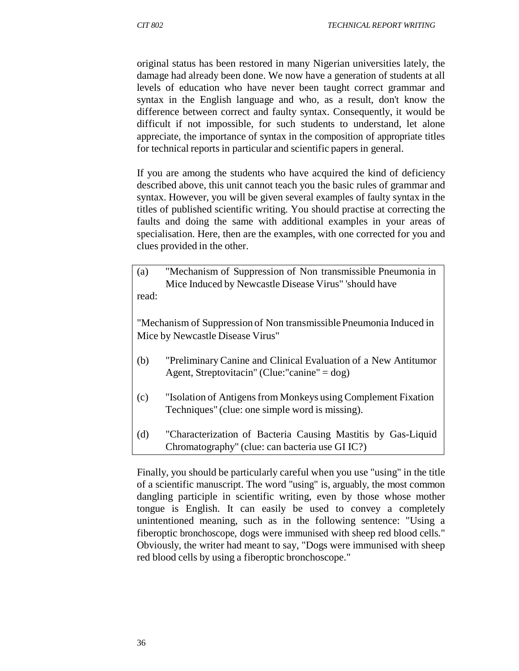original status has been restored in many Nigerian universities lately, the damage had already been done. We now have a generation of students at all levels of education who have never been taught correct grammar and syntax in the English language and who, as a result, don't know the difference between correct and faulty syntax. Consequently, it would be difficult if not impossible, for such students to understand, let alone appreciate, the importance of syntax in the composition of appropriate titles for technical reports in particular and scientific papers in general.

If you are among the students who have acquired the kind of deficiency described above, this unit cannot teach you the basic rules of grammar and syntax. However, you will be given several examples of faulty syntax in the titles of published scientific writing. You should practise at correcting the faults and doing the same with additional examples in your areas of specialisation. Here, then are the examples, with one corrected for you and clues provided in the other.

(a) "Mechanism of Suppression of Non transmissible Pneumonia in Mice Induced by Newcastle Disease Virus" 'should have read:

"Mechanism of Suppression of Non transmissible Pneumonia Induced in Mice by Newcastle Disease Virus"

- (b) "Preliminary Canine and Clinical Evaluation of a New Antitumor Agent, Streptovitacin" (Clue:"canine" = dog)
- (c) "Isolation of Antigens from Monkeys using Complement Fixation Techniques" (clue: one simple word is missing).
- (d) "Characterization of Bacteria Causing Mastitis by Gas-Liquid Chromatography" (clue: can bacteria use GI IC?)

Finally, you should be particularly careful when you use "using" in the title of a scientific manuscript. The word "using" is, arguably, the most common dangling participle in scientific writing, even by those whose mother tongue is English. It can easily be used to convey a completely unintentioned meaning, such as in the following sentence: "Using a fiberoptic bronchoscope, dogs were immunised with sheep red blood cells." Obviously, the writer had meant to say, "Dogs were immunised with sheep red blood cells by using a fiberoptic bronchoscope."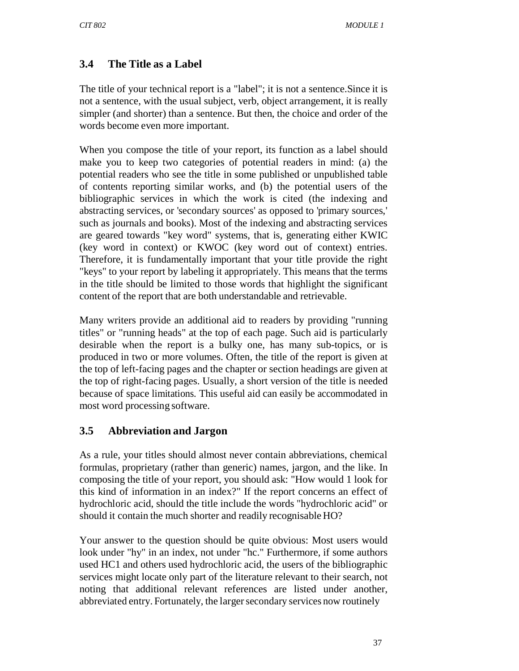# **3.4 The Title as a Label**

The title of your technical report is a "label"; it is not a sentence.Since it is not a sentence, with the usual subject, verb, object arrangement, it is really simpler (and shorter) than a sentence. But then, the choice and order of the words become even more important.

When you compose the title of your report, its function as a label should make you to keep two categories of potential readers in mind: (a) the potential readers who see the title in some published or unpublished table of contents reporting similar works, and (b) the potential users of the bibliographic services in which the work is cited (the indexing and abstracting services, or 'secondary sources' as opposed to 'primary sources,' such as journals and books). Most of the indexing and abstracting services are geared towards "key word" systems, that is, generating either KWIC (key word in context) or KWOC (key word out of context) entries. Therefore, it is fundamentally important that your title provide the right "keys" to your report by labeling it appropriately. This means that the terms in the title should be limited to those words that highlight the significant content of the report that are both understandable and retrievable.

Many writers provide an additional aid to readers by providing "running titles" or "running heads" at the top of each page. Such aid is particularly desirable when the report is a bulky one, has many sub-topics, or is produced in two or more volumes. Often, the title of the report is given at the top of left-facing pages and the chapter or section headings are given at the top of right-facing pages. Usually, a short version of the title is needed because of space limitations. This useful aid can easily be accommodated in most word processing software.

### **3.5 Abbreviation and Jargon**

As a rule, your titles should almost never contain abbreviations, chemical formulas, proprietary (rather than generic) names, jargon, and the like. In composing the title of your report, you should ask: "How would 1 look for this kind of information in an index?" If the report concerns an effect of hydrochloric acid, should the title include the words "hydrochloric acid" or should it contain the much shorter and readily recognisable HO?

Your answer to the question should be quite obvious: Most users would look under "hy" in an index, not under "hc." Furthermore, if some authors used HC1 and others used hydrochloric acid, the users of the bibliographic services might locate only part of the literature relevant to their search, not noting that additional relevant references are listed under another, abbreviated entry. Fortunately, the larger secondary services now routinely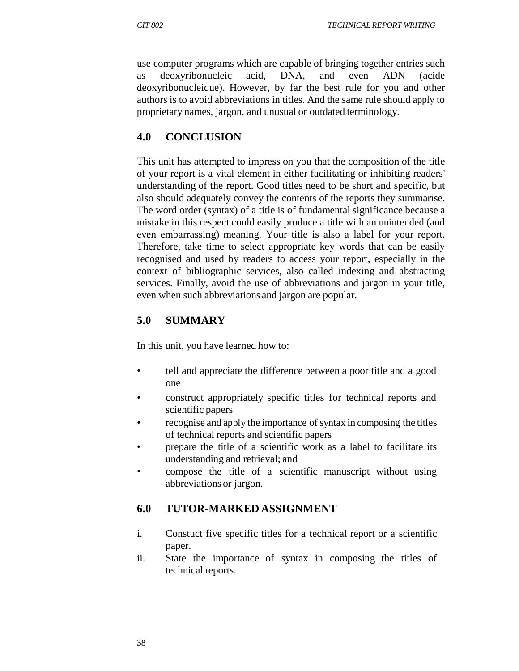use computer programs which are capable of bringing together entries such as deoxyribonucleic acid, DNA, and even ADN (acide deoxyribonucleique). However, by far the best rule for you and other authors is to avoid abbreviations in titles. And the same rule should apply to proprietary names, jargon, and unusual or outdated terminology.

### **4.0 CONCLUSION**

This unit has attempted to impress on you that the composition of the title of your report is a vital element in either facilitating or inhibiting readers' understanding of the report. Good titles need to be short and specific, but also should adequately convey the contents of the reports they summarise. The word order (syntax) of a title is of fundamental significance because a mistake in this respect could easily produce a title with an unintended (and even embarrassing) meaning. Your title is also a label for your report. Therefore, take time to select appropriate key words that can be easily recognised and used by readers to access your report, especially in the context of bibliographic services, also called indexing and abstracting services. Finally, avoid the use of abbreviations and jargon in your title, even when such abbreviations and jargon are popular.

# **5.0 SUMMARY**

In this unit, you have learned how to:

- tell and appreciate the difference between a poor title and a good one
- construct appropriately specific titles for technical reports and scientific papers
- recognise and apply the importance of syntax in composing the titles of technical reports and scientific papers
- prepare the title of a scientific work as a label to facilitate its understanding and retrieval; and
- compose the title of a scientific manuscript without using abbreviations or jargon.

# **6.0 TUTOR-MARKED ASSIGNMENT**

- i. Constuct five specific titles for a technical report or a scientific paper.
- ii. State the importance of syntax in composing the titles of technical reports.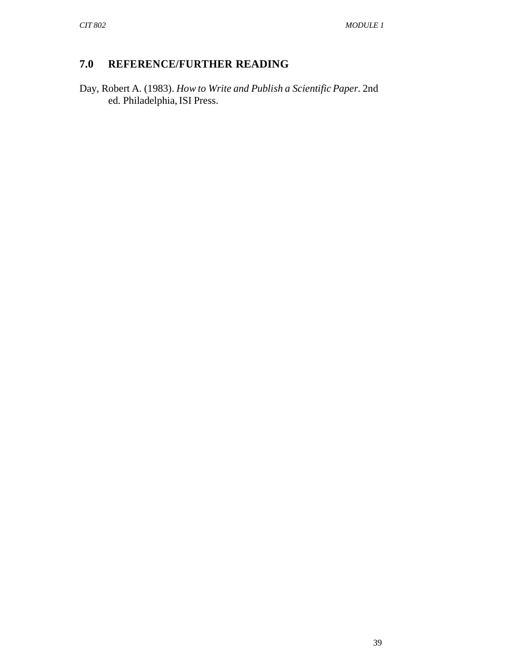### **7.0 REFERENCE/FURTHER READING**

Day, Robert A. (1983). *How to Write and Publish a Scientific Paper.* 2nd ed. Philadelphia, ISI Press.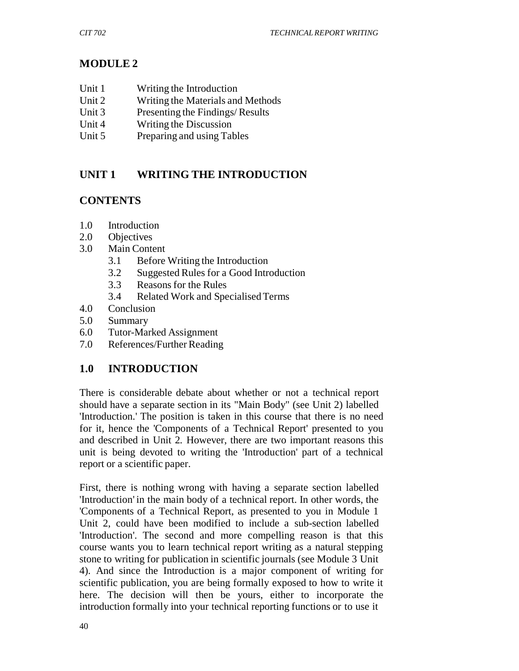## **MODULE 2**

- Unit 1 Writing the Introduction
- Unit 2 Writing the Materials and Methods
- Unit 3 Presenting the Findings/ Results
- Unit 4 Writing the Discussion
- Unit 5 Preparing and using Tables

### **UNIT 1 WRITING THE INTRODUCTION**

### **CONTENTS**

- 1.0 Introduction
- 2.0 Objectives
- 3.0 Main Content
	- 3.1 Before Writing the Introduction
	- 3.2 Suggested Rules for a Good Introduction
	- 3.3 Reasons for the Rules
	- 3.4 Related Work and Specialised Terms
- 4.0 Conclusion
- 5.0 Summary
- 6.0 Tutor-Marked Assignment
- 7.0 References/Further Reading

### **1.0 INTRODUCTION**

There is considerable debate about whether or not a technical report should have a separate section in its "Main Body" (see Unit 2) labelled 'Introduction.' The position is taken in this course that there is no need for it, hence the 'Components of a Technical Report' presented to you and described in Unit 2*.* However, there are two important reasons this unit is being devoted to writing the 'Introduction' part of a technical report or a scientific paper.

First, there is nothing wrong with having a separate section labelled 'Introduction' in the main body of a technical report. In other words, the 'Components of a Technical Report, as presented to you in Module 1 Unit 2, could have been modified to include a sub-section labelled 'Introduction'. The second and more compelling reason is that this course wants you to learn technical report writing as a natural stepping stone to writing for publication in scientific journals (see Module 3 Unit 4). And since the Introduction is a major component of writing for scientific publication, you are being formally exposed to how to write it here. The decision will then be yours, either to incorporate the introduction formally into your technical reporting functions or to use it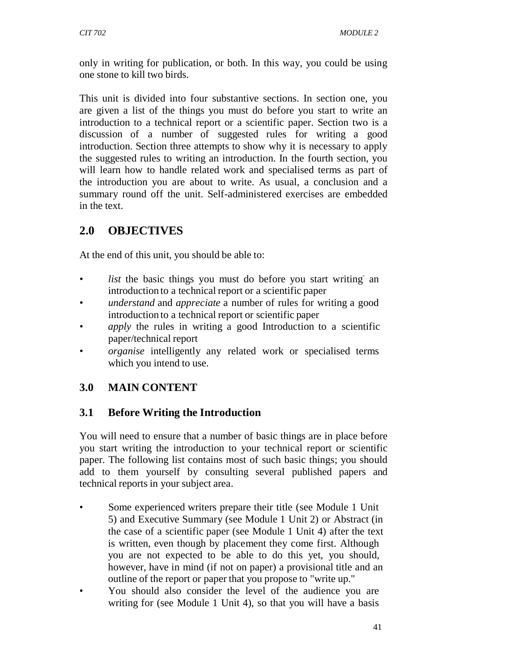only in writing for publication, or both. In this way, you could be using one stone to kill two birds.

This unit is divided into four substantive sections. In section one, you are given a list of the things you must do before you start to write an introduction to a technical report or a scientific paper. Section two is a discussion of a number of suggested rules for writing a good introduction. Section three attempts to show why it is necessary to apply the suggested rules to writing an introduction. In the fourth section, you will learn how to handle related work and specialised terms as part of the introduction you are about to write. As usual, a conclusion and a summary round off the unit. Self-administered exercises are embedded in the text.

# **2.0 OBJECTIVES**

At the end of this unit, you should be able to:

- *list* the basic things you must do before you start writing an introduction to a technical report or a scientific paper
- *understand* and *appreciate* a number of rules for writing a good introduction to a technical report or scientific paper
- *apply* the rules in writing a good Introduction to a scientific paper/technical report
- *organise* intelligently any related work or specialised terms which you intend to use.

# **3.0 MAIN CONTENT**

### **3.1 Before Writing the Introduction**

You will need to ensure that a number of basic things are in place before you start writing the introduction to your technical report or scientific paper. The following list contains most of such basic things; you should add to them yourself by consulting several published papers and technical reports in your subject area.

- Some experienced writers prepare their title (see Module 1 Unit 5) and Executive Summary (see Module 1 Unit 2) or Abstract (in the case of a scientific paper (see Module 1 Unit 4) after the text is written, even though by placement they come first. Although you are not expected to be able to do this yet, you should, however, have in mind (if not on paper) a provisional title and an outline of the report or paper that you propose to "write up."
- You should also consider the level of the audience you are writing for (see Module 1 Unit 4), so that you will have a basis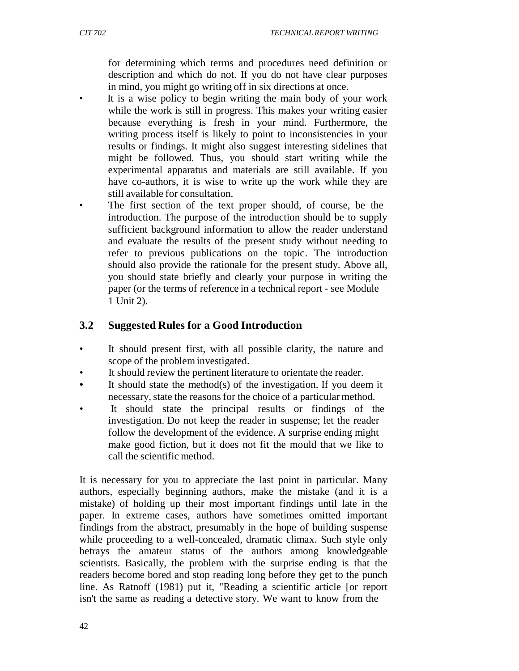for determining which terms and procedures need definition or description and which do not. If you do not have clear purposes in mind, you might go writing off in six directions at once.

- It is a wise policy to begin writing the main body of your work while the work is still in progress. This makes your writing easier because everything is fresh in your mind. Furthermore, the writing process itself is likely to point to inconsistencies in your results or findings. It might also suggest interesting sidelines that might be followed. Thus, you should start writing while the experimental apparatus and materials are still available. If you have co-authors, it is wise to write up the work while they are still available for consultation.
- The first section of the text proper should, of course, be the introduction. The purpose of the introduction should be to supply sufficient background information to allow the reader understand and evaluate the results of the present study without needing to refer to previous publications on the topic. The introduction should also provide the rationale for the present study. Above all, you should state briefly and clearly your purpose in writing the paper (or the terms of reference in a technical report - see Module 1 Unit 2).

#### **3.2 Suggested Rules for a Good Introduction**

- It should present first, with all possible clarity, the nature and scope of the problem investigated.
- It should review the pertinent literature to orientate the reader.
- It should state the method(s) of the investigation. If you deem it necessary, state the reasons for the choice of a particular method.
- It should state the principal results or findings of the investigation. Do not keep the reader in suspense; let the reader follow the development of the evidence. A surprise ending might make good fiction, but it does not fit the mould that we like to call the scientific method.

It is necessary for you to appreciate the last point in particular. Many authors, especially beginning authors, make the mistake (and it is a mistake) of holding up their most important findings until late in the paper. In extreme cases, authors have sometimes omitted important findings from the abstract, presumably in the hope of building suspense while proceeding to a well-concealed, dramatic climax. Such style only betrays the amateur status of the authors among knowledgeable scientists. Basically, the problem with the surprise ending is that the readers become bored and stop reading long before they get to the punch line. As Ratnoff (1981) put it, "Reading a scientific article [or report isn't the same as reading a detective story. We want to know from the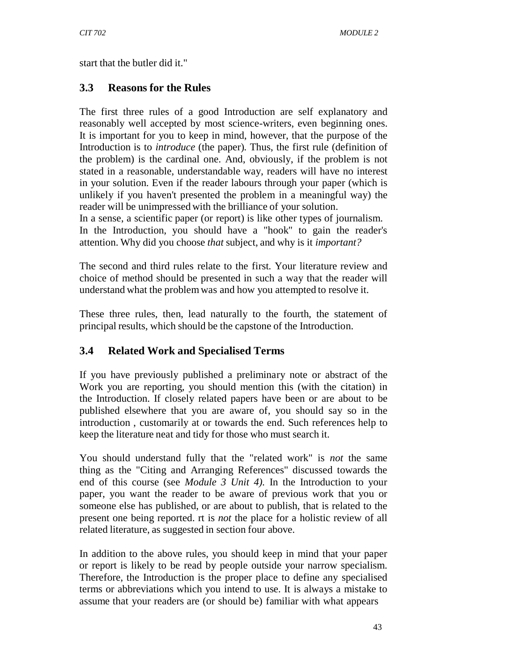start that the butler did it."

### **3.3 Reasons for the Rules**

The first three rules of a good Introduction are self explanatory and reasonably well accepted by most science-writers, even beginning ones. It is important for you to keep in mind, however, that the purpose of the Introduction is to *introduce* (the paper). Thus, the first rule (definition of the problem) is the cardinal one. And, obviously, if the problem is not stated in a reasonable, understandable way, readers will have no interest in your solution. Even if the reader labours through your paper (which is unlikely if you haven't presented the problem in a meaningful way) the reader will be unimpressed with the brilliance of your solution.

In a sense, a scientific paper (or report) is like other types of journalism. In the Introduction, you should have a "hook" to gain the reader's attention. Why did you choose *that* subject, and why is it *important?*

The second and third rules relate to the first. Your literature review and choice of method should be presented in such a way that the reader will understand what the problem was and how you attempted to resolve it.

These three rules, then, lead naturally to the fourth, the statement of principal results, which should be the capstone of the Introduction.

### **3.4 Related Work and Specialised Terms**

If you have previously published a preliminary note or abstract of the Work you are reporting, you should mention this (with the citation) in the Introduction. If closely related papers have been or are about to be published elsewhere that you are aware of, you should say so in the introduction , customarily at or towards the end. Such references help to keep the literature neat and tidy for those who must search it.

You should understand fully that the "related work" is *not* the same thing as the "Citing and Arranging References" discussed towards the end of this course (see *Module 3 Unit 4).* In the Introduction to your paper, you want the reader to be aware of previous work that you or someone else has published, or are about to publish, that is related to the present one being reported. rt is *not* the place for a holistic review of all related literature, as suggested in section four above.

In addition to the above rules, you should keep in mind that your paper or report is likely to be read by people outside your narrow specialism. Therefore, the Introduction is the proper place to define any specialised terms or abbreviations which you intend to use. It is always a mistake to assume that your readers are (or should be) familiar with what appears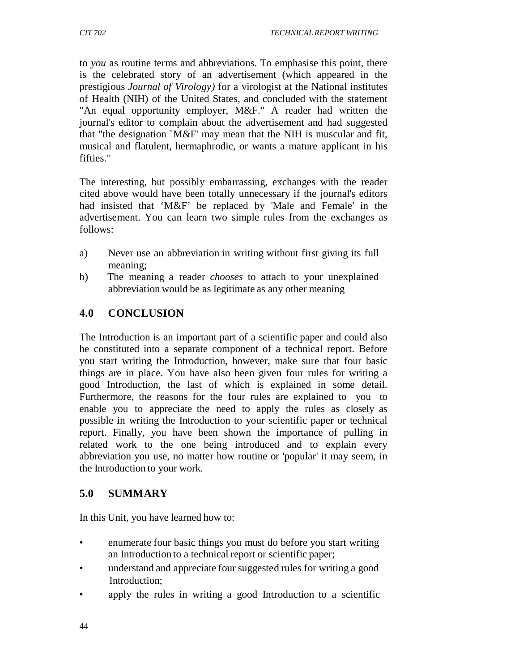to *you* as routine terms and abbreviations. To emphasise this point, there is the celebrated story of an advertisement (which appeared in the prestigious *Journal of Virology)* for a virologist at the National institutes of Health (NIH) of the United States, and concluded with the statement "An equal opportunity employer, M&F." A reader had written the journal's editor to complain about the advertisement and had suggested that "the designation `M&F' may mean that the NIH is muscular and fit, musical and flatulent, hermaphrodic, or wants a mature applicant in his fifties."

The interesting, but possibly embarrassing, exchanges with the reader cited above would have been totally unnecessary if the journal's editors had insisted that 'M&F' be replaced by 'Male and Female' in the advertisement. You can learn two simple rules from the exchanges as follows:

- a) Never use an abbreviation in writing without first giving its full meaning;
- b) The meaning a reader *chooses* to attach to your unexplained abbreviation would be as legitimate as any other meaning

### **4.0 CONCLUSION**

The Introduction is an important part of a scientific paper and could also he constituted into a separate component of a technical report. Before you start writing the Introduction, however, make sure that four basic things are in place. You have also been given four rules for writing a good Introduction, the last of which is explained in some detail. Furthermore, the reasons for the four rules are explained to you to enable you to appreciate the need to apply the rules as closely as possible in writing the Introduction to your scientific paper or technical report. Finally, you have been shown the importance of pulling in related work to the one being introduced and to explain every abbreviation you use, no matter how routine or 'popular' it may seem, in the Introduction to your work.

### **5.0 SUMMARY**

In this Unit, you have learned how to:

- enumerate four basic things you must do before you start writing an Introduction to a technical report or scientific paper;
- understand and appreciate four suggested rules for writing a good Introduction;
- apply the rules in writing a good Introduction to a scientific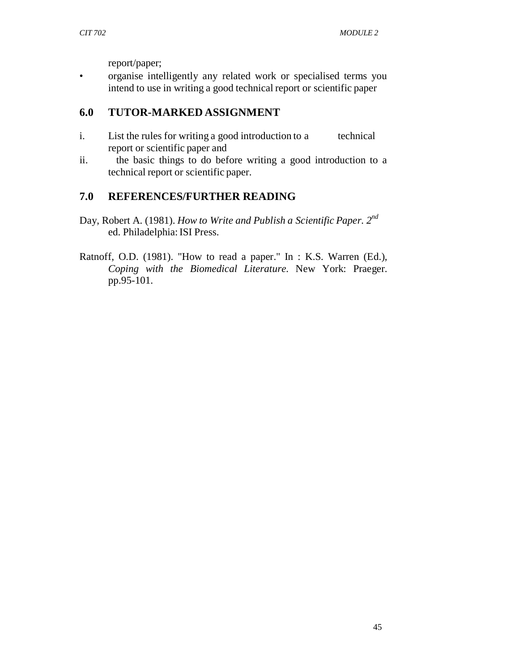report/paper;

• organise intelligently any related work or specialised terms you intend to use in writing a good technical report or scientific paper

### **6.0 TUTOR-MARKED ASSIGNMENT**

- i. List the rules for writing a good introduction to a technical report or scientific paper and
- ii. the basic things to do before writing a good introduction to a technical report or scientific paper.

### **7.0 REFERENCES/FURTHER READING**

- Day, Robert A. (1981). *How to Write and Publish a Scientific Paper. 2nd* ed. Philadelphia: ISI Press.
- Ratnoff, O.D. (1981). "How to read a paper." In : K.S. Warren (Ed.), *Coping with the Biomedical Literature.* New York: Praeger. pp.95-101.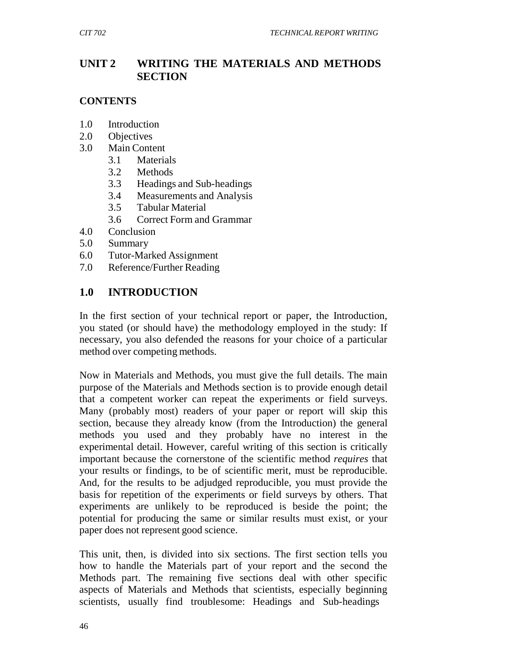### **UNIT 2 WRITING THE MATERIALS AND METHODS SECTION**

#### **CONTENTS**

- 1.0 Introduction
- 2.0 Objectives
- 3.0 Main Content
	- 3.1 Materials
	- 3.2 Methods
	- 3.3 Headings and Sub-headings
	- 3.4 Measurements and Analysis
	- 3.5 Tabular Material
	- 3.6 Correct Form and Grammar
- 4.0 Conclusion
- 5.0 Summary
- 6.0 Tutor-Marked Assignment
- 7.0 Reference/Further Reading

### **1.0 INTRODUCTION**

In the first section of your technical report or paper, the Introduction, you stated (or should have) the methodology employed in the study: If necessary, you also defended the reasons for your choice of a particular method over competing methods.

Now in Materials and Methods, you must give the full details. The main purpose of the Materials and Methods section is to provide enough detail that a competent worker can repeat the experiments or field surveys. Many (probably most) readers of your paper or report will skip this section, because they already know (from the Introduction) the general methods you used and they probably have no interest in the experimental detail. However, careful writing of this section is critically important because the cornerstone of the scientific method *requires* that your results or findings, to be of scientific merit, must be reproducible. And, for the results to be adjudged reproducible, you must provide the basis for repetition of the experiments or field surveys by others. That experiments are unlikely to be reproduced is beside the point; the potential for producing the same or similar results must exist, or your paper does not represent good science.

This unit, then, is divided into six sections. The first section tells you how to handle the Materials part of your report and the second the Methods part. The remaining five sections deal with other specific aspects of Materials and Methods that scientists, especially beginning scientists, usually find troublesome: Headings and Sub-headings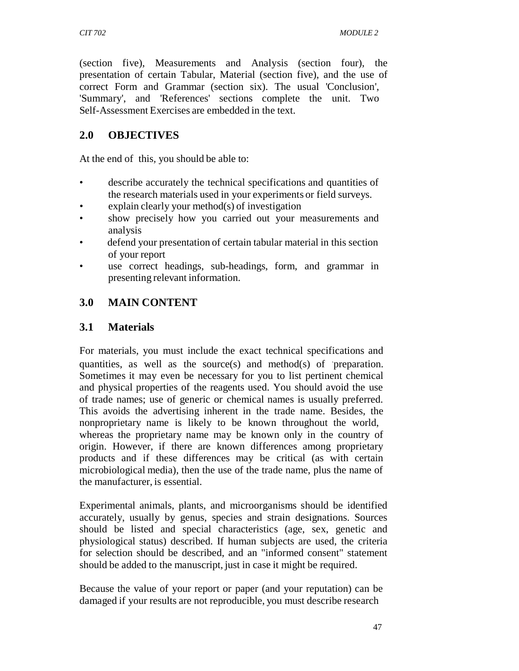(section five), Measurements and Analysis (section four), the presentation of certain Tabular, Material (section five), and the use of correct Form and Grammar (section six). The usual 'Conclusion', 'Summary', and 'References' sections complete the unit. Two Self-Assessment Exercises are embedded in the text.

### **2.0 OBJECTIVES**

At the end of this*,* you should be able to:

- describe accurately the technical specifications and quantities of the research materials used in your experiments or field surveys.
- explain clearly your method $(s)$  of investigation
- show precisely how you carried out your measurements and analysis
- defend your presentation of certain tabular material in this section of your report
- use correct headings, sub-headings, form, and grammar in presenting relevant information.

## **3.0 MAIN CONTENT**

### **3.1 Materials**

For materials, you must include the exact technical specifications and quantities, as well as the source(s) and method(s) of preparation. Sometimes it may even be necessary for you to list pertinent chemical and physical properties of the reagents used. You should avoid the use of trade names; use of generic or chemical names is usually preferred. This avoids the advertising inherent in the trade name. Besides, the nonproprietary name is likely to be known throughout the world, whereas the proprietary name may be known only in the country of origin. However, if there are known differences among proprietary products and if these differences may be critical (as with certain microbiological media), then the use of the trade name, plus the name of the manufacturer, is essential.

Experimental animals, plants, and microorganisms should be identified accurately, usually by genus, species and strain designations. Sources should be listed and special characteristics (age, sex, genetic and physiological status) described. If human subjects are used, the criteria for selection should be described, and an "informed consent" statement should be added to the manuscript, just in case it might be required.

Because the value of your report or paper (and your reputation) can be damaged if your results are not reproducible, you must describe research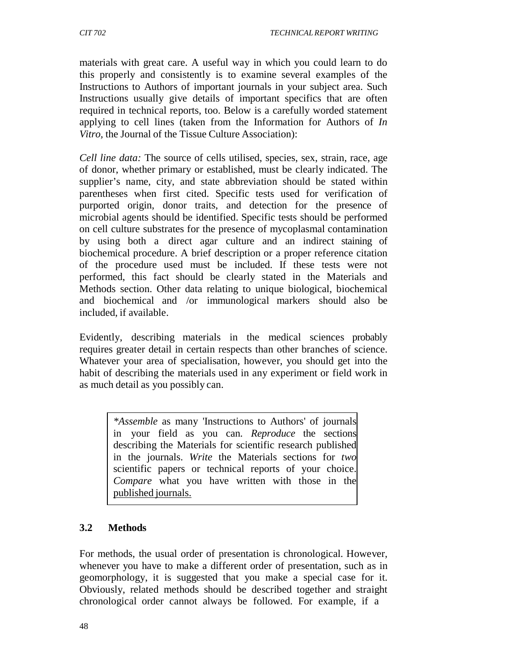materials with great care. A useful way in which you could learn to do this properly and consistently is to examine several examples of the Instructions to Authors of important journals in your subject area. Such Instructions usually give details of important specifics that are often required in technical reports, too. Below is a carefully worded statement applying to cell lines (taken from the Information for Authors of *In Vitro,* the Journal of the Tissue Culture Association):

*Cell line data:* The source of cells utilised, species, sex, strain, race, age of donor, whether primary or established, must be clearly indicated. The supplier's name, city, and state abbreviation should be stated within parentheses when first cited. Specific tests used for verification of purported origin, donor traits, and detection for the presence of microbial agents should be identified. Specific tests should be performed on cell culture substrates for the presence of mycoplasmal contamination by using both a direct agar culture and an indirect staining of biochemical procedure. A brief description or a proper reference citation of the procedure used must be included. If these tests were not performed, this fact should be clearly stated in the Materials and Methods section. Other data relating to unique biological, biochemical and biochemical and /or immunological markers should also be included, if available.

Evidently, describing materials in the medical sciences probably requires greater detail in certain respects than other branches of science. Whatever your area of specialisation, however, you should get into the habit of describing the materials used in any experiment or field work in as much detail as you possibly can.

> *\*Assemble* as many 'Instructions to Authors' of journals in your field as you can. *Reproduce* the sections describing the Materials for scientific research published in the journals. *Write* the Materials sections for *two* scientific papers or technical reports of your choice. *Compare* what you have written with those in the published journals.

### **3.2 Methods**

For methods, the usual order of presentation is chronological. However, whenever you have to make a different order of presentation, such as in geomorphology, it is suggested that you make a special case for it. Obviously, related methods should be described together and straight chronological order cannot always be followed. For example, if a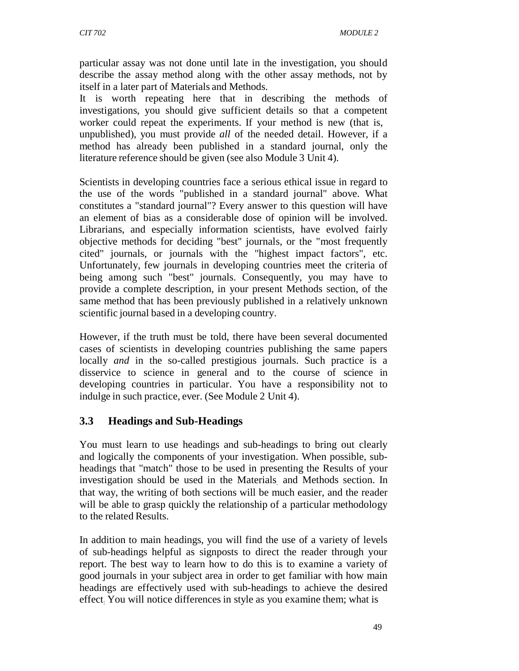particular assay was not done until late in the investigation, you should describe the assay method along with the other assay methods, not by itself in a later part of Materials and Methods.

It is worth repeating here that in describing the methods of investigations, you should give sufficient details so that a competent worker could repeat the experiments. If your method is new (that is, unpublished), you must provide *all* of the needed detail. However, if a method has already been published in a standard journal, only the literature reference should be given (see also Module 3 Unit 4).

Scientists in developing countries face a serious ethical issue in regard to the use of the words "published in a standard journal" above. What constitutes a "standard journal"? Every answer to this question will have an element of bias as a considerable dose of opinion will be involved. Librarians, and especially information scientists, have evolved fairly objective methods for deciding "best" journals, or the "most frequently cited" journals, or journals with the "highest impact factors", etc. Unfortunately, few journals in developing countries meet the criteria of being among such "best" journals. Consequently, you may have to provide a complete description, in your present Methods section, of the same method that has been previously published in a relatively unknown scientific journal based in a developing country.

However, if the truth must be told, there have been several documented cases of scientists in developing countries publishing the same papers locally *and* in the so-called prestigious journals. Such practice is a disservice to science in general and to the course of science in developing countries in particular. You have a responsibility not to indulge in such practice, ever. (See Module 2 Unit 4).

### **3.3 Headings and Sub-Headings**

You must learn to use headings and sub-headings to bring out clearly and logically the components of your investigation. When possible, subheadings that "match" those to be used in presenting the Results of your investigation should be used in the Materials. and Methods section. In that way, the writing of both sections will be much easier, and the reader will be able to grasp quickly the relationship of a particular methodology to the related Results.

In addition to main headings, you will find the use of a variety of levels of sub-headings helpful as signposts to direct the reader through your report. The best way to learn how to do this is to examine a variety of good journals in your subject area in order to get familiar with how main headings are effectively used with sub-headings to achieve the desired effect: You will notice differences in style as you examine them; what is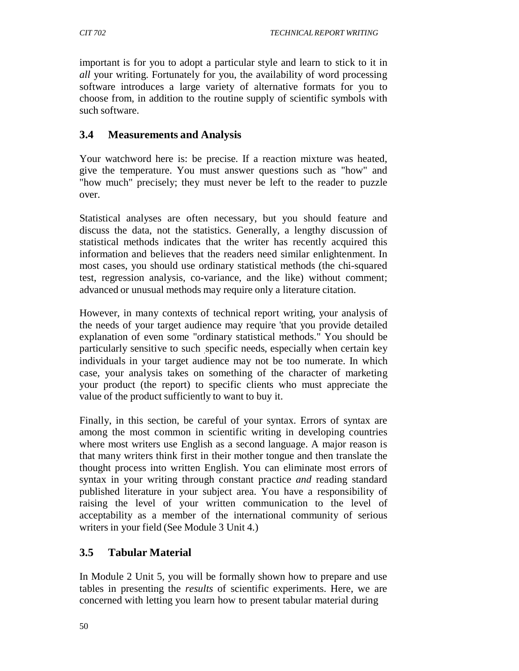important is for you to adopt a particular style and learn to stick to it in *all* your writing. Fortunately for you, the availability of word processing software introduces a large variety of alternative formats for you to choose from, in addition to the routine supply of scientific symbols with such software.

### **3.4 Measurements and Analysis**

Your watchword here is: be precise. If a reaction mixture was heated, give the temperature. You must answer questions such as "how" and "how much" precisely; they must never be left to the reader to puzzle over.

Statistical analyses are often necessary, but you should feature and discuss the data, not the statistics. Generally, a lengthy discussion of statistical methods indicates that the writer has recently acquired this information and believes that the readers need similar enlightenment. In most cases, you should use ordinary statistical methods (the chi-squared test, regression analysis, co-variance, and the like) without comment; advanced or unusual methods may require only a literature citation.

However, in many contexts of technical report writing, your analysis of the needs of your target audience may require 'that you provide detailed explanation of even some "ordinary statistical methods." You should be particularly sensitive to such specific needs, especially when certain key individuals in your target audience may not be too numerate. In which case, your analysis takes on something of the character of marketing your product (the report) to specific clients who must appreciate the value of the product sufficiently to want to buy it.

Finally, in this section, be careful of your syntax. Errors of syntax are among the most common in scientific writing in developing countries where most writers use English as a second language. A major reason is that many writers think first in their mother tongue and then translate the thought process into written English. You can eliminate most errors of syntax in your writing through constant practice *and* reading standard published literature in your subject area. You have a responsibility of raising the level of your written communication to the level of acceptability as a member of the international community of serious writers in your field (See Module 3 Unit 4.)

### **3.5 Tabular Material**

In Module 2 Unit 5*,* you will be formally shown how to prepare and use tables in presenting the *results* of scientific experiments. Here, we are concerned with letting you learn how to present tabular material during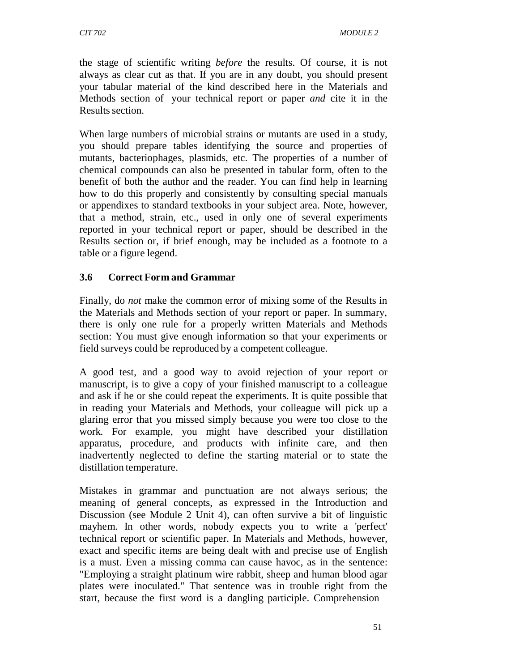the stage of scientific writing *before* the results. Of course, it is not always as clear cut as that. If you are in any doubt, you should present your tabular material of the kind described here in the Materials and Methods section of your technical report or paper *and* cite it in the Results section.

When large numbers of microbial strains or mutants are used in a study, you should prepare tables identifying the source and properties of mutants, bacteriophages, plasmids, etc. The properties of a number of chemical compounds can also be presented in tabular form, often to the benefit of both the author and the reader. You can find help in learning how to do this properly and consistently by consulting special manuals or appendixes to standard textbooks in your subject area. Note, however, that a method, strain, etc., used in only one of several experiments reported in your technical report or paper, should be described in the Results section or, if brief enough, may be included as a footnote to a table or a figure legend.

### **3.6 Correct Form and Grammar**

Finally, do *not* make the common error of mixing some of the Results in the Materials and Methods section of your report or paper. In summary, there is only one rule for a properly written Materials and Methods section: You must give enough information so that your experiments or field surveys could be reproduced by a competent colleague.

A good test, and a good way to avoid rejection of your report or manuscript, is to give a copy of your finished manuscript to a colleague and ask if he or she could repeat the experiments. It is quite possible that in reading your Materials and Methods, your colleague will pick up a glaring error that you missed simply because you were too close to the work. For example, you might have described your distillation apparatus, procedure, and products with infinite care, and then inadvertently neglected to define the starting material or to state the distillation temperature.

Mistakes in grammar and punctuation are not always serious; the meaning of general concepts, as expressed in the Introduction and Discussion (see Module 2 Unit 4), can often survive a bit of linguistic mayhem. In other words, nobody expects you to write a 'perfect' technical report or scientific paper. In Materials and Methods, however, exact and specific items are being dealt with and precise use of English is a must. Even a missing comma can cause havoc, as in the sentence: "Employing a straight platinum wire rabbit, sheep and human blood agar plates were inoculated." That sentence was in trouble right from the start, because the first word is a dangling participle. Comprehension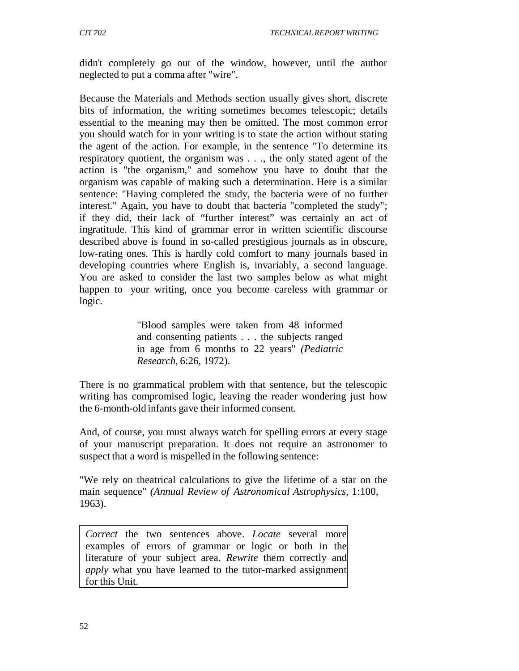didn't completely go out of the window, however, until the author neglected to put a comma after "wire".

Because the Materials and Methods section usually gives short, discrete bits of information, the writing sometimes becomes telescopic; details essential to the meaning may then be omitted. The most common error you should watch for in your writing is to state the action without stating the agent of the action. For example, in the sentence "To determine its respiratory quotient, the organism was . . ., the only stated agent of the action is "the organism," and somehow you have to doubt that the organism was capable of making such a determination. Here is a similar sentence: "Having completed the study, the bacteria were of no further interest." Again, you have to doubt that bacteria "completed the study"; if they did, their lack of "further interest" was certainly an act of ingratitude. This kind of grammar error in written scientific discourse described above is found in so-called prestigious journals as in obscure, low-rating ones. This is hardly cold comfort to many journals based in developing countries where English is, invariably, a second language. You are asked to consider the last two samples below as what might happen to your writing, once you become careless with grammar or logic.

> "Blood samples were taken from 48 informed and consenting patients . . . the subjects ranged in age from 6 months to 22 years" *(Pediatric Research,* 6:26, 1972).

There is no grammatical problem with that sentence, but the telescopic writing has compromised logic, leaving the reader wondering just how the 6-month-old infants gave their informed consent.

And, of course, you must always watch for spelling errors at every stage of your manuscript preparation. It does not require an astronomer to suspect that a word is mispelled in the following sentence:

"We rely on theatrical calculations to give the lifetime of a star on the main sequence" *(Annual Review of Astronomical Astrophysics*, 1:100*,* 1963).

*Correct* the two sentences above. *Locate* several more examples of errors of grammar or logic or both in the literature of your subject area. *Rewrite* them correctly and *apply* what you have learned to the tutor-marked assignment for this Unit.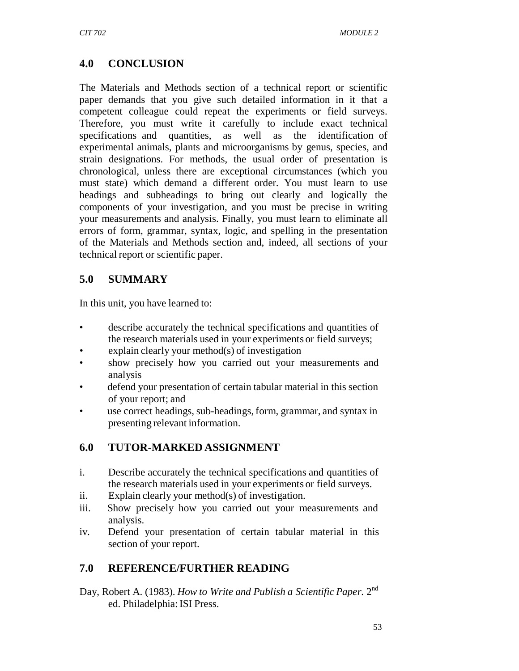## **4.0 CONCLUSION**

The Materials and Methods section of a technical report or scientific paper demands that you give such detailed information in it that a competent colleague could repeat the experiments or field surveys. Therefore, you must write it carefully to include exact technical specifications and quantities, as well as the identification of experimental animals, plants and microorganisms by genus, species, and strain designations. For methods, the usual order of presentation is chronological, unless there are exceptional circumstances (which you must state) which demand a different order. You must learn to use headings and subheadings to bring out clearly and logically the components of your investigation, and you must be precise in writing your measurements and analysis. Finally, you must learn to eliminate all errors of form, grammar, syntax, logic, and spelling in the presentation of the Materials and Methods section and, indeed, all sections of your technical report or scientific paper.

### **5.0 SUMMARY**

In this unit, you have learned to:

- describe accurately the technical specifications and quantities of the research materials used in your experiments or field surveys;
- explain clearly your method $(s)$  of investigation
- show precisely how you carried out your measurements and analysis
- defend your presentation of certain tabular material in this section of your report; and
- use correct headings, sub-headings, form, grammar, and syntax in presenting relevant information.

### **6.0 TUTOR-MARKED ASSIGNMENT**

- i. Describe accurately the technical specifications and quantities of the research materials used in your experiments or field surveys.
- ii. Explain clearly your method(s) of investigation.
- iii. Show precisely how you carried out your measurements and analysis.
- iv. Defend your presentation of certain tabular material in this section of your report.

### **7.0 REFERENCE/FURTHER READING**

Day, Robert A. (1983). *How to Write and Publish a Scientific Paper.* 2nd ed. Philadelphia: ISI Press.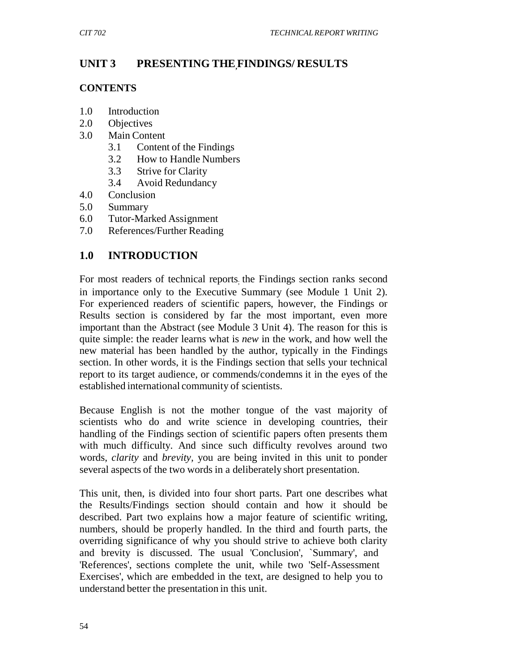### **UNIT 3 PRESENTING THE,FINDINGS/ RESULTS**

#### **CONTENTS**

- 1.0 Introduction
- 2.0 Objectives
- 3.0 Main Content
	- 3.1 Content of the Findings
	- 3.2 How to Handle Numbers
	- 3.3 Strive for Clarity
	- 3.4 Avoid Redundancy
- 4.0 Conclusion
- 5.0 Summary
- 6.0 Tutor-Marked Assignment
- 7.0 References/Further Reading

### **1.0 INTRODUCTION**

For most readers of technical reports; the Findings section ranks second in importance only to the Executive Summary (see Module 1 Unit 2). For experienced readers of scientific papers, however, the Findings or Results section is considered by far the most important, even more important than the Abstract (see Module 3 Unit 4). The reason for this is quite simple: the reader learns what is *new* in the work, and how well the new material has been handled by the author, typically in the Findings section. In other words, it is the Findings section that sells your technical report to its target audience, or commends/condemns it in the eyes of the established international community of scientists.

Because English is not the mother tongue of the vast majority of scientists who do and write science in developing countries, their handling of the Findings section of scientific papers often presents them with much difficulty. And since such difficulty revolves around two words, *clarity* and *brevity,* you are being invited in this unit to ponder several aspects of the two words in a deliberately short presentation.

This unit, then, is divided into four short parts. Part one describes what the Results/Findings section should contain and how it should be described. Part two explains how a major feature of scientific writing, numbers, should be properly handled. In the third and fourth parts, the overriding significance of why you should strive to achieve both clarity and brevity is discussed. The usual 'Conclusion', `Summary', and 'References', sections complete the unit, while two 'Self-Assessment Exercises', which are embedded in the text, are designed to help you to understand better the presentation in this unit.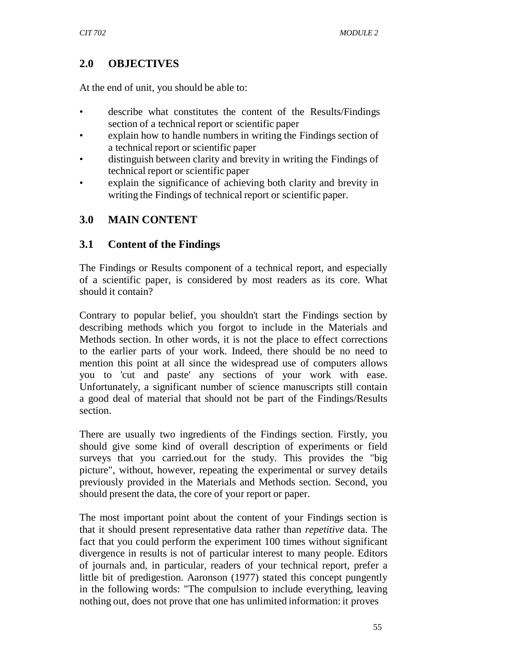### **2.0 OBJECTIVES**

At the end of unit*,* you should be able to:

- describe what constitutes the content of the Results/Findings section of a technical report or scientific paper
- explain how to handle numbers in writing the Findings section of a technical report or scientific paper
- distinguish between clarity and brevity in writing the Findings of technical report or scientific paper
- explain the significance of achieving both clarity and brevity in writing the Findings of technical report or scientific paper.

### **3.0 MAIN CONTENT**

### **3.1 Content of the Findings**

The Findings or Results component of a technical report, and especially of a scientific paper, is considered by most readers as its core. What should it contain?

Contrary to popular belief, you shouldn't start the Findings section by describing methods which you forgot to include in the Materials and Methods section. In other words, it is not the place to effect corrections to the earlier parts of your work. Indeed, there should be no need to mention this point at all since the widespread use of computers allows you to 'cut and paste' any sections of your work with ease. Unfortunately, a significant number of science manuscripts still contain a good deal of material that should not be part of the Findings/Results section.

There are usually two ingredients of the Findings section. Firstly, you should give some kind of overall description of experiments or field surveys that you carried.out for the study. This provides the "big picture", without, however, repeating the experimental or survey details previously provided in the Materials and Methods section. Second, you should present the data, the core of your report or paper.

The most important point about the content of your Findings section is that it should present representative data rather than *repetitive* data. The fact that you could perform the experiment 100 times without significant divergence in results is not of particular interest to many people. Editors of journals and, in particular, readers of your technical report, prefer a little bit of predigestion. Aaronson (1977) stated this concept pungently in the following words: "The compulsion to include everything, leaving nothing out, does not prove that one has unlimited information: it proves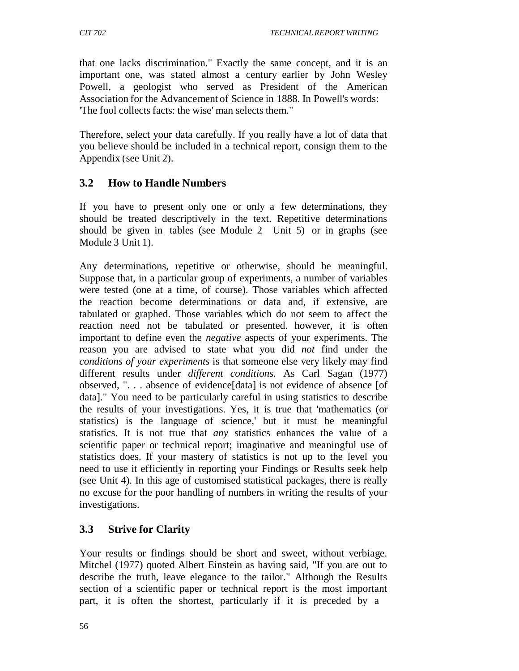that one lacks discrimination." Exactly the same concept, and it is an important one, was stated almost a century earlier by John Wesley Powell, a geologist who served as President of the American Association for the Advancement of Science in 1888. In Powell's words: 'The fool collects facts: the wise' man selects them."

Therefore, select your data carefully. If you really have a lot of data that you believe should be included in a technical report, consign them to the Appendix (see Unit 2).

### **3.2 How to Handle Numbers**

If you have to present only one or only a few determinations, they should be treated descriptively in the text. Repetitive determinations should be given in tables (see Module 2 Unit 5) or in graphs (see Module 3 Unit 1).

Any determinations, repetitive or otherwise, should be meaningful. Suppose that, in a particular group of experiments, a number of variables were tested (one at a time, of course). Those variables which affected the reaction become determinations or data and, if extensive, are tabulated or graphed. Those variables which do not seem to affect the reaction need not be tabulated or presented. however, it is often important to define even the *negative* aspects of your experiments. The reason you are advised to state what you did *not* find under the *conditions of your experiments* is that someone else very likely may find different results under *different conditions.* As Carl Sagan (1977) observed, ". . . absence of evidence[data] is not evidence of absence [of data]." You need to be particularly careful in using statistics to describe the results of your investigations. Yes, it is true that 'mathematics (or statistics) is the language of science,' but it must be meaningful statistics. It is not true that *any* statistics enhances the value of a scientific paper or technical report; imaginative and meaningful use of statistics does. If your mastery of statistics is not up to the level you need to use it efficiently in reporting your Findings or Results seek help (see Unit 4). In this age of customised statistical packages, there is really no excuse for the poor handling of numbers in writing the results of your investigations.

# **3.3 Strive for Clarity**

Your results or findings should be short and sweet, without verbiage. Mitchel (1977) quoted Albert Einstein as having said, "If you are out to describe the truth, leave elegance to the tailor." Although the Results section of a scientific paper or technical report is the most important part, it is often the shortest, particularly if it is preceded by a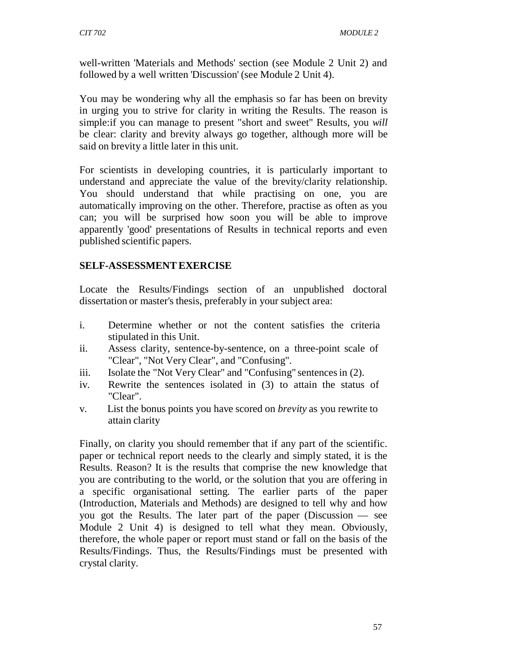well-written 'Materials and Methods' section (see Module 2 Unit 2) and followed by a well written 'Discussion' (see Module 2 Unit 4).

You may be wondering why all the emphasis so far has been on brevity in urging you to strive for clarity in writing the Results. The reason is simple:if you can manage to present "short and sweet" Results, you *will*  be clear: clarity and brevity always go together, although more will be said on brevity a little later in this unit.

For scientists in developing countries, it is particularly important to understand and appreciate the value of the brevity/clarity relationship. You should understand that while practising on one, you are automatically improving on the other. Therefore, practise as often as you can; you will be surprised how soon you will be able to improve apparently 'good' presentations of Results in technical reports and even published scientific papers.

### **SELF-ASSESSMENT EXERCISE**

Locate the Results/Findings section of an unpublished doctoral dissertation or master's thesis, preferably in your subject area:

- i. Determine whether or not the content satisfies the criteria stipulated in this Unit.
- ii. Assess clarity, sentence-by-sentence, on a three-point scale of "Clear", "Not Very Clear", and "Confusing".
- iii. Isolate the "Not Very Clear" and "Confusing" sentences in (2).
- iv. Rewrite the sentences isolated in (3) to attain the status of "Clear".
- v. List the bonus points you have scored on *brevity* as you rewrite to attain clarity

Finally, on clarity you should remember that if any part of the scientific. paper or technical report needs to the clearly and simply stated, it is the Results. Reason? It is the results that comprise the new knowledge that you are contributing to the world, or the solution that you are offering in a specific organisational setting. The earlier parts of the paper (Introduction, Materials and Methods) are designed to tell why and how you got the Results. The later part of the paper (Discussion — see Module 2 Unit 4) is designed to tell what they mean. Obviously, therefore, the whole paper or report must stand or fall on the basis of the Results/Findings. Thus, the Results/Findings must be presented with crystal clarity.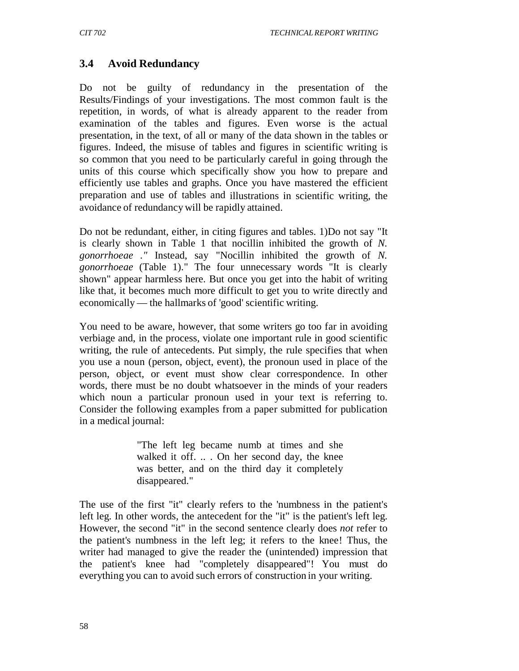### **3.4 Avoid Redundancy**

Do not be guilty of redundancy in the presentation of the Results/Findings of your investigations. The most common fault is the repetition, in words, of what is already apparent to the reader from examination of the tables and figures. Even worse is the actual presentation, in the text, of all or many of the data shown in the tables or figures. Indeed, the misuse of tables and figures in scientific writing is so common that you need to be particularly careful in going through the units of this course which specifically show you how to prepare and efficiently use tables and graphs. Once you have mastered the efficient preparation and use of tables and illustrations in scientific writing, the avoidance of redundancy will be rapidly attained.

Do not be redundant, either, in citing figures and tables. 1)Do not say "It is clearly shown in Table 1 that nocillin inhibited the growth of *N. gonorrhoeae ."* Instead, say "Nocillin inhibited the growth of *N. gonorrhoeae* (Table 1)." The four unnecessary words "It is clearly shown" appear harmless here. But once you get into the habit of writing like that, it becomes much more difficult to get you to write directly and economically — the hallmarks of 'good' scientific writing.

You need to be aware, however, that some writers go too far in avoiding verbiage and, in the process, violate one important rule in good scientific writing, the rule of antecedents. Put simply, the rule specifies that when you use a noun (person, object, event), the pronoun used in place of the person, object, or event must show clear correspondence. In other words, there must be no doubt whatsoever in the minds of your readers which noun a particular pronoun used in your text is referring to. Consider the following examples from a paper submitted for publication in a medical journal:

> "The left leg became numb at times and she walked it off. .. . On her second day, the knee was better, and on the third day it completely disappeared."

The use of the first "it" clearly refers to the 'numbness in the patient's left leg. In other words, the antecedent for the "it" is the patient's left leg. However, the second "it" in the second sentence clearly does *not* refer to the patient's numbness in the left leg; it refers to the knee! Thus, the writer had managed to give the reader the (unintended) impression that the patient's knee had "completely disappeared"! You must do everything you can to avoid such errors of construction in your writing.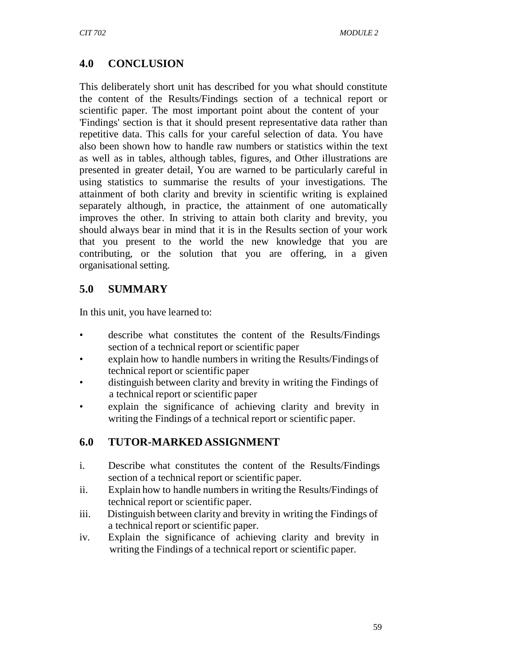### **4.0 CONCLUSION**

This deliberately short unit has described for you what should constitute the content of the Results/Findings section of a technical report or scientific paper. The most important point about the content of your 'Findings' section is that it should present representative data rather than repetitive data. This calls for your careful selection of data. You have also been shown how to handle raw numbers or statistics within the text as well as in tables, although tables, figures, and Other illustrations are presented in greater detail, You are warned to be particularly careful in using statistics to summarise the results of your investigations. The attainment of both clarity and brevity in scientific writing is explained separately although, in practice, the attainment of one automatically improves the other. In striving to attain both clarity and brevity, you should always bear in mind that it is in the Results section of your work that you present to the world the new knowledge that you are contributing, or the solution that you are offering, in a given organisational setting.

### **5.0 SUMMARY**

In this unit, you have learned to:

- describe what constitutes the content of the Results/Findings section of a technical report or scientific paper
- explain how to handle numbers in writing the Results/Findings of technical report or scientific paper
- distinguish between clarity and brevity in writing the Findings of a technical report or scientific paper
- explain the significance of achieving clarity and brevity in writing the Findings of a technical report or scientific paper.

### **6.0 TUTOR-MARKED ASSIGNMENT**

- i. Describe what constitutes the content of the Results/Findings section of a technical report or scientific paper.
- ii. Explain how to handle numbers in writing the Results/Findings of technical report or scientific paper.
- iii. Distinguish between clarity and brevity in writing the Findings of a technical report or scientific paper.
- iv. Explain the significance of achieving clarity and brevity in writing the Findings of a technical report or scientific paper.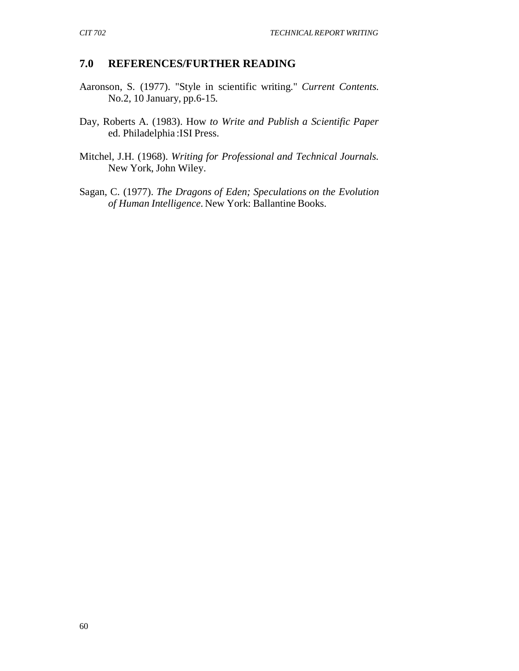#### **7.0 REFERENCES/FURTHER READING**

- Aaronson, S. (1977). "Style in scientific writing." *Current Contents.* No.2, 10 January, pp.6-15.
- Day, Roberts A. (1983). How *to Write and Publish a Scientific Paper* ed. Philadelphia :ISI Press.
- Mitchel, J.H. (1968). *Writing for Professional and Technical Journals.* New York, John Wiley.
- Sagan, C. (1977). *The Dragons of Eden; Speculations on the Evolution of Human Intelligence.* New York: Ballantine Books.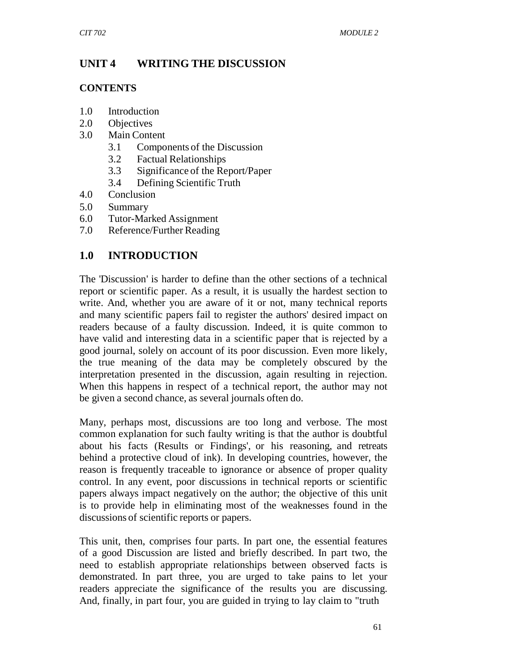## **UNIT 4 WRITING THE DISCUSSION**

### **CONTENTS**

- 1.0 Introduction
- 2.0 Objectives
- 3.0 Main Content
	- 3.1 Components of the Discussion
	- 3.2 Factual Relationships
	- 3.3 Significance of the Report/Paper
	- 3.4 Defining Scientific Truth
- 4.0 Conclusion
- 5.0 Summary
- 6.0 Tutor-Marked Assignment
- 7.0 Reference/Further Reading

## **1.0 INTRODUCTION**

The 'Discussion' is harder to define than the other sections of a technical report or scientific paper. As a result, it is usually the hardest section to write. And, whether you are aware of it or not, many technical reports and many scientific papers fail to register the authors' desired impact on readers because of a faulty discussion. Indeed, it is quite common to have valid and interesting data in a scientific paper that is rejected by a good journal, solely on account of its poor discussion. Even more likely, the true meaning of the data may be completely obscured by the interpretation presented in the discussion, again resulting in rejection. When this happens in respect of a technical report, the author may not be given a second chance, as several journals often do.

Many, perhaps most, discussions are too long and verbose. The most common explanation for such faulty writing is that the author is doubtful about his facts (Results or Findings', or his reasoning, and retreats behind a protective cloud of ink). In developing countries, however, the reason is frequently traceable to ignorance or absence of proper quality control. In any event, poor discussions in technical reports or scientific papers always impact negatively on the author; the objective of this unit is to provide help in eliminating most of the weaknesses found in the discussions of scientific reports or papers.

This unit, then, comprises four parts. In part one, the essential features of a good Discussion are listed and briefly described. In part two, the need to establish appropriate relationships between observed facts is demonstrated. In part three, you are urged to take pains to let your readers appreciate the significance of the results you are discussing. And, finally, in part four, you are guided in trying to lay claim to "truth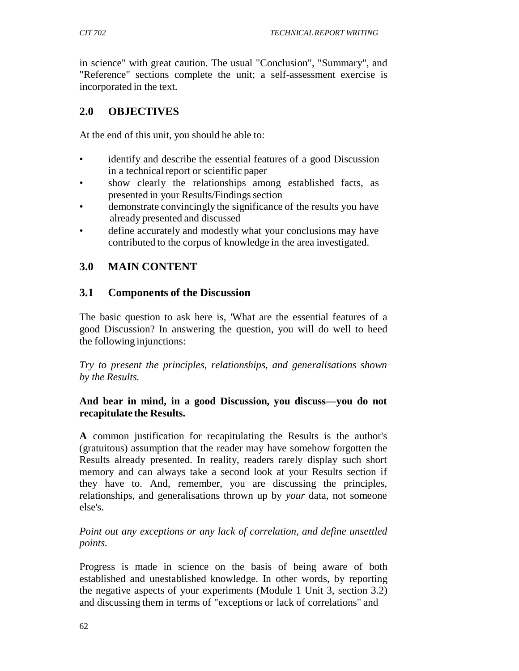in science" with great caution. The usual "Conclusion", "Summary", and "Reference" sections complete the unit; a self-assessment exercise is incorporated in the text.

## **2.0 OBJECTIVES**

At the end of this unit, you should he able to:

- identify and describe the essential features of a good Discussion in a technical report or scientific paper
- show clearly the relationships among established facts, as presented in your Results/Findings section
- demonstrate convincingly the significance of the results you have already presented and discussed
- define accurately and modestly what your conclusions may have contributed to the corpus of knowledge in the area investigated.

## **3.0 MAIN CONTENT**

### **3.1 Components of the Discussion**

The basic question to ask here is, 'What are the essential features of a good Discussion? In answering the question, you will do well to heed the following injunctions:

*Try to present the principles, relationships, and generalisations shown by the Results.*

#### **And bear in mind, in a good Discussion, you discuss—you do not recapitulate the Results.**

**A** common justification for recapitulating the Results is the author's (gratuitous) assumption that the reader may have somehow forgotten the Results already presented. In reality, readers rarely display such short memory and can always take a second look at your Results section if they have to. And, remember, you are discussing the principles, relationships, and generalisations thrown up by *your* data, not someone else's.

*Point out any exceptions or any lack of correlation, and define unsettled points.*

Progress is made in science on the basis of being aware of both established and unestablished knowledge. In other words, by reporting the negative aspects of your experiments (Module 1 Unit 3, section 3.2) and discussing them in terms of "exceptions or lack of correlations" and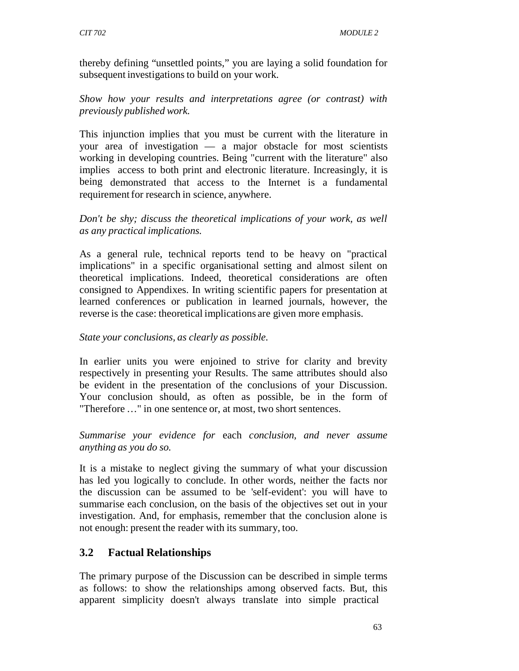thereby defining "unsettled points," you are laying a solid foundation for subsequent investigations to build on your work.

*Show how your results and interpretations agree (or contrast) with previously published work.*

This injunction implies that you must be current with the literature in your area of investigation — a major obstacle for most scientists working in developing countries. Being "current with the literature" also implies access to both print and electronic literature. Increasingly, it is being demonstrated that access to the Internet is a fundamental requirement for research in science, anywhere.

*Don't be shy; discuss the theoretical implications of your work, as well as any practical implications.*

As a general rule, technical reports tend to be heavy on "practical implications" in a specific organisational setting and almost silent on theoretical implications. Indeed, theoretical considerations are often consigned to Appendixes. In writing scientific papers for presentation at learned conferences or publication in learned journals, however, the reverse is the case: theoretical implications are given more emphasis.

*State your conclusions, as clearly as possible.*

In earlier units you were enjoined to strive for clarity and brevity respectively in presenting your Results. The same attributes should also be evident in the presentation of the conclusions of your Discussion. Your conclusion should, as often as possible, be in the form of "Therefore …" in one sentence or, at most, two short sentences.

*Summarise your evidence for* each *conclusion, and never assume anything as you do so.*

It is a mistake to neglect giving the summary of what your discussion has led you logically to conclude. In other words, neither the facts nor the discussion can be assumed to be 'self-evident': you will have to summarise each conclusion, on the basis of the objectives set out in your investigation. And, for emphasis, remember that the conclusion alone is not enough: present the reader with its summary, too.

# **3.2 Factual Relationships**

The primary purpose of the Discussion can be described in simple terms as follows: to show the relationships among observed facts. But, this apparent simplicity doesn't always translate into simple practical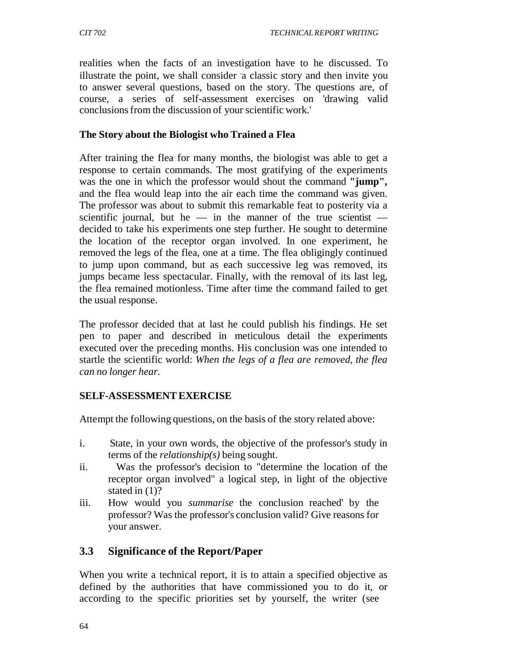realities when the facts of an investigation have to he discussed. To illustrate the point, we shall consider a classic story and then invite you to answer several questions, based on the story. The questions are, of course, a series of self-assessment exercises on 'drawing valid conclusions from the discussion of your scientific work.'

#### **The Story about the Biologist who Trained a Flea**

After training the flea for many months, the biologist was able to get a response to certain commands. The most gratifying of the experiments was the one in which the professor would shout the command **"jump",**  and the flea would leap into the air each time the command was given. The professor was about to submit this remarkable feat to posterity via a scientific journal, but he — in the manner of the true scientist decided to take his experiments one step further. He sought to determine the location of the receptor organ involved. In one experiment, he removed the legs of the flea, one at a time. The flea obligingly continued to jump upon command, but as each successive leg was removed, its jumps became less spectacular. Finally, with the removal of its last leg, the flea remained motionless. Time after time the command failed to get the usual response.

The professor decided that at last he could publish his findings. He set pen to paper and described in meticulous detail the experiments executed over the preceding months. His conclusion was one intended to startle the scientific world: *When the legs of a flea are removed, the flea can no longer hear.*

#### **SELF-ASSESSMENT EXERCISE**

Attempt the following questions, on the basis of the story related above:

- i. State, in your own words, the objective of the professor's study in terms of the *relationship(s)* being sought.
- ii. Was the professor's decision to "determine the location of the receptor organ involved" a logical step, in light of the objective stated in (1)?
- iii. How would you *summarise* the conclusion reached' by the professor? Was the professor's conclusion valid? Give reasons for your answer.

## **3.3 Significance of the Report/Paper**

When you write a technical report, it is to attain a specified objective as defined by the authorities that have commissioned you to do it, or according to the specific priorities set by yourself, the writer (see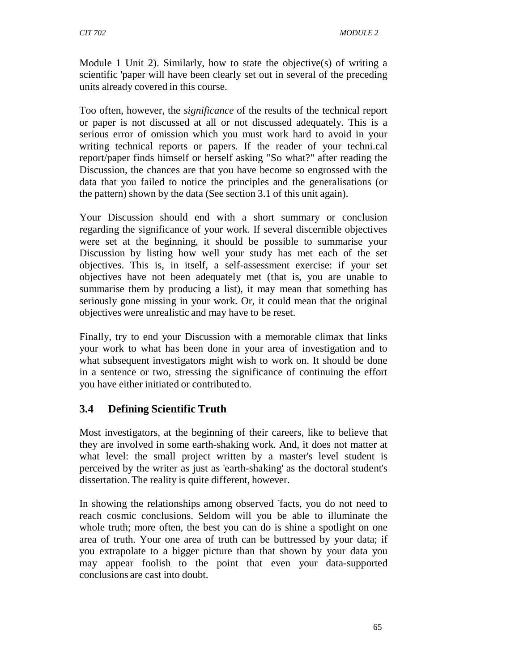Module 1 Unit 2). Similarly, how to state the objective(s) of writing a scientific 'paper will have been clearly set out in several of the preceding units already covered in this course.

Too often, however, the *significance* of the results of the technical report or paper is not discussed at all or not discussed adequately. This is a serious error of omission which you must work hard to avoid in your writing technical reports or papers. If the reader of your techni.cal report/paper finds himself or herself asking "So what?" after reading the Discussion, the chances are that you have become so engrossed with the data that you failed to notice the principles and the generalisations (or the pattern) shown by the data (See section 3.1 of this unit again).

Your Discussion should end with a short summary or conclusion regarding the significance of your work. If several discernible objectives were set at the beginning, it should be possible to summarise your Discussion by listing how well your study has met each of the set objectives. This is, in itself, a self-assessment exercise: if your set objectives have not been adequately met (that is, you are unable to summarise them by producing a list), it may mean that something has seriously gone missing in your work. Or, it could mean that the original objectives were unrealistic and may have to be reset.

Finally, try to end your Discussion with a memorable climax that links your work to what has been done in your area of investigation and to what subsequent investigators might wish to work on. It should be done in a sentence or two, stressing the significance of continuing the effort you have either initiated or contributed to.

# **3.4 Defining Scientific Truth**

Most investigators, at the beginning of their careers, like to believe that they are involved in some earth-shaking work. And, it does not matter at what level: the small project written by a master's level student is perceived by the writer as just as 'earth-shaking' as the doctoral student's dissertation. The reality is quite different, however.

In showing the relationships among observed facts, you do not need to reach cosmic conclusions. Seldom will you be able to illuminate the whole truth; more often, the best you can do is shine a spotlight on one area of truth. Your one area of truth can be buttressed by your data; if you extrapolate to a bigger picture than that shown by your data you may appear foolish to the point that even your data-supported conclusions are cast into doubt.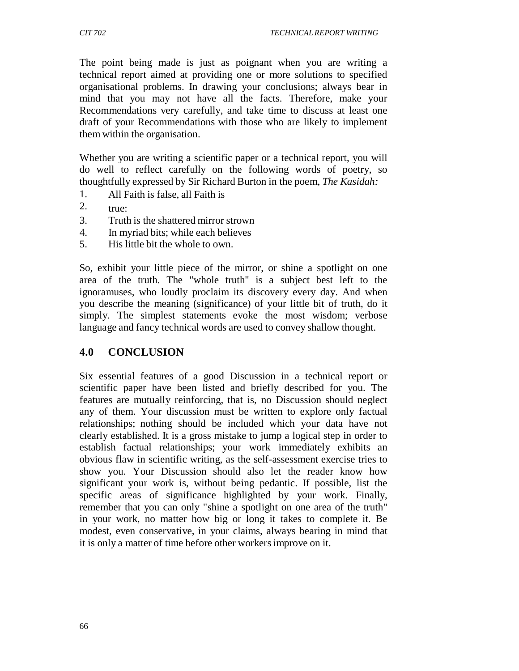The point being made is just as poignant when you are writing a technical report aimed at providing one or more solutions to specified organisational problems. In drawing your conclusions; always bear in mind that you may not have all the facts. Therefore, make your Recommendations very carefully, and take time to discuss at least one draft of your Recommendations with those who are likely to implement them within the organisation.

Whether you are writing a scientific paper or a technical report, you will do well to reflect carefully on the following words of poetry, so thoughtfully expressed by Sir Richard Burton in the poem, *The Kasidah:*

- 1. All Faith is false, all Faith is
- 2.  $true:$
- 3. Truth is the shattered mirror strown
- 4. In myriad bits; while each believes
- 5. His little bit the whole to own.

So, exhibit your little piece of the mirror, or shine a spotlight on one area of the truth. The "whole truth" is a subject best left to the ignoramuses, who loudly proclaim its discovery every day. And when you describe the meaning (significance) of your little bit of truth, do it simply. The simplest statements evoke the most wisdom; verbose language and fancy technical words are used to convey shallow thought.

#### **4.0 CONCLUSION**

Six essential features of a good Discussion in a technical report or scientific paper have been listed and briefly described for you. The features are mutually reinforcing, that is, no Discussion should neglect any of them. Your discussion must be written to explore only factual relationships; nothing should be included which your data have not clearly established. It is a gross mistake to jump a logical step in order to establish factual relationships; your work immediately exhibits an obvious flaw in scientific writing, as the self-assessment exercise tries to show you. Your Discussion should also let the reader know how significant your work is, without being pedantic. If possible, list the specific areas of significance highlighted by your work. Finally, remember that you can only "shine a spotlight on one area of the truth" in your work, no matter how big or long it takes to complete it. Be modest, even conservative, in your claims, always bearing in mind that it is only a matter of time before other workers improve on it.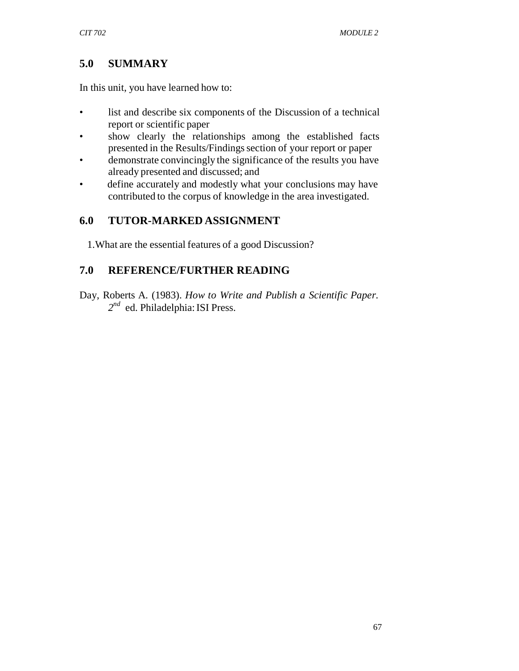## **5.0 SUMMARY**

In this unit, you have learned how to:

- list and describe six components of the Discussion of a technical report or scientific paper
- show clearly the relationships among the established facts presented in the Results/Findings section of your report or paper
- demonstrate convincingly the significance of the results you have already presented and discussed; and
- define accurately and modestly what your conclusions may have contributed to the corpus of knowledge in the area investigated.

## **6.0 TUTOR-MARKED ASSIGNMENT**

1.What are the essential features of a good Discussion?

## **7.0 REFERENCE/FURTHER READING**

Day, Roberts A. (1983). *How to Write and Publish a Scientific Paper. 2nd* ed. Philadelphia: ISI Press.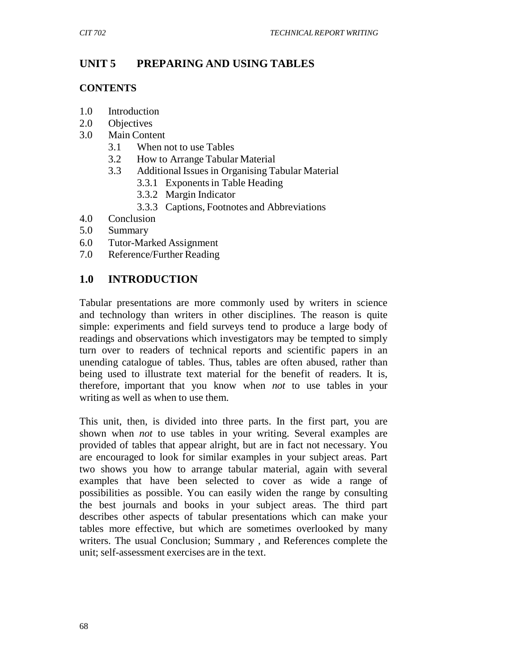## **UNIT 5 PREPARING AND USING TABLES**

#### **CONTENTS**

- 1.0 Introduction
- 2.0 Objectives
- 3.0 Main Content
	- 3.1 When not to use Tables
	- 3.2 How to Arrange Tabular Material
	- 3.3 Additional Issues in Organising Tabular Material
		- 3.3.1 Exponents in Table Heading
		- 3.3.2 Margin Indicator
		- 3.3.3 Captions, Footnotes and Abbreviations
- 4.0 Conclusion
- 5.0 Summary
- 6.0 Tutor-Marked Assignment
- 7.0 Reference/Further Reading

## **1.0 INTRODUCTION**

Tabular presentations are more commonly used by writers in science and technology than writers in other disciplines. The reason is quite simple: experiments and field surveys tend to produce a large body of readings and observations which investigators may be tempted to simply turn over to readers of technical reports and scientific papers in an unending catalogue of tables. Thus, tables are often abused, rather than being used to illustrate text material for the benefit of readers. It is, therefore, important that you know when *not* to use tables in your writing as well as when to use them.

This unit, then, is divided into three parts. In the first part, you are shown when *not* to use tables in your writing. Several examples are provided of tables that appear alright, but are in fact not necessary. You are encouraged to look for similar examples in your subject areas. Part two shows you how to arrange tabular material, again with several examples that have been selected to cover as wide a range of possibilities as possible. You can easily widen the range by consulting the best journals and books in your subject areas. The third part describes other aspects of tabular presentations which can make your tables more effective, but which are sometimes overlooked by many writers. The usual Conclusion; Summary , and References complete the unit; self-assessment exercises are in the text.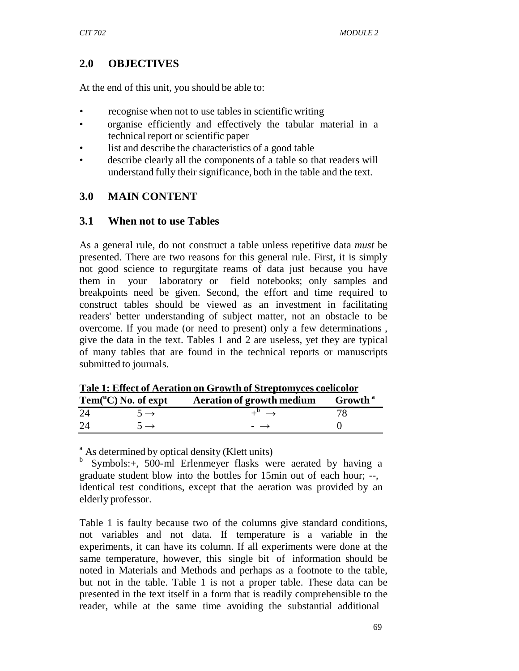## **2.0 OBJECTIVES**

At the end of this unit, you should be able to:

- recognise when not to use tables in scientific writing
- organise efficiently and effectively the tabular material in a technical report or scientific paper
- list and describe the characteristics of a good table
- describe clearly all the components of a table so that readers will understand fully their significance, both in the table and the text.

## **3.0 MAIN CONTENT**

#### **3.1 When not to use Tables**

As a general rule, do not construct a table unless repetitive data *must* be presented. There are two reasons for this general rule. First, it is simply not good science to regurgitate reams of data just because you have them in your laboratory or field notebooks; only samples and breakpoints need be given. Second, the effort and time required to construct tables should be viewed as an investment in facilitating readers' better understanding of subject matter, not an obstacle to be overcome. If you made (or need to present) only a few determinations , give the data in the text. Tables 1 and 2 are useless, yet they are typical of many tables that are found in the technical reports or manuscripts submitted to journals.

| Tale 1. Effect of Ael attoil on Growth of Streptomyces coeffcolor |                                                       |                                                                |  |  |
|-------------------------------------------------------------------|-------------------------------------------------------|----------------------------------------------------------------|--|--|
|                                                                   | $\mathrm{Tem}({}^{\mathrm{u}}\mathrm{C})$ No. of expt | <b>Example 3</b> Aeration of growth medium Growth <sup>a</sup> |  |  |
| 24                                                                | $5 \rightarrow$                                       | $\perp^{\nu} \rightarrow$                                      |  |  |
| 24                                                                | $\rightarrow$                                         | $\overline{\phantom{0}}$ $\rightarrow$                         |  |  |

**Tale 1: Effect of Aeration on Growth of Streptomyces coelicolor**

<sup>a</sup> As determined by optical density (Klett units)

Symbols:+, 500-ml Erlenmeyer flasks were aerated by having a graduate student blow into the bottles for 15min out of each hour; --, identical test conditions, except that the aeration was provided by an elderly professor.

Table 1 is faulty because two of the columns give standard conditions, not variables and not data. If temperature is a variable in the experiments, it can have its column. If all experiments were done at the same temperature, however, this single bit of information should be noted in Materials and Methods and perhaps as a footnote to the table, but not in the table. Table 1 is not a proper table. These data can be presented in the text itself in a form that is readily comprehensible to the reader, while at the same time avoiding the substantial additional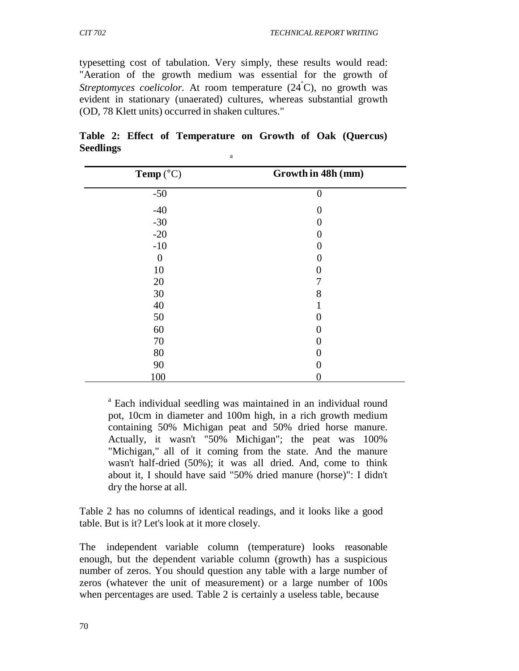typesetting cost of tabulation. Very simply, these results would read: "Aeration of the growth medium was essential for the growth of Streptomyces coelicolor. At room temperature (24<sup>°</sup>C), no growth was evident in stationary (unaerated) cultures, whereas substantial growth (OD, 78 Klett units) occurred in shaken cultures."

| Temp $(^{\circ}C)$ | Growth in 48h (mm) |
|--------------------|--------------------|
| $-50$              | $\theta$           |
| $-40$              |                    |
| $-30$              |                    |
| $-20$              |                    |
| $-10$              |                    |
| 0                  |                    |
| 10                 |                    |
| $20\,$             |                    |
| 30                 | 8                  |
| 40                 |                    |
| 50                 |                    |
| 60                 |                    |
| 70                 |                    |
| 80                 |                    |
| 90                 |                    |
| 100                |                    |

**Table 2: Effect of Temperature on Growth of Oak (Quercus) Seedlings** and the set of  $\frac{1}{a}$ 

<sup>a</sup> Each individual seedling was maintained in an individual round pot, 10cm in diameter and 100m high, in a rich growth medium containing 50% Michigan peat and 50% dried horse manure. Actually, it wasn't "50% Michigan"; the peat was 100% "Michigan," all of it coming from the state. And the manure wasn't half-dried (50%); it was all dried. And, come to think about it, I should have said "50% dried manure (horse)": I didn't dry the horse at all.

Table 2 has no columns of identical readings, and it looks like a good table. But is it? Let's look at it more closely.

The independent variable column (temperature) looks reasonable enough, but the dependent variable column (growth) has a suspicious number of zeros. You should question any table with a large number of zeros (whatever the unit of measurement) or a large number of 100s when percentages are used. Table 2 is certainly a useless table, because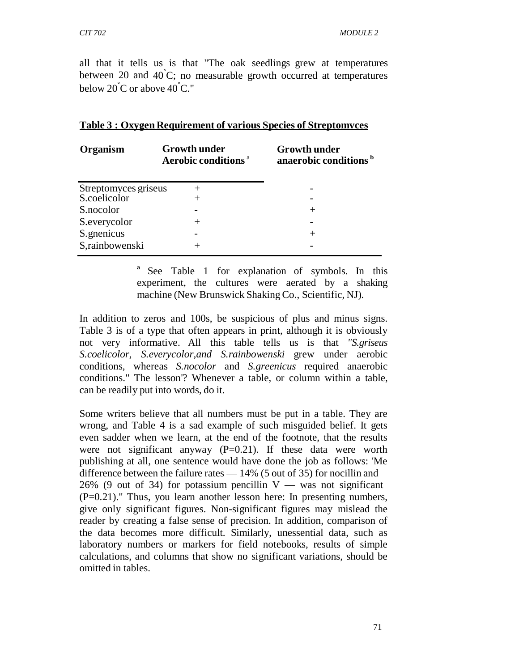all that it tells us is that "The oak seedlings grew at temperatures between 20 and  $40^{\circ}$ C; no measurable growth occurred at temperatures below  $20^{\circ}$ C or above  $40^{\circ}$ C."

| Organism                             | <b>Growth under</b><br>Aerobic conditions <sup>a</sup> | <b>Growth under</b><br>anaerobic conditions <sup>b</sup> |  |  |
|--------------------------------------|--------------------------------------------------------|----------------------------------------------------------|--|--|
| Streptomyces griseus<br>S.coelicolor |                                                        |                                                          |  |  |
| S.nocolor                            |                                                        |                                                          |  |  |
| S.everycolor                         |                                                        |                                                          |  |  |
| S.gnenicus                           |                                                        | $^+$                                                     |  |  |
| S,rainbowenski                       |                                                        |                                                          |  |  |

#### **Table 3 : Oxygen Requirement of various Species of Streptomvces**

<sup>a</sup> See Table 1 for explanation of symbols. In this experiment, the cultures were aerated by a shaking machine (New Brunswick Shaking Co., Scientific, NJ).

In addition to zeros and 100s, be suspicious of plus and minus signs. Table 3 is of a type that often appears in print, although it is obviously not very informative. All this table tells us is that *"S.griseus S.coelicolor, S.everycolor,and S.rainbowenski* grew under aerobic conditions, whereas *S.nocolor* and *S.greenicus* required anaerobic conditions." The lesson'? Whenever a table, or column within a table, can be readily put into words, do it.

Some writers believe that all numbers must be put in a table. They are wrong, and Table 4 is a sad example of such misguided belief. It gets even sadder when we learn, at the end of the footnote, that the results were not significant anyway  $(P=0.21)$ . If these data were worth publishing at all, one sentence would have done the job as follows: 'Me difference between the failure rates — 14% (5 out of 35) for nocillin and 26% (9 out of 34) for potassium pencillin  $V -$  was not significant (P=0.21)." Thus, you learn another lesson here: In presenting numbers, give only significant figures. Non-significant figures may mislead the reader by creating a false sense of precision. In addition, comparison of the data becomes more difficult. Similarly, unessential data, such as laboratory numbers or markers for field notebooks, results of simple calculations, and columns that show no significant variations, should be omitted in tables.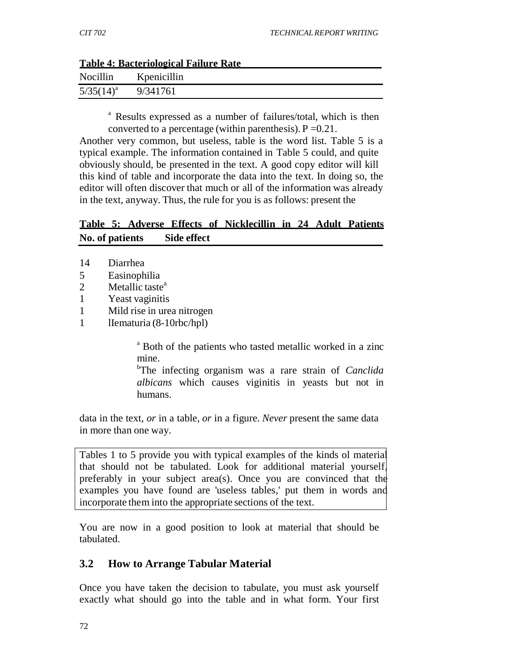| Table 4: Bacteriological Failure Rate |             |  |  |  |
|---------------------------------------|-------------|--|--|--|
| Nocillin                              | Kpenicillin |  |  |  |
| $5/35(14)^a$                          | 9/341761    |  |  |  |

#### **Table 4: Bacteriological Failure Rate**

<sup>a</sup> Results expressed as a number of failures/total, which is then converted to a percentage (within parenthesis).  $P = 0.21$ .

Another very common, but useless, table is the word list. Table 5 is a typical example. The information contained in Table 5 could, and quite obviously should, be presented in the text. A good copy editor will kill this kind of table and incorporate the data into the text. In doing so, the editor will often discover that much or all of the information was already in the text, anyway. Thus, the rule for you is as follows: present the

### **Table 5: Adverse Effects of Nicklecillin in 24 Adult Patients No. of patients Side effect**

- 14 Diarrhea
- 5 Easinophilia
- 2 Metallic taste<sup>a</sup>
- 1 Yeast vaginitis
- 1 Mild rise in urea nitrogen
- 1 lIematuria (8-10rbc/hpl)

a Both of the patients who tasted metallic worked in a zinc mine.

b The infecting organism was a rare strain of *Canclida albicans* which causes viginitis in yeasts but not in humans.

data in the text, *or* in a table, *or* in a figure. *Never* present the same data in more than one way.

Tables 1 to 5 provide you with typical examples of the kinds ol material that should not be tabulated. Look for additional material yourself, preferably in your subject area(s). Once you are convinced that the examples you have found are 'useless tables,' put them in words and incorporate them into the appropriate sections of the text.

You are now in a good position to look at material that should be tabulated.

### **3.2 How to Arrange Tabular Material**

Once you have taken the decision to tabulate, you must ask yourself exactly what should go into the table and in what form. Your first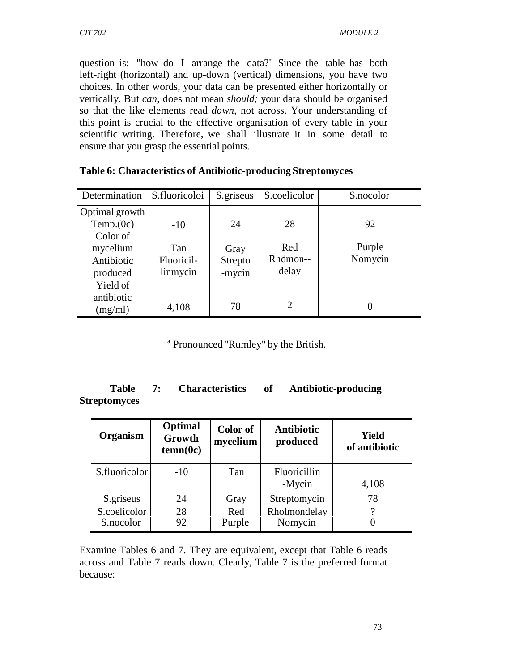question is: "how do I arrange the data?" Since the table has both left-right (horizontal) and up-down (vertical) dimensions, you have two choices. In other words, your data can be presented either horizontally or vertically. But *can,* does not mean *should;* your data should be organised so that the like elements read *down,* not across. Your understanding of this point is crucial to the effective organisation of every table in your scientific writing. Therefore, we shall illustrate it in some detail to ensure that you grasp the essential points.

| Determination  | S.fluoricoloi | S.griseus | S.coelicolor   | S.nocolor |
|----------------|---------------|-----------|----------------|-----------|
| Optimal growth |               |           |                |           |
| Temp.(0c)      | $-10$         | 24        | 28             | 92        |
| Color of       |               |           |                |           |
| mycelium       | Tan           | Gray      | Red            | Purple    |
| Antibiotic     | Fluoricil-    | Strepto   | Rhdmon--       | Nomycin   |
| produced       | linmycin      | -mycin    | delay          |           |
| Yield of       |               |           |                |           |
| antibiotic     |               |           |                |           |
| (mg/ml)        | 4,108         | 78        | $\overline{2}$ |           |

| Table 6: Characteristics of Antibiotic-producing Streptomyces |  |  |  |
|---------------------------------------------------------------|--|--|--|
|---------------------------------------------------------------|--|--|--|

a Pronounced "Rumley" by the British.

#### **Table 7: Characteristics of Antibiotic-producing Streptomyces**

| Organism                  | Optimal<br>Growth<br>tenn(0c) | Color of<br>mycelium | Antibiotic<br>produced  | Yield<br>of antibiotic |
|---------------------------|-------------------------------|----------------------|-------------------------|------------------------|
| S.fluoricolor             | $-10$                         | Tan                  | Fluoricillin<br>-Mycin  | 4,108                  |
| S.griseus                 | 24                            | Gray                 | Streptomycin            | 78                     |
| S.coelicolor<br>S.nocolor | 28<br>92                      | Red<br>Purple        | Rholmondelay<br>Nomycin | 9                      |

Examine Tables 6 and 7. They are equivalent, except that Table 6 reads across and Table 7 reads down. Clearly, Table 7 is the preferred format because: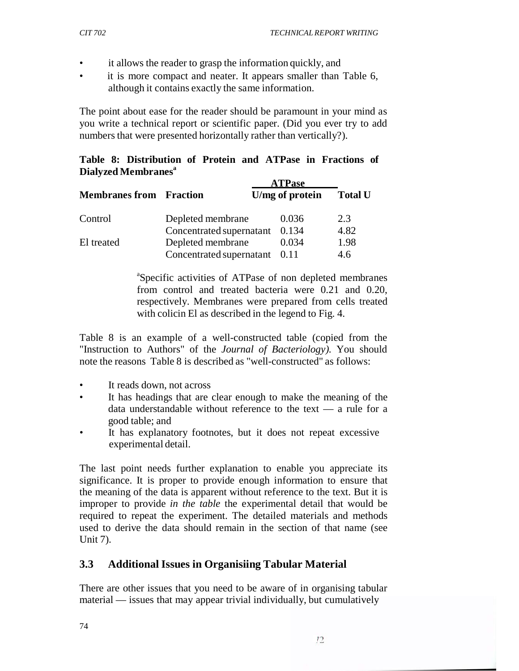- it allows the reader to grasp the information quickly, and
- it is more compact and neater. It appears smaller than Table 6, although it contains exactly the same information.

The point about ease for the reader should be paramount in your mind as you write a technical report or scientific paper. (Did you ever try to add numbers that were presented horizontally rather than vertically?).

**Table 8: Distribution of Protein and ATPase in Fractions of Dialyzed Membranesa**

|                                |                          | <b>ATPase</b>   | <b>Total U</b> |  |
|--------------------------------|--------------------------|-----------------|----------------|--|
| <b>Membranes from Fraction</b> |                          | U/mg of protein |                |  |
| Control                        | Depleted membrane        | 0.036           | 2.3            |  |
|                                | Concentrated supernatant | 0.134           | 4.82           |  |
| El treated                     | Depleted membrane        | 0.034           | 1.98           |  |
|                                | Concentrated supernatant | 0.11            | 4.6            |  |

a Specific activities of ATPase of non depleted membranes from control and treated bacteria were 0.21 and 0.20, respectively. Membranes were prepared from cells treated with colicin El as described in the legend to Fig. 4.

Table 8 is an example of a well-constructed table (copied from the "Instruction to Authors" of the *Journal of Bacteriology).* You should note the reasons Table 8 is described as "well-constructed" as follows:

- It reads down, not across
- It has headings that are clear enough to make the meaning of the data understandable without reference to the text — a rule for a good table; and
- It has explanatory footnotes, but it does not repeat excessive experimental detail.

The last point needs further explanation to enable you appreciate its significance. It is proper to provide enough information to ensure that the meaning of the data is apparent without reference to the text. But it is improper to provide *in the table* the experimental detail that would be required to repeat the experiment. The detailed materials and methods used to derive the data should remain in the section of that name (see Unit 7).

## **3.3 Additional Issues in Organisiing Tabular Material**

There are other issues that you need to be aware of in organising tabular material — issues that may appear trivial individually, but cumulatively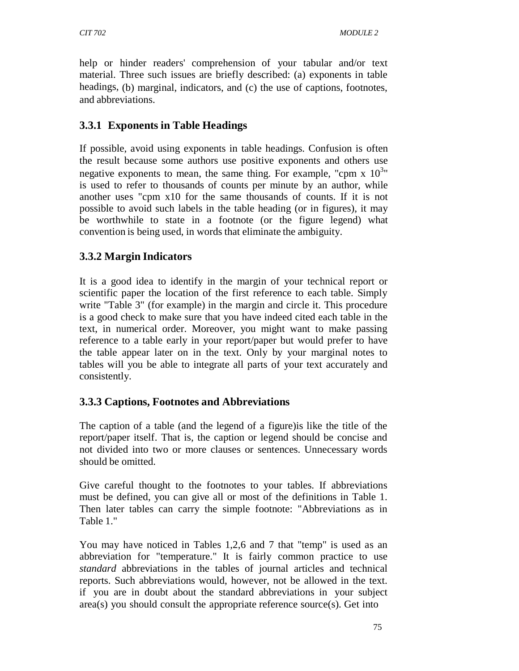help or hinder readers' comprehension of your tabular and/or text material. Three such issues are briefly described: (a) exponents in table headings, (b) marginal, indicators, and (c) the use of captions, footnotes, and abbreviations.

## **3.3.1 Exponents in Table Headings**

If possible, avoid using exponents in table headings. Confusion is often the result because some authors use positive exponents and others use negative exponents to mean, the same thing. For example, "cpm  $\bar{x}$  10<sup>3</sup>" is used to refer to thousands of counts per minute by an author, while another uses "cpm x10 for the same thousands of counts. If it is not possible to avoid such labels in the table heading (or in figures), it may be worthwhile to state in a footnote (or the figure legend) what convention is being used, in words that eliminate the ambiguity.

## **3.3.2 Margin Indicators**

It is a good idea to identify in the margin of your technical report or scientific paper the location of the first reference to each table. Simply write "Table 3" (for example) in the margin and circle it. This procedure is a good check to make sure that you have indeed cited each table in the text, in numerical order. Moreover, you might want to make passing reference to a table early in your report/paper but would prefer to have the table appear later on in the text. Only by your marginal notes to tables will you be able to integrate all parts of your text accurately and consistently.

## **3.3.3 Captions, Footnotes and Abbreviations**

The caption of a table (and the legend of a figure)is like the title of the report/paper itself. That is, the caption or legend should be concise and not divided into two or more clauses or sentences. Unnecessary words should be omitted.

Give careful thought to the footnotes to your tables. If abbreviations must be defined, you can give all or most of the definitions in Table 1. Then later tables can carry the simple footnote: "Abbreviations as in Table 1."

You may have noticed in Tables 1,2,6 and 7 that "temp" is used as an abbreviation for "temperature." It is fairly common practice to use *standard* abbreviations in the tables of journal articles and technical reports. Such abbreviations would, however, not be allowed in the text. if you are in doubt about the standard abbreviations in your subject area(s) you should consult the appropriate reference source(s). Get into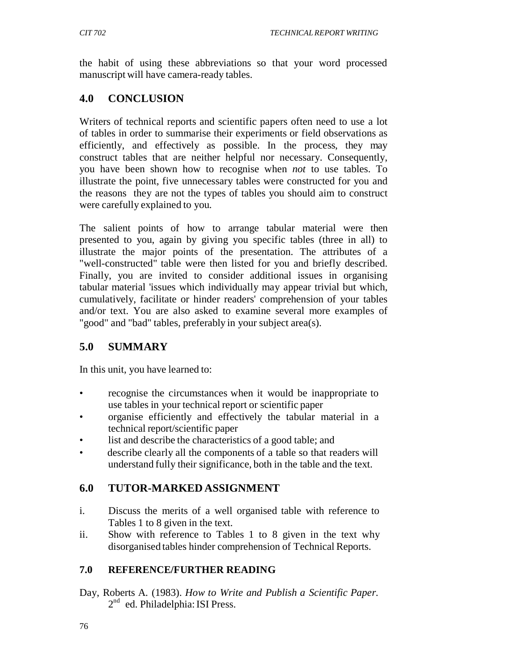the habit of using these abbreviations so that your word processed manuscript will have camera-ready tables.

## **4.0 CONCLUSION**

Writers of technical reports and scientific papers often need to use a lot of tables in order to summarise their experiments or field observations as efficiently, and effectively as possible. In the process, they may construct tables that are neither helpful nor necessary. Consequently, you have been shown how to recognise when *not* to use tables. To illustrate the point, five unnecessary tables were constructed for you and the reasons they are not the types of tables you should aim to construct were carefully explained to you.

The salient points of how to arrange tabular material were then presented to you, again by giving you specific tables (three in all) to illustrate the major points of the presentation. The attributes of a "well-constructed" table were then listed for you and briefly described. Finally, you are invited to consider additional issues in organising tabular material 'issues which individually may appear trivial but which, cumulatively, facilitate or hinder readers' comprehension of your tables and/or text. You are also asked to examine several more examples of "good" and "bad" tables, preferably in your subject area(s).

# **5.0 SUMMARY**

In this unit, you have learned to:

- recognise the circumstances when it would be inappropriate to use tables in your technical report or scientific paper
- organise efficiently and effectively the tabular material in a technical report/scientific paper
- list and describe the characteristics of a good table; and
- describe clearly all the components of a table so that readers will understand fully their significance, both in the table and the text.

# **6.0 TUTOR-MARKED ASSIGNMENT**

- i. Discuss the merits of a well organised table with reference to Tables 1 to 8 given in the text.
- ii. Show with reference to Tables 1 to 8 given in the text why disorganised tables hinder comprehension of Technical Reports.

## **7.0 REFERENCE/FURTHER READING**

Day, Roberts A. (1983). *How to Write and Publish a Scientific Paper.*  $2<sup>nd</sup>$  ed. Philadelphia: ISI Press.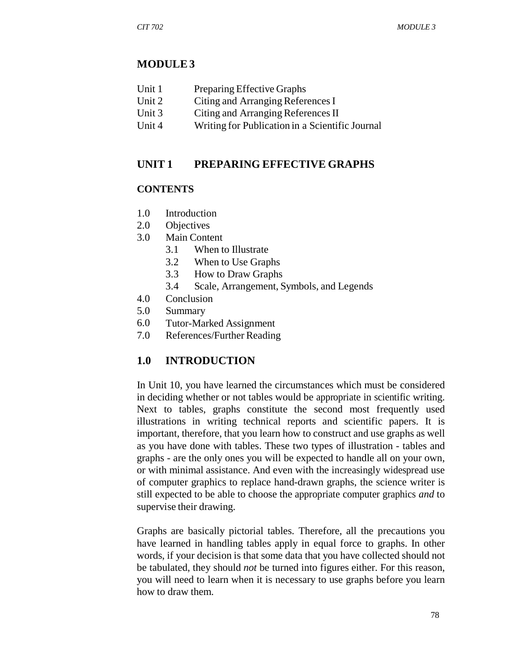### **MODULE 3**

| Unit 1 | Preparing Effective Graphs |
|--------|----------------------------|
|--------|----------------------------|

- Unit 2 Citing and Arranging References I
- Unit 3 Citing and Arranging References II
- Unit 4 Writing for Publication in a Scientific Journal

#### **UNIT 1 PREPARING EFFECTIVE GRAPHS**

#### **CONTENTS**

- 1.0 Introduction
- 2.0 Objectives
- 3.0 Main Content
	- 3.1 When to Illustrate
	- 3.2 When to Use Graphs
	- 3.3 How to Draw Graphs
	- 3.4 Scale, Arrangement, Symbols, and Legends
- 4.0 Conclusion
- 5.0 Summary
- 6.0 Tutor-Marked Assignment
- 7.0 References/Further Reading

### **1.0 INTRODUCTION**

In Unit 10, you have learned the circumstances which must be considered in deciding whether or not tables would be appropriate in scientific writing. Next to tables, graphs constitute the second most frequently used illustrations in writing technical reports and scientific papers. It is important, therefore, that you learn how to construct and use graphs as well as you have done with tables. These two types of illustration - tables and graphs - are the only ones you will be expected to handle all on your own, or with minimal assistance. And even with the increasingly widespread use of computer graphics to replace hand-drawn graphs, the science writer is still expected to be able to choose the appropriate computer graphics *and* to supervise their drawing.

Graphs are basically pictorial tables. Therefore, all the precautions you have learned in handling tables apply in equal force to graphs. In other words, if your decision is that some data that you have collected should not be tabulated, they should *not* be turned into figures either. For this reason, you will need to learn when it is necessary to use graphs before you learn how to draw them.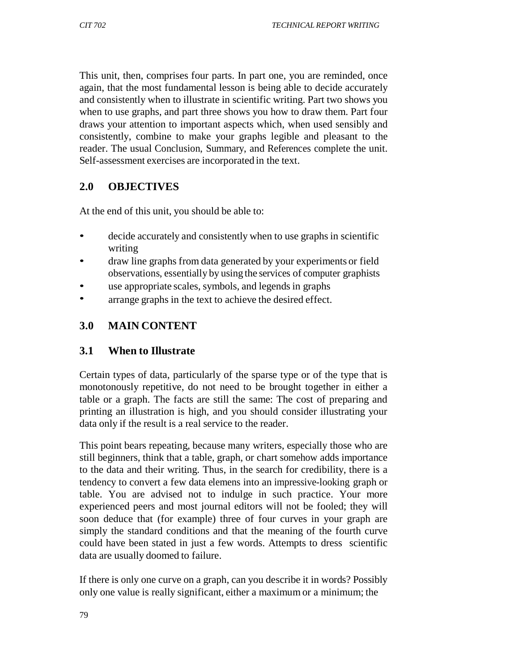This unit, then, comprises four parts. In part one, you are reminded, once again, that the most fundamental lesson is being able to decide accurately and consistently when to illustrate in scientific writing. Part two shows you when to use graphs, and part three shows you how to draw them. Part four draws your attention to important aspects which, when used sensibly and consistently, combine to make your graphs legible and pleasant to the reader. The usual Conclusion, Summary, and References complete the unit. Self-assessment exercises are incorporated in the text.

## **2.0 OBJECTIVES**

At the end of this unit, you should be able to:

- decide accurately and consistently when to use graphs in scientific writing
- draw line graphs from data generated by your experiments or field observations, essentially by using the services of computer graphists
- use appropriate scales, symbols, and legends in graphs
- arrange graphs in the text to achieve the desired effect.

# **3.0 MAIN CONTENT**

## **3.1 When to Illustrate**

Certain types of data, particularly of the sparse type or of the type that is monotonously repetitive, do not need to be brought together in either a table or a graph. The facts are still the same: The cost of preparing and printing an illustration is high, and you should consider illustrating your data only if the result is a real service to the reader.

This point bears repeating, because many writers, especially those who are still beginners, think that a table, graph, or chart somehow adds importance to the data and their writing. Thus, in the search for credibility, there is a tendency to convert a few data elemens into an impressive-looking graph or table. You are advised not to indulge in such practice. Your more experienced peers and most journal editors will not be fooled; they will soon deduce that (for example) three of four curves in your graph are simply the standard conditions and that the meaning of the fourth curve could have been stated in just a few words. Attempts to dress scientific data are usually doomed to failure.

If there is only one curve on a graph, can you describe it in words? Possibly only one value is really significant, either a maximum or a minimum; the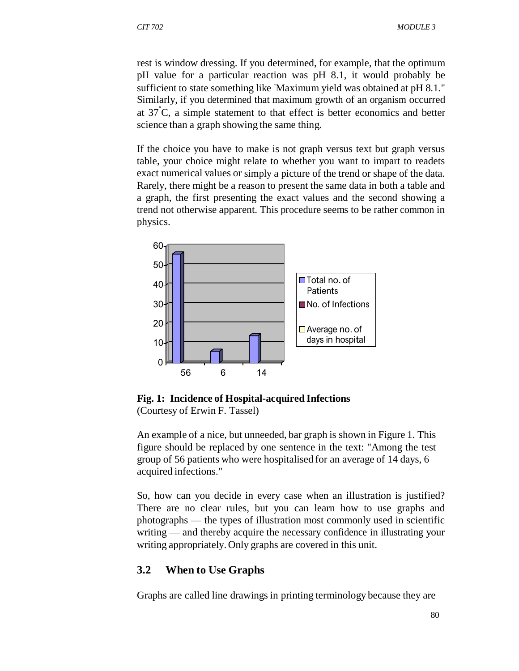rest is window dressing. If you determined, for example, that the optimum pII value for a particular reaction was pH 8.1, it would probably be sufficient to state something like Maximum yield was obtained at pH 8.1." Similarly, if you determined that maximum growth of an organism occurred at  $37^{\circ}$ C, a simple statement to that effect is better economics and better science than a graph showing the same thing.

If the choice you have to make is not graph versus text but graph versus table, your choice might relate to whether you want to impart to readets exact numerical values or simply a picture of the trend or shape of the data. Rarely, there might be a reason to present the same data in both a table and a graph, the first presenting the exact values and the second showing a trend not otherwise apparent. This procedure seems to be rather common in physics.



**Fig. 1: Incidence of Hospital-acquired Infections**

(Courtesy of Erwin F. Tassel)

An example of a nice, but unneeded, bar graph is shown in Figure 1. This figure should be replaced by one sentence in the text: "Among the test group of 56 patients who were hospitalised for an average of 14 days, 6 acquired infections."

So, how can you decide in every case when an illustration is justified? There are no clear rules, but you can learn how to use graphs and photographs — the types of illustration most commonly used in scientific writing — and thereby acquire the necessary confidence in illustrating your writing appropriately. Only graphs are covered in this unit.

### **3.2 When to Use Graphs**

Graphs are called line drawings in printing terminology because they are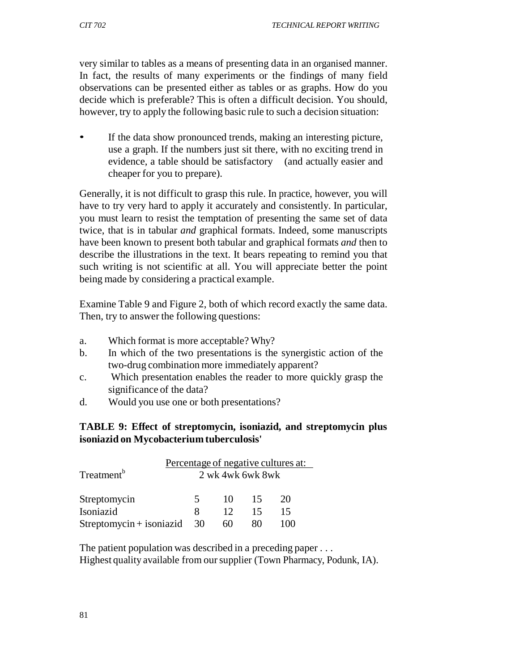very similar to tables as a means of presenting data in an organised manner. In fact, the results of many experiments or the findings of many field observations can be presented either as tables or as graphs. How do you decide which is preferable? This is often a difficult decision. You should, however, try to apply the following basic rule to such a decision situation:

If the data show pronounced trends, making an interesting picture, use a graph. If the numbers just sit there, with no exciting trend in evidence, a table should be satisfactory (and actually easier and cheaper for you to prepare).

Generally, it is not difficult to grasp this rule. In practice, however, you will have to try very hard to apply it accurately and consistently. In particular, you must learn to resist the temptation of presenting the same set of data twice, that is in tabular *and* graphical formats. Indeed, some manuscripts have been known to present both tabular and graphical formats *and* then to describe the illustrations in the text. It bears repeating to remind you that such writing is not scientific at all. You will appreciate better the point being made by considering a practical example.

Examine Table 9 and Figure 2, both of which record exactly the same data. Then, try to answer the following questions:

- a. Which format is more acceptable? Why?
- b. In which of the two presentations is the synergistic action of the two-drug combination more immediately apparent?
- c. Which presentation enables the reader to more quickly grasp the significance of the data?
- d. Would you use one or both presentations?

### **TABLE 9: Effect of streptomycin, isoniazid, and streptomycin plus isoniazid on Mycobacterium tuberculosis'**

|                          | Percentage of negative cultures at:<br>2 wk 4wk 6wk 8wk |                 |    |    |  |
|--------------------------|---------------------------------------------------------|-----------------|----|----|--|
| Treatment <sup>b</sup>   |                                                         |                 |    |    |  |
| Streptomycin             | $\overline{\mathcal{L}}$                                | 10              | 15 | 20 |  |
| Isoniazid                | я                                                       | 12 <sup>°</sup> | 15 | 15 |  |
| Streptomycin + isoniazid | 30                                                      | 60              | 80 |    |  |

The patient population was described in a preceding paper . . . Highest quality available from our supplier (Town Pharmacy, Podunk, IA).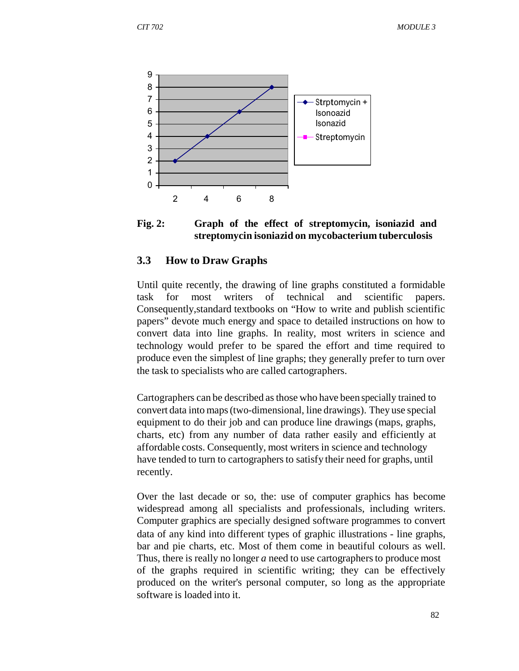



#### **3.3 How to Draw Graphs**

Until quite recently, the drawing of line graphs constituted a formidable task for most writers of technical and scientific papers. Consequently,standard textbooks on "How to write and publish scientific papers" devote much energy and space to detailed instructions on how to convert data into line graphs. In reality, most writers in science and technology would prefer to be spared the effort and time required to produce even the simplest of line graphs; they generally prefer to turn over the task to specialists who are called cartographers.

Cartographers can be described as those who have been specially trained to convert data into maps (two-dimensional, line drawings). They use special equipment to do their job and can produce line drawings (maps, graphs, charts, etc) from any number of data rather easily and efficiently at affordable costs. Consequently, most writers in science and technology have tended to turn to cartographers to satisfy their need for graphs, until recently.

Over the last decade or so, the: use of computer graphics has become widespread among all specialists and professionals, including writers. Computer graphics are specially designed software programmes to convert data of any kind into different types of graphic illustrations - line graphs, bar and pie charts, etc. Most of them come in beautiful colours as well. Thus, there is really no longer *a* need to use cartographers to produce most of the graphs required in scientific writing; they can be effectively produced on the writer's personal computer, so long as the appropriate software is loaded into it.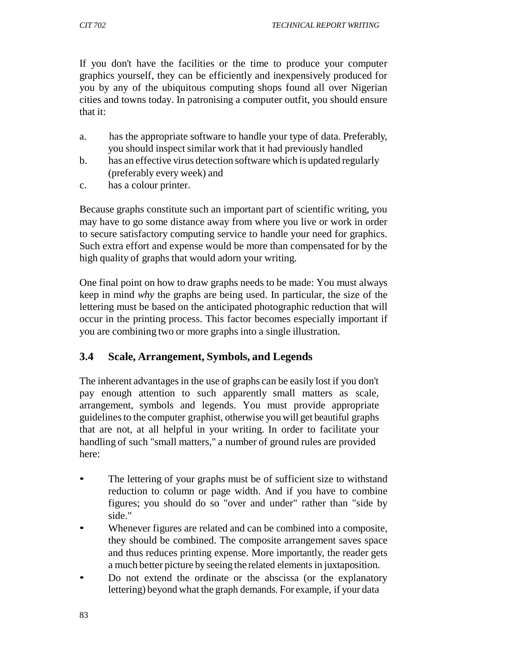If you don't have the facilities or the time to produce your computer graphics yourself, they can be efficiently and inexpensively produced for you by any of the ubiquitous computing shops found all over Nigerian cities and towns today. In patronising a computer outfit, you should ensure that it:

- a. has the appropriate software to handle your type of data. Preferably, you should inspect similar work that it had previously handled
- b. has an effective virus detection software which is updated regularly (preferably every week) and
- c. has a colour printer.

Because graphs constitute such an important part of scientific writing, you may have to go some distance away from where you live or work in order to secure satisfactory computing service to handle your need for graphics. Such extra effort and expense would be more than compensated for by the high quality of graphs that would adorn your writing.

One final point on how to draw graphs needs to be made: You must always keep in mind *why* the graphs are being used. In particular, the size of the lettering must be based on the anticipated photographic reduction that will occur in the printing process. This factor becomes especially important if you are combining two or more graphs into a single illustration.

## **3.4 Scale, Arrangement, Symbols, and Legends**

The inherent advantages in the use of graphs can be easily lost if you don't pay enough attention to such apparently small matters as scale, arrangement, symbols and legends. You must provide appropriate guidelines to the computer graphist, otherwise you will get beautiful graphs that are not, at all helpful in your writing. In order to facilitate your handling of such "small matters," a number of ground rules are provided here:

- The lettering of your graphs must be of sufficient size to withstand reduction to column or page width. And if you have to combine figures; you should do so "over and under" rather than "side by side."
- Whenever figures are related and can be combined into a composite, they should be combined. The composite arrangement saves space and thus reduces printing expense. More importantly, the reader gets a much better picture by seeing the related elements in juxtaposition.
- Do not extend the ordinate or the abscissa (or the explanatory lettering) beyond what the graph demands. For example, if your data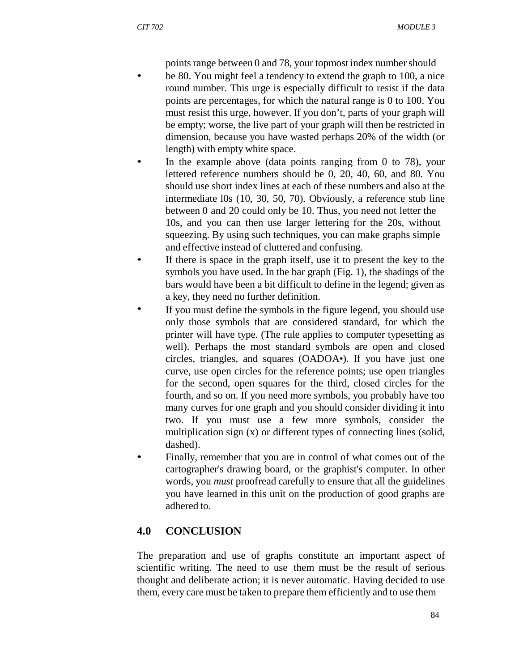points range between 0 and 78, your topmost index number should

- be 80. You might feel a tendency to extend the graph to 100, a nice round number. This urge is especially difficult to resist if the data points are percentages, for which the natural range is 0 to 100. You must resist this urge, however. If you don't, parts of your graph will be empty; worse, the live part of your graph will then be restricted in dimension, because you have wasted perhaps 20% of the width (or length) with empty white space.
- In the example above (data points ranging from  $0$  to 78), your lettered reference numbers should be 0, 20, 40, 60, and 80. You should use short index lines at each of these numbers and also at the intermediate l0s (10, 30, 50, 70). Obviously, a reference stub line between 0 and 20 could only be 10. Thus, you need not letter the 10s, and you can then use larger lettering for the 20s, without squeezing. By using such techniques, you can make graphs simple and effective instead of cluttered and confusing.
- If there is space in the graph itself, use it to present the key to the symbols you have used. In the bar graph (Fig. 1), the shadings of the bars would have been a bit difficult to define in the legend; given as a key, they need no further definition.
- If you must define the symbols in the figure legend, you should use only those symbols that are considered standard, for which the printer will have type. (The rule applies to computer typesetting as well). Perhaps the most standard symbols are open and closed circles, triangles, and squares (OADOA•). If you have just one curve, use open circles for the reference points; use open triangles for the second, open squares for the third, closed circles for the fourth, and so on. If you need more symbols, you probably have too many curves for one graph and you should consider dividing it into two. If you must use a few more symbols, consider the multiplication sign (x) or different types of connecting lines (solid, dashed).
- Finally, remember that you are in control of what comes out of the cartographer's drawing board, or the graphist's computer. In other words, you *must* proofread carefully to ensure that all the guidelines you have learned in this unit on the production of good graphs are adhered to.

## **4.0 CONCLUSION**

The preparation and use of graphs constitute an important aspect of scientific writing. The need to use them must be the result of serious thought and deliberate action; it is never automatic. Having decided to use them, every care must be taken to prepare them efficiently and to use them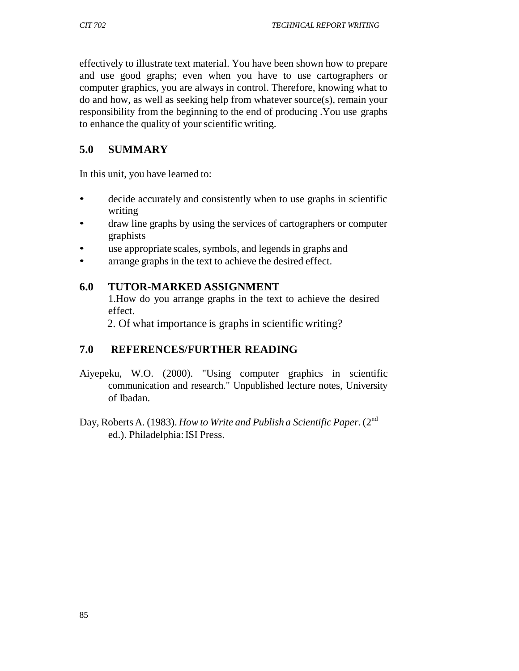effectively to illustrate text material. You have been shown how to prepare and use good graphs; even when you have to use cartographers or computer graphics, you are always in control. Therefore, knowing what to do and how, as well as seeking help from whatever source(s), remain your responsibility from the beginning to the end of producing .You use graphs to enhance the quality of your scientific writing.

## **5.0 SUMMARY**

In this unit, you have learned to:

- decide accurately and consistently when to use graphs in scientific writing
- draw line graphs by using the services of cartographers or computer graphists
- use appropriate scales, symbols, and legends in graphs and
- arrange graphs in the text to achieve the desired effect.

## **6.0 TUTOR-MARKED ASSIGNMENT**

1.How do you arrange graphs in the text to achieve the desired effect.

2. Of what importance is graphs in scientific writing?

# **7.0 REFERENCES/FURTHER READING**

- Aiyepeku, W.O. (2000). "Using computer graphics in scientific communication and research." Unpublished lecture notes, University of Ibadan.
- Day, Roberts A. (1983). *How to Write and Publish a Scientific Paper*. (2<sup>nd</sup> ed.). Philadelphia: ISI Press.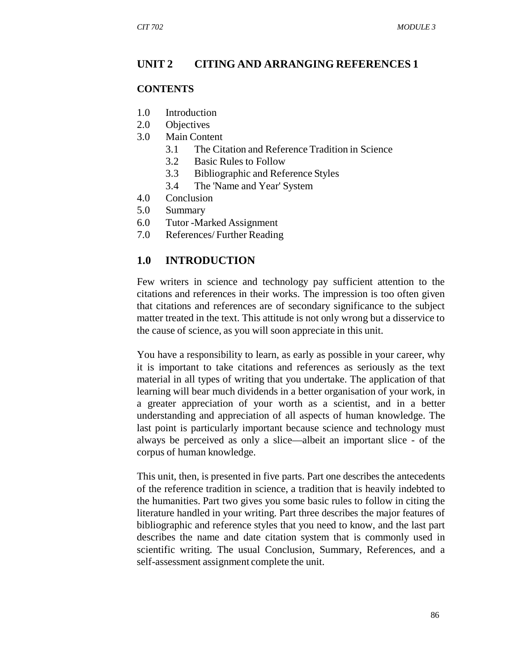#### **UNIT 2 CITING AND ARRANGING REFERENCES 1**

#### **CONTENTS**

- 1.0 Introduction
- 2.0 Objectives
- 3.0 Main Content
	- 3.1 The Citation and Reference Tradition in Science
	- 3.2 Basic Rules to Follow
	- 3.3 Bibliographic and Reference Styles
	- 3.4 The 'Name and Year' System
- 4.0 Conclusion
- 5.0 Summary
- 6.0 Tutor -Marked Assignment
- 7.0 References/ Further Reading

#### **1.0 INTRODUCTION**

Few writers in science and technology pay sufficient attention to the citations and references in their works. The impression is too often given that citations and references are of secondary significance to the subject matter treated in the text. This attitude is not only wrong but a disservice to the cause of science, as you will soon appreciate in this unit.

You have a responsibility to learn, as early as possible in your career, why it is important to take citations and references as seriously as the text material in all types of writing that you undertake. The application of that learning will bear much dividends in a better organisation of your work, in a greater appreciation of your worth as a scientist, and in a better understanding and appreciation of all aspects of human knowledge. The last point is particularly important because science and technology must always be perceived as only a slice—albeit an important slice - of the corpus of human knowledge.

This unit, then, is presented in five parts. Part one describes the antecedents of the reference tradition in science, a tradition that is heavily indebted to the humanities. Part two gives you some basic rules to follow in citing the literature handled in your writing. Part three describes the major features of bibliographic and reference styles that you need to know, and the last part describes the name and date citation system that is commonly used in scientific writing. The usual Conclusion, Summary, References, and a self-assessment assignment complete the unit.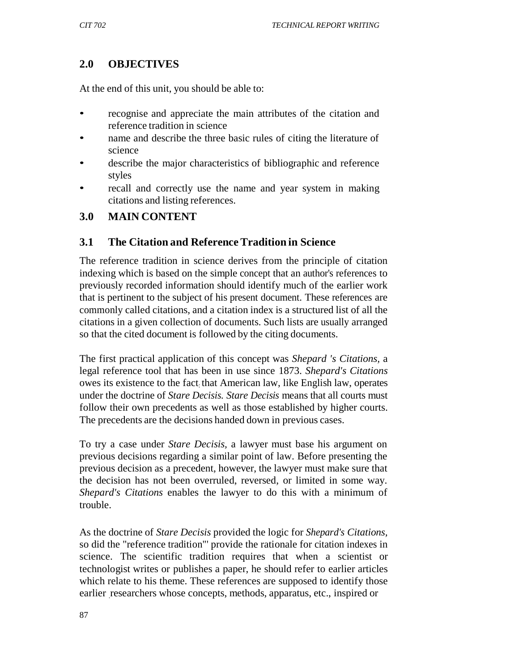## **2.0 OBJECTIVES**

At the end of this unit, you should be able to:

- recognise and appreciate the main attributes of the citation and reference tradition in science
- name and describe the three basic rules of citing the literature of science
- describe the major characteristics of bibliographic and reference styles
- recall and correctly use the name and year system in making citations and listing references.

### **3.0 MAIN CONTENT**

### **3.1 The Citation and Reference Tradition in Science**

The reference tradition in science derives from the principle of citation indexing which is based on the simple concept that an author's references to previously recorded information should identify much of the earlier work that is pertinent to the subject of his present document. These references are commonly called citations, and a citation index is a structured list of all the citations in a given collection of documents. Such lists are usually arranged so that the cited document is followed by the citing documents.

The first practical application of this concept was *Shepard 's Citations,* a legal reference tool that has been in use since 1873. *Shepard's Citations*  owes its existence to the fact: that American law, like English law, operates under the doctrine of *Stare Decisis. Stare Decisis* means that all courts must follow their own precedents as well as those established by higher courts. The precedents are the decisions handed down in previous cases.

To try a case under *Stare Decisis,* a lawyer must base his argument on previous decisions regarding a similar point of law. Before presenting the previous decision as a precedent, however, the lawyer must make sure that the decision has not been overruled, reversed, or limited in some way. *Shepard's Citations* enables the lawyer to do this with a minimum of trouble.

As the doctrine of *Stare Decisis* provided the logic for *Shepard's Citations,*  so did the "reference tradition"' provide the rationale for citation indexes in science. The scientific tradition requires that when a scientist or technologist writes or publishes a paper, he should refer to earlier articles which relate to his theme. These references are supposed to identify those earlier researchers whose concepts, methods, apparatus, etc., inspired or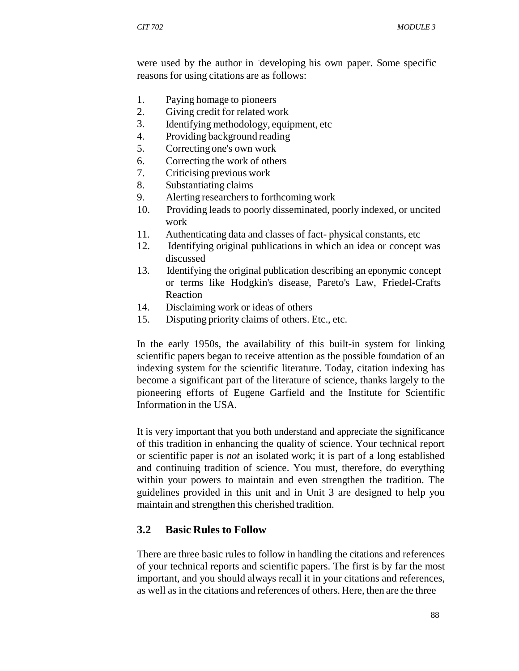were used by the author in developing his own paper. Some specific reasons for using citations are as follows:

- 1. Paying homage to pioneers
- 2. Giving credit for related work
- 3. Identifying methodology, equipment, etc
- 4. Providing background reading
- 5. Correcting one's own work
- 6. Correcting the work of others
- 7. Criticising previous work
- 8. Substantiating claims
- 9. Alerting researchers to forthcoming work
- 10. Providing leads to poorly disseminated, poorly indexed, or uncited work
- 11. Authenticating data and classes of fact- physical constants, etc
- 12. Identifying original publications in which an idea or concept was discussed
- 13. Identifying the original publication describing an eponymic concept or terms like Hodgkin's disease, Pareto's Law, Friedel-Crafts Reaction
- 14. Disclaiming work or ideas of others
- 15. Disputing priority claims of others. Etc., etc.

In the early 1950s, the availability of this built-in system for linking scientific papers began to receive attention as the possible foundation of an indexing system for the scientific literature. Today, citation indexing has become a significant part of the literature of science, thanks largely to the pioneering efforts of Eugene Garfield and the Institute for Scientific Information in the USA.

It is very important that you both understand and appreciate the significance of this tradition in enhancing the quality of science. Your technical report or scientific paper is *not* an isolated work; it is part of a long established and continuing tradition of science. You must, therefore, do everything within your powers to maintain and even strengthen the tradition. The guidelines provided in this unit and in Unit 3 are designed to help you maintain and strengthen this cherished tradition.

#### **3.2 Basic Rules to Follow**

There are three basic rules to follow in handling the citations and references of your technical reports and scientific papers. The first is by far the most important, and you should always recall it in your citations and references, as well as in the citations and references of others. Here, then are the three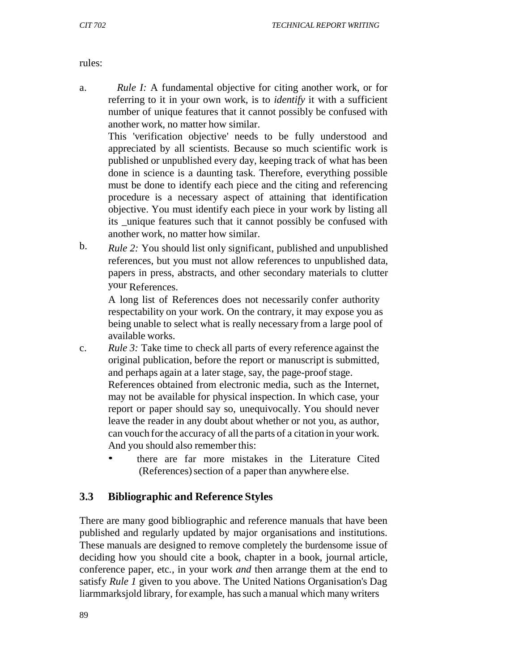rules:

a. *Rule I:* A fundamental objective for citing another work, or for referring to it in your own work, is to *identify* it with a sufficient number of unique features that it cannot possibly be confused with another work, no matter how similar.

This 'verification objective' needs to be fully understood and appreciated by all scientists. Because so much scientific work is published or unpublished every day, keeping track of what has been done in science is a daunting task. Therefore, everything possible must be done to identify each piece and the citing and referencing procedure is a necessary aspect of attaining that identification objective. You must identify each piece in your work by listing all its \_unique features such that it cannot possibly be confused with another work, no matter how similar.

b. *Rule 2:* You should list only significant, published and unpublished references, but you must not allow references to unpublished data, papers in press, abstracts, and other secondary materials to clutter your References.

A long list of References does not necessarily confer authority respectability on your work. On the contrary, it may expose you as being unable to select what is really necessary from a large pool of available works.

- c. *Rule 3:* Take time to check all parts of every reference against the original publication, before the report or manuscript is submitted, and perhaps again at a later stage, say, the page-proof stage. References obtained from electronic media, such as the Internet, may not be available for physical inspection. In which case, your report or paper should say so, unequivocally. You should never leave the reader in any doubt about whether or not you, as author, can vouch for the accuracy of all the parts of a citation in your work. And you should also remember this:
	- there are far more mistakes in the Literature Cited (References) section of a paper than anywhere else.

## **3.3 Bibliographic and Reference Styles**

There are many good bibliographic and reference manuals that have been published and regularly updated by major organisations and institutions. These manuals are designed to remove completely the burdensome issue of deciding how you should cite a book, chapter in a book, journal article, conference paper, etc., in your work *and* then arrange them at the end to satisfy *Rule 1* given to you above. The United Nations Organisation's Dag liarmmarksjold library, for example, has such a manual which many writers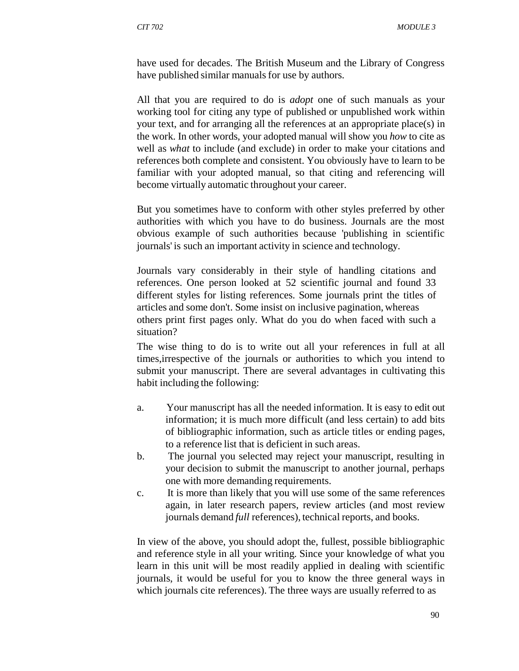have used for decades. The British Museum and the Library of Congress have published similar manuals for use by authors.

All that you are required to do is *adopt* one of such manuals as your working tool for citing any type of published or unpublished work within your text, and for arranging all the references at an appropriate place(s) in the work. In other words, your adopted manual will show you *how* to cite as well as *what* to include (and exclude) in order to make your citations and references both complete and consistent. You obviously have to learn to be familiar with your adopted manual, so that citing and referencing will become virtually automatic throughout your career.

But you sometimes have to conform with other styles preferred by other authorities with which you have to do business. Journals are the most obvious example of such authorities because 'publishing in scientific journals' is such an important activity in science and technology.

Journals vary considerably in their style of handling citations and references. One person looked at 52 scientific journal and found 33 different styles for listing references. Some journals print the titles of articles and some don't. Some insist on inclusive pagination, whereas others print first pages only. What do you do when faced with such a situation?

The wise thing to do is to write out all your references in full at all times,irrespective of the journals or authorities to which you intend to submit your manuscript. There are several advantages in cultivating this habit including the following:

- a. Your manuscript has all the needed information. It is easy to edit out information; it is much more difficult (and less certain) to add bits of bibliographic information, such as article titles or ending pages, to a reference list that is deficient in such areas.
- b. The journal you selected may reject your manuscript, resulting in your decision to submit the manuscript to another journal, perhaps one with more demanding requirements.
- c. It is more than likely that you will use some of the same references again, in later research papers, review articles (and most review journals demand *full* references), technical reports, and books.

In view of the above, you should adopt the, fullest, possible bibliographic and reference style in all your writing. Since your knowledge of what you learn in this unit will be most readily applied in dealing with scientific journals, it would be useful for you to know the three general ways in which journals cite references). The three ways are usually referred to as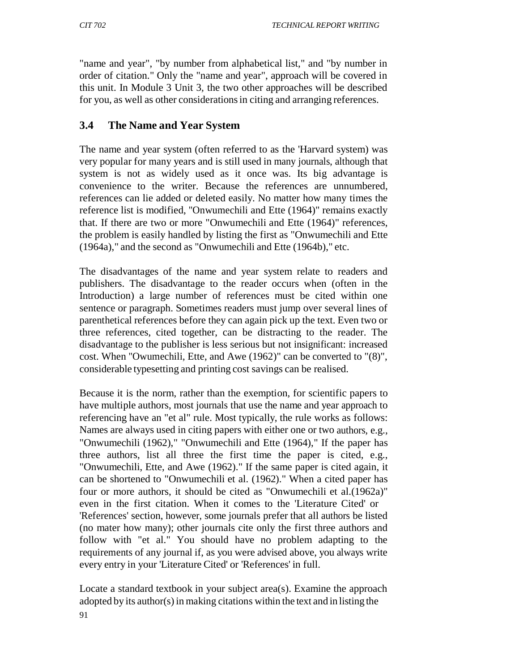"name and year", "by number from alphabetical list," and "by number in order of citation." Only the "name and year", approach will be covered in this unit. In Module 3 Unit 3*,* the two other approaches will be described for you, as well as other considerations in citing and arranging references.

## **3.4 The Name and Year System**

The name and year system (often referred to as the 'Harvard system) was very popular for many years and is still used in many journals, although that system is not as widely used as it once was. Its big advantage is convenience to the writer. Because the references are unnumbered, references can lie added or deleted easily. No matter how many times the reference list is modified, "Onwumechili and Ette (1964)" remains exactly that. If there are two or more "Onwumechili and Ette (1964)" references, the problem is easily handled by listing the first as "Onwumechili and Ette (1964a)," and the second as "Onwumechili and Ette (1964b)," etc.

The disadvantages of the name and year system relate to readers and publishers. The disadvantage to the reader occurs when (often in the Introduction) a large number of references must be cited within one sentence or paragraph. Sometimes readers must jump over several lines of parenthetical references before they can again pick up the text. Even two or three references, cited together, can be distracting to the reader. The disadvantage to the publisher is less serious but not insignificant: increased cost. When "Owumechili, Ette, and Awe (1962)" can be converted to "(8)", considerable typesetting and printing cost savings can be realised.

Because it is the norm, rather than the exemption, for scientific papers to have multiple authors, most journals that use the name and year approach to referencing have an "et al" rule. Most typically, the rule works as follows: Names are always used in citing papers with either one or two authors, e.g., "Onwumechili (1962)," "Onwumechili and Ette (1964)," If the paper has three authors, list all three the first time the paper is cited, e.g., "Onwumechili, Ette, and Awe (1962)." If the same paper is cited again, it can be shortened to "Onwumechili et al. (1962)." When a cited paper has four or more authors, it should be cited as "Onwumechili et al.(1962a)" even in the first citation. When it comes to the 'Literature Cited' or 'References' section, however, some journals prefer that all authors be listed (no mater how many); other journals cite only the first three authors and follow with "et al." You should have no problem adapting to the requirements of any journal if, as you were advised above, you always write every entry in your 'Literature Cited' or 'References' in full.

Locate a standard textbook in your subject area(s). Examine the approach adopted by its author(s) in making citations within the text and in listing the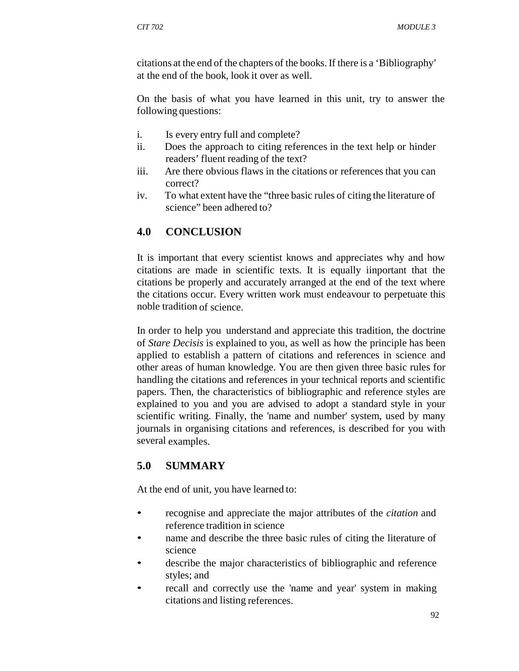citations at the end of the chapters of the books. If there is a 'Bibliography' at the end of the book, look it over as well.

On the basis of what you have learned in this unit, try to answer the following questions:

- i. Is every entry full and complete?
- ii. Does the approach to citing references in the text help or hinder readers' fluent reading of the text?
- iii. Are there obvious flaws in the citations or references that you can correct?
- iv. To what extent have the "three basic rules of citing the literature of science" been adhered to?

## **4.0 CONCLUSION**

It is important that every scientist knows and appreciates why and how citations are made in scientific texts. It is equally iinportant that the citations be properly and accurately arranged at the end of the text where the citations occur. Every written work must endeavour to perpetuate this noble tradition of science.

In order to help you understand and appreciate this tradition, the doctrine of *Stare Decisis* is explained to you, as well as how the principle has been applied to establish a pattern of citations and references in science and other areas of human knowledge. You are then given three basic rules for handling the citations and references in your technical reports and scientific papers. Then, the characteristics of bibliographic and reference styles are explained to you and you are advised to adopt a standard style in your scientific writing. Finally, the 'name and number' system, used by many journals in organising citations and references, is described for you with several examples.

## **5.0 SUMMARY**

At the end of unit*,* you have learned to:

- recognise and appreciate the major attributes of the *citation* and reference tradition in science
- hame and describe the three basic rules of citing the literature of science
- describe the major characteristics of bibliographic and reference styles; and
- recall and correctly use the 'name and year' system in making citations and listing references.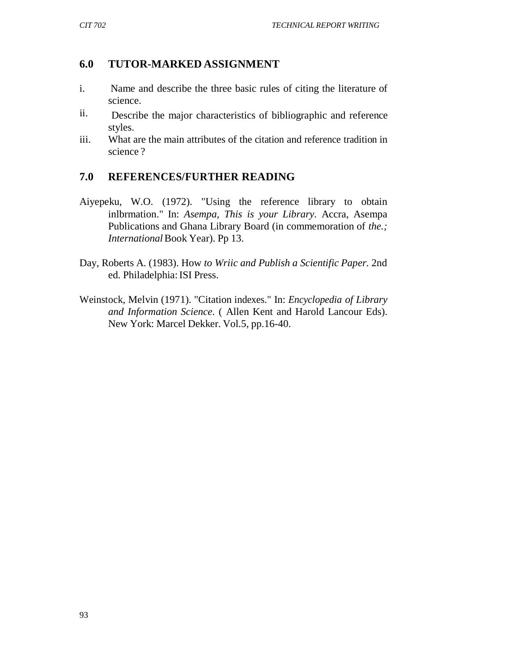### **6.0 TUTOR-MARKED ASSIGNMENT**

- i. Name and describe the three basic rules of citing the literature of science.
- ii. Describe the major characteristics of bibliographic and reference styles.
- iii. What are the main attributes of the citation and reference tradition in science ?

### **7.0 REFERENCES/FURTHER READING**

- Aiyepeku, W.O. (1972). "Using the reference library to obtain inlbrmation." In: *Asempa, This is your Library.* Accra, Asempa Publications and Ghana Library Board (in commemoration of *the.; International* Book Year). Pp 13.
- Day, Roberts A. (1983). How *to Wriic and Publish a Scientific Paper.* 2nd ed. Philadelphia: ISI Press.
- Weinstock, Melvin (1971). "Citation indexes." In: *Encyclopedia of Library and Information Science.* ( Allen Kent and Harold Lancour Eds). New York: Marcel Dekker. Vol.5, pp.16-40.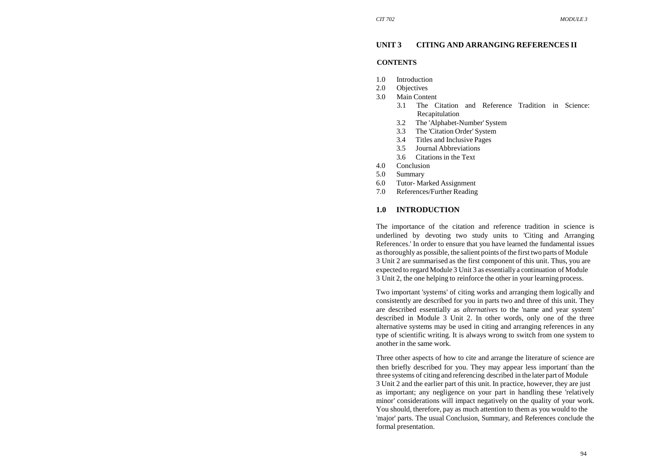## **UNIT 3 CITING AND ARRANGING REFERENCES II**

#### **CONTENTS**

- 1.0Introduction
- 2.0**Objectives**
- 3.0 Main Content
	- 3.1 The Citation and Reference Tradition in Science: Recapitulation
	- 3.2 The 'Alphabet-Number' System
	- 3.3 The 'Citation Order' System
	- 3.4 Titles and Inclusive Pages
	- 3.5 Journal Abbreviations
	- 3.6 Citations in the Text
- 4.0 Conclusion
- 5.0 Summary
- 
- 6.0 Tutor- Marked Assignment
- 7.0 References/Further Reading

### **1.0 INTRODUCTION**

The importance of the citation and reference tradition in science is underlined by devoting two study units to 'Citing and Arranging References.' In order to ensure that you have learned the fundamental issues as thoroughly as possible, the salient points of the first two parts of Module 3 Unit 2 are summarised as the first component of this unit. Thus, you are expected to regard Module 3 Unit 3 as essentially a continuation of Module 3 Unit 2, the one helping to reinforce the other in your learning process.

Two important 'systems' of citing works and arranging them logically and consistently are described for you in parts two and three of this unit. They are described essentially as *alternatives* to the 'name and year system' described in Module 3 Unit 2. In other words, only one of the three alternative systems may be used in citing and arranging references in any type of scientific writing. It is always wrong to switch from one system to another in the same work.

Three other aspects of how to cite and arrange the literature of science are then briefly described for you. They may appear less important- than the three systems of citing and referencing described in the later part of Module 3 Unit 2 and the earlier part of this unit. In practice, however, they are just as important; any negligence on your part in handling these 'relatively minor' considerations will impact negatively on the quality of your work. You should, therefore, pay as much attention to them as you would to the 'major' parts. The usual Conclusion, Summary, and References conclude the formal presentation.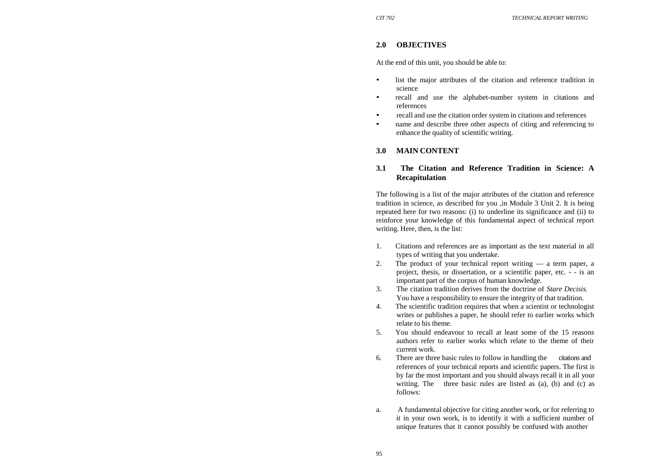#### **2.0 OBJECTIVES**

At the end of this unit, you should be able to:

- • list the major attributes of the citation and reference tradition in science
- • recall and use the alphabet-number system in citations and references
- recall and use the citation order system in citations and references
- • name and describe three other aspects of citing and referencing to enhance the quality of scientific writing.

### **3.0 MAIN CONTENT**

## **3.1 The Citation and Reference Tradition in Science: A Recapitulation**

The following is a list of the major attributes of the citation and reference tradition in science, as described for you ,in Module 3 Unit 2. It is being repeated here for two reasons: (i) to underline its significance and (ii) to reinforce your knowledge of this fundamental aspect of technical report writing. Here, then, is the list:

- 1. Citations and references are as important as the text material in all types of writing that you undertake.
- 2. The product of your technical report writing a term paper, a project, thesis, or dissertation, or a scientific paper, etc. - - is an important part of the corpus of human knowledge.
- 3. The citation tradition derives from the doctrine of *Stare Decisis.* You have a responsibility to ensure the integrity of that tradition.
- 4. The scientific tradition requires that when a scientist or technologist writes or publishes a paper, he should refer to earlier works which relate to his theme.
- 5. You should endeavour to recall at least some of the 15 reasons authors refer to earlier works which relate to the theme of their current work.
- 6. There are three basic rules to follow in handling the citations and references of your technical reports and scientific papers. The first is by far the most important and you should always recall it in all your writing. The three basic rules are listed as (a), (b) and (c) as follows:
- a. A fundamental objective for citing another work, or for referring to it in your own work, is to identify it with a sufficient number of unique features that it cannot possibly be confused with another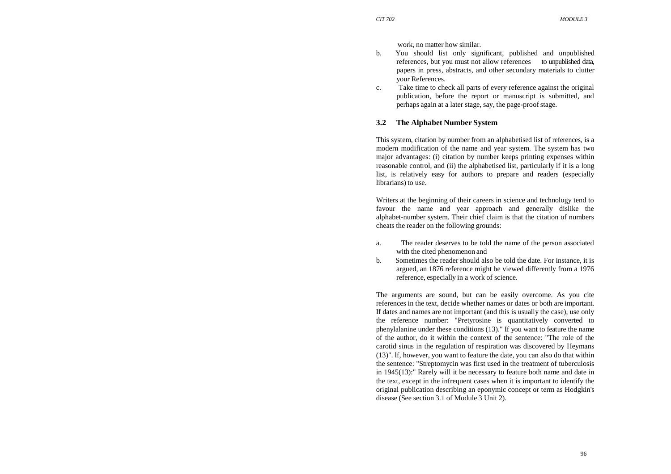work, no matter how similar.

- b. You should list only significant, published and unpublished references, but you must not allow references to unpublished data, papers in press, abstracts, and other secondary materials to clutter your References.
- c. Take time to check all parts of every reference against the original publication, before the report or manuscript is submitted, and perhaps again at a later stage, say, the page-proof stage.

#### **3.2 The Alphabet Number System**

This system, citation by number from an alphabetised list of references, is a modern modification of the name and year system. The system has two major advantages: (i) citation by number keeps printing expenses within reasonable control, and (ii) the alphabetised list, particularly if it is a long list, is relatively easy for authors to prepare and readers (especially librarians) to use.

Writers at the beginning of their careers in science and technology tend to favour the name and year approach and generally dislike the alphabet-number system. Their chief claim is that the citation of numbers cheats the reader on the following grounds:

- a. The reader deserves to be told the name of the person associated with the cited phenomenon and
- b. Sometimes the reader should also be told the date. For instance, it is argued, an 1876 reference might be viewed differently from a 1976 reference, especially in a work of science.

The arguments are sound, but can be easily overcome. As you cite references in the text, decide whether names or dates or both are important. If dates and names are not important (and this is usually the case), use only the reference number: "Pretyrosine is quantitatively converted to phenylalanine under these conditions (13)." If you want to feature the name of the author, do it within the context of the sentence: "The role of the carotid sinus in the regulation of respiration was discovered by Heymans (13)". lf, however, you want to feature the date, you can also do that within the sentence: "Streptomycin was first used in the treatment of tuberculosis in 1945(13):" Rarely will it be necessary to feature both name and date in the text, except in the infrequent cases when it is important to identify the original publication describing an eponymic concept or term as Hodgkin's disease (See section 3.1 of Module 3 Unit 2)*.*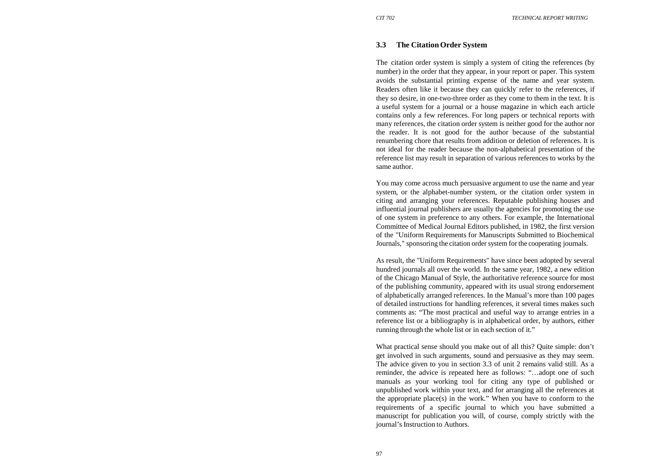### **3.3 The Citation Order System**

The citation order system is simply a system of citing the references (by number) in the order that they appear, in your report or paper. This system avoids the substantial printing expense of the name and year system. Readers often like it because they can quickly refer to the references, if they so desire, in one-two-three order as they come to them in the text. It is a useful system for a journal or a house magazine in which each article contains only a few references. For long papers or technical reports with many references, the citation order system is neither good for the author nor the reader. It is not good for the author because of the substantial renumbering chore that results from addition or deletion of references. It is not ideal for the reader because the non-alphabetical presentation of the reference list may result in separation of various references to works by the same author.

You may come across much persuasive argument to use the name and year system, or the alphabet-number system, or the citation order system in citing and arranging your references. Reputable publishing houses and influential journal publishers are usually the agencies for promoting the use of one system in preference to any others. For example, the International Committee of Medical Journal Editors published, in 1982, the first version of the "Uniform Requirements for Manuscripts Submitted to Biochemical Journals," sponsoring the citation order system for the cooperating journals.

As result, the "Uniform Requirements" have since been adopted by several hundred journals all over the world. In the same year, 1982, a new edition of the Chicago Manual of Style, the authoritative reference source for most of the publishing community, appeared with its usual strong endorsement of alphabetically arranged references. In the Manual's more than 100 pages of detailed instructions for handling references, it several times makes such comments as: "The most practical and useful way to arrange entries in a reference list or a bibliography is in alphabetical order, by authors, either running through the whole list or in each section of it."

What practical sense should you make out of all this? Quite simple: don't get involved in such arguments, sound and persuasive as they may seem. The advice given to you in section 3.3 of unit 2 remains valid still. As a reminder, the advice is repeated here as follows: "…adopt one of such manuals as your working tool for citing any type of published or unpublished work within your text, and for arranging all the references at the appropriate place(s) in the work." When you have to conform to the requirements of a specific journal to which you have submitted a manuscript for publication you will, of course, comply strictly with the journal's Instruction to Authors.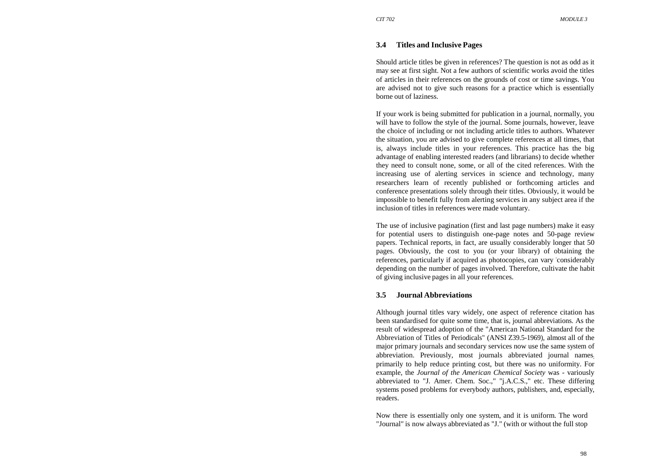### **3.4 Titles and Inclusive Pages**

Should article titles be given in references? The question is not as odd as it may see at first sight. Not a few authors of scientific works avoid the titles of articles in their references on the grounds of cost or time savings. You are advised not to give such reasons for a practice which is essentially borne out of laziness.

If your work is being submitted for publication in a journal, normally, you will have to follow the style of the journal. Some journals, however, leave the choice of including or not including article titles to authors. Whatever the situation, you are advised to give complete references at all times, that is, always include titles in your references. This practice has the big advantage of enabling interested readers (and librarians) to decide whether they need to consult none, some, or all of the cited references. With the increasing use of alerting services in science and technology, many researchers learn of recently published or forthcoming articles and conference presentations solely through their titles. Obviously, it would be impossible to benefit fully from alerting services in any subject area if the inclusion of titles in references were made voluntary.

The use of inclusive pagination (first and last page numbers) make it easy for potential users to distinguish one-page notes and 50-page review papers. Technical reports, in fact, are usually considerably longer that 50 pages. Obviously, the cost to you (or your library) of obtaining the references, particularly if acquired as photocopies, can vary -considerably depending on the number of pages involved. Therefore, cultivate the habit of giving inclusive pages in all your references.

#### **3.5 Journal Abbreviations**

Although journal titles vary widely, one aspect of reference citation has been standardised for quite some time, that is, journal abbreviations. As the result of widespread adoption of the "American National Standard for the Abbreviation of Titles of Periodicals" (ANSI Z39.5-1969), almost all of the major primary journals and secondary services now use the same system of abbreviation. Previously, most journals abbreviated journal names. primarily to help reduce printing cost, but there was no uniformity. For example, the *Journal of the American Chemical Society* was - variously abbreviated to "J. Amer. Chem. Soc.," "j.A.C.S.," etc. These differing systems posed problems for everybody authors, publishers, and, especially, readers.

Now there is essentially only one system, and it is uniform. The word "Journal" is now always abbreviated as "J." (with or without the full stop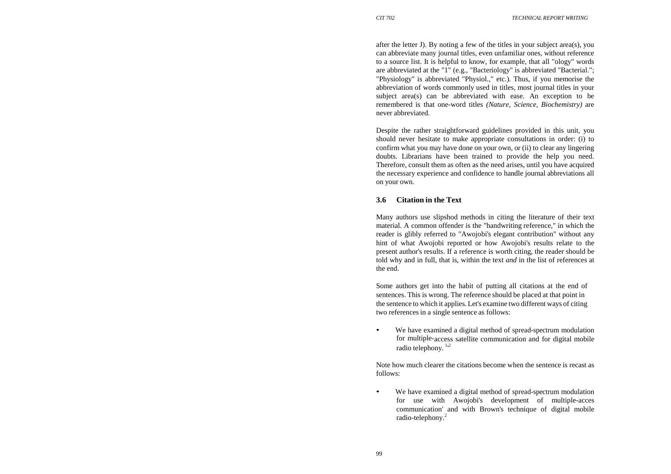after the letter J). By noting a few of the titles in your subject area(s), you can abbreviate many journal titles, even unfamiliar ones, without reference to a source list. It is helpful to know, for example, that all "ology" words are abbreviated at the "1" (e.g., "Bacteriology" is abbreviated "Bacterial."; "Physiology" is abbreviated "Physiol.," etc.). Thus, if you memorise the abbreviation of words commonly used in titles, most journal titles in your subject area(s) can be abbreviated with ease. An exception to be remembered is that one-word titles *(Nature, Science, Biochemistry)* are never abbreviated.

Despite the rather straightforward guidelines provided in this unit, you should never hesitate to make appropriate consultations in order: (i) to confirm what you may have done on your own, or (ii) to clear any lingering doubts. Librarians have been trained to provide the help you need. Therefore, consult them as often as the need arises, until you have acquired the necessary experience and confidence to handle journal abbreviations all on your own.

• We have examined a digital method of spread-spectrum modulation for multiple-access satellite communication and for digital mobile radio telephony.  $1/2$ 

• We have examined a digital method of spread-spectrum modulation for use with Awojobi's development of multiple-acces communication' and with Brown's technique of digital mobile radio-telephony.<sup>2</sup>

# **3.6 Citation in the Text**

Many authors use slipshod methods in citing the literature of their text material. A common offender is the "handwriting reference," in which the reader is glibly referred to "Awojobi's elegant contribution" without any hint of what Awojobi reported or how Awojobi's results relate to the present author's results. If a reference is worth citing, the reader should be told why and in full, that is, within the text *and* in the list of references at the end.

Some authors get into the habit of putting all citations at the end of sentences. This is wrong. The reference should be placed at that point in the sentence to which it applies. Let's examine two different ways of citing two references in a single sentence as follows:

Note how much clearer the citations become when the sentence is recast as follows: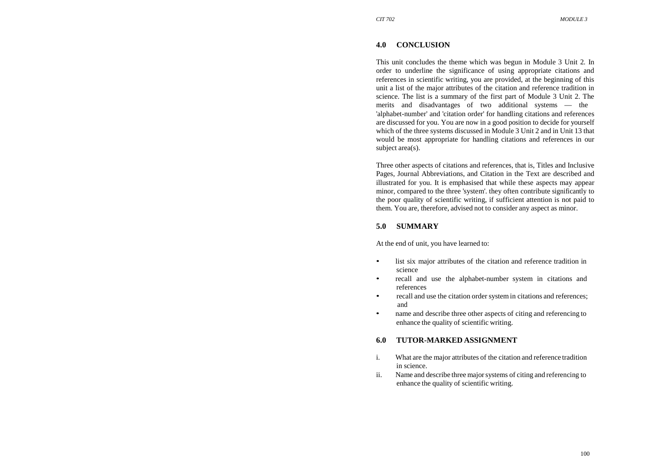This unit concludes the theme which was begun in Module 3 Unit 2*.* In order to underline the significance of using appropriate citations and references in scientific writing, you are provided, at the beginning of this unit a list of the major attributes of the citation and reference tradition in science. The list is a summary of the first part of Module 3 Unit 2. The merits and disadvantages of two additional systems — the 'alphabet-number' and 'citation order' for handling citations and references are discussed for you. You are now in a good position to decide for yourself which of the three systems discussed in Module 3 Unit 2 and in Unit 13 that would be most appropriate for handling citations and references in our subject area(s).

### **4.0 CONCLUSION**

Three other aspects of citations and references, that is, Titles and Inclusive Pages, Journal Abbreviations, and Citation in the Text are described and illustrated for you. It is emphasised that while these aspects may appear minor, compared to the three 'system'. they often contribute significantly to the poor quality of scientific writing, if sufficient attention is not paid to them. You are, therefore, advised not to consider any aspect as minor.

### **5.0 SUMMARY**

At the end of unit, you have learned to:

- • list six major attributes of the citation and reference tradition in science
- • recall and use the alphabet-number system in citations and references
- recall and use the citation order system in citations and references; and
- • name and describe three other aspects of citing and referencing to enhance the quality of scientific writing.

# **6.0 TUTOR-MARKED ASSIGNMENT**

- i. What are the major attributes of the citation and reference tradition in science.
- ii. Name and describe three major systems of citing and referencing to enhance the quality of scientific writing.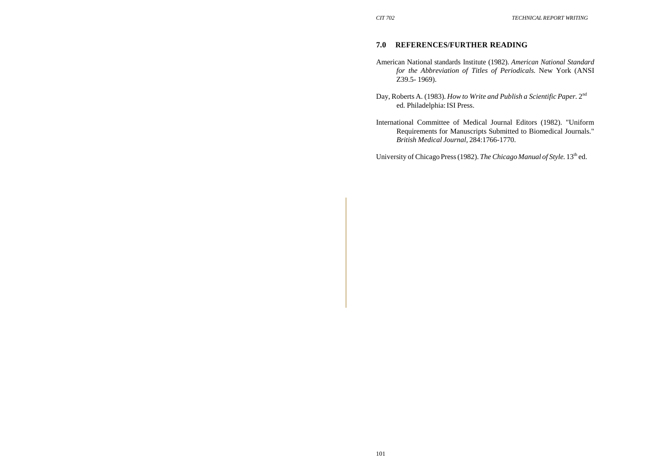# **7.0 REFERENCES/FURTHER READING**

- American National standards Institute (1982). *American National Standard for the Abbreviation of Titles of Periodicals.* New York (ANSI Z39.5- 1969).
- Day, Roberts A. (1983). *How to Write and Publish a Scientific Paper.* 2n<sup>d</sup> ed. Philadelphia: ISI Press.
- International Committee of Medical Journal Editors (1982). "Uniform Requirements for Manuscripts Submitted to Biomedical Journals." *British Medical Journal,* 284:1766-1770.

University of Chicago Press (1982). *The Chicago Manual of Style*. 13<sup>th</sup> ed.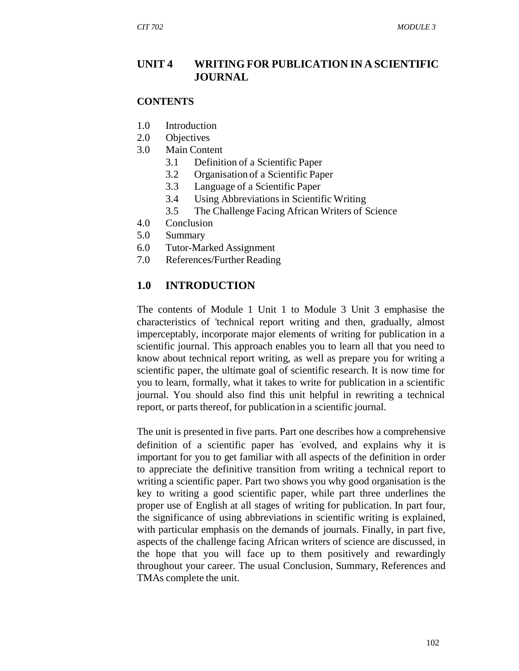# **UNIT 4 WRITING FOR PUBLICATION IN A SCIENTIFIC JOURNAL**

#### **CONTENTS**

- 1.0 Introduction
- 2.0 Objectives
- 3.0 Main Content
	- 3.1 Definition of a Scientific Paper
	- 3.2 Organisation of a Scientific Paper
	- 3.3 Language of a Scientific Paper
	- 3.4 Using Abbreviations in Scientific Writing
	- 3.5 The Challenge Facing African Writers of Science
- 4.0 Conclusion
- 5.0 Summary
- 6.0 Tutor-Marked Assignment
- 7.0 References/Further Reading

### **1.0 INTRODUCTION**

The contents of Module 1 Unit 1 to Module 3 Unit 3 emphasise the characteristics of 'technical report writing and then, gradually, almost imperceptably, incorporate major elements of writing for publication in a scientific journal. This approach enables you to learn all that you need to know about technical report writing, as well as prepare you for writing a scientific paper, the ultimate goal of scientific research. It is now time for you to learn, formally, what it takes to write for publication in a scientific journal. You should also find this unit helpful in rewriting a technical report, or parts thereof, for publication in a scientific journal.

The unit is presented in five parts. Part one describes how a comprehensive definition of a scientific paper has evolved, and explains why it is important for you to get familiar with all aspects of the definition in order to appreciate the definitive transition from writing a technical report to writing a scientific paper. Part two shows you why good organisation is the key to writing a good scientific paper, while part three underlines the proper use of English at all stages of writing for publication. In part four, the significance of using abbreviations in scientific writing is explained, with particular emphasis on the demands of journals. Finally, in part five, aspects of the challenge facing African writers of science are discussed, in the hope that you will face up to them positively and rewardingly throughout your career. The usual Conclusion, Summary, References and TMAs complete the unit.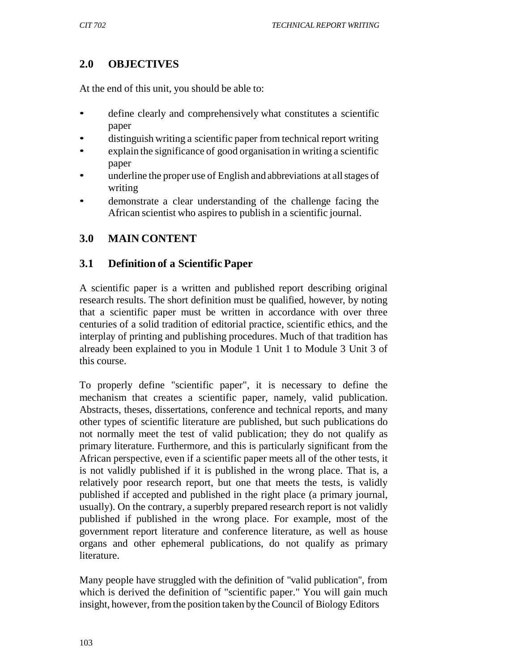# **2.0 OBJECTIVES**

At the end of this unit, you should be able to:

- define clearly and comprehensively what constitutes a scientific paper
- distinguish writing a scientific paper from technical report writing
- explain the significance of good organisation in writing a scientific paper
- underline the proper use of English and abbreviations at all stages of writing
- demonstrate a clear understanding of the challenge facing the African scientist who aspires to publish in a scientific journal.

# **3.0 MAIN CONTENT**

# **3.1 Definition of a Scientific Paper**

A scientific paper is a written and published report describing original research results. The short definition must be qualified, however, by noting that a scientific paper must be written in accordance with over three centuries of a solid tradition of editorial practice, scientific ethics, and the interplay of printing and publishing procedures. Much of that tradition has already been explained to you in Module 1 Unit 1 to Module 3 Unit 3 of this course.

To properly define "scientific paper", it is necessary to define the mechanism that creates a scientific paper, namely, valid publication. Abstracts, theses, dissertations, conference and technical reports, and many other types of scientific literature are published, but such publications do not normally meet the test of valid publication; they do not qualify as primary literature. Furthermore, and this is particularly significant from the African perspective, even if a scientific paper meets all of the other tests, it is not validly published if it is published in the wrong place. That is, a relatively poor research report, but one that meets the tests, is validly published if accepted and published in the right place (a primary journal, usually). On the contrary, a superbly prepared research report is not validly published if published in the wrong place. For example, most of the government report literature and conference literature, as well as house organs and other ephemeral publications, do not qualify as primary literature.

Many people have struggled with the definition of "valid publication", from which is derived the definition of "scientific paper." You will gain much insight, however, from the position taken by the Council of Biology Editors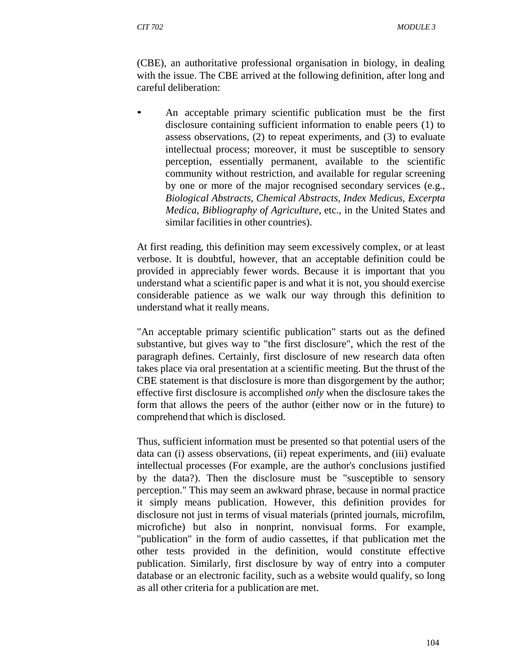(CBE), an authoritative professional organisation in biology, in dealing with the issue. The CBE arrived at the following definition, after long and careful deliberation:

• An acceptable primary scientific publication must be the first disclosure containing sufficient information to enable peers (1) to assess observations, (2) to repeat experiments, and (3) to evaluate intellectual process; moreover, it must be susceptible to sensory perception, essentially permanent, available to the scientific community without restriction, and available for regular screening by one or more of the major recognised secondary services (e.g., *Biological Abstracts, Chemical Abstracts, Index Medicus, Excerpta Medica, Bibliography of Agriculture,* etc., in the United States and similar facilities in other countries).

At first reading, this definition may seem excessively complex, or at least verbose. It is doubtful, however, that an acceptable definition could be provided in appreciably fewer words. Because it is important that you understand what a scientific paper is and what it is not, you should exercise considerable patience as we walk our way through this definition to understand what it really means.

"An acceptable primary scientific publication" starts out as the defined substantive, but gives way to "the first disclosure", which the rest of the paragraph defines. Certainly, first disclosure of new research data often takes place via oral presentation at a scientific meeting. But the thrust of the CBE statement is that disclosure is more than disgorgement by the author; effective first disclosure is accomplished *only* when the disclosure takes the form that allows the peers of the author (either now or in the future) to comprehend that which is disclosed.

Thus, sufficient information must be presented so that potential users of the data can (i) assess observations, (ii) repeat experiments, and (iii) evaluate intellectual processes (For example, are the author's conclusions justified by the data?). Then the disclosure must be "susceptible to sensory perception." This may seem an awkward phrase, because in normal practice it simply means publication. However, this definition provides for disclosure not just in terms of visual materials (printed journals, microfilm, microfiche) but also in nonprint, nonvisual forms. For example, "publication" in the form of audio cassettes, if that publication met the other tests provided in the definition, would constitute effective publication. Similarly, first disclosure by way of entry into a computer database or an electronic facility, such as a website would qualify, so long as all other criteria for a publication are met.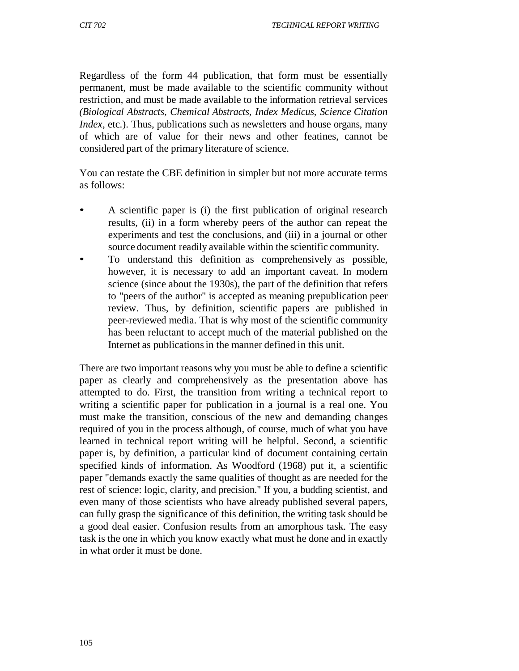Regardless of the form 44 publication, that form must be essentially permanent, must be made available to the scientific community without restriction, and must be made available to the information retrieval services *(Biological Abstracts, Chemical Abstracts, Index Medicus, Science Citation Index, etc.*). Thus, publications such as newsletters and house organs, many of which are of value for their news and other featines, cannot be considered part of the primary literature of science.

You can restate the CBE definition in simpler but not more accurate terms as follows:

- A scientific paper is (i) the first publication of original research results, (ii) in a form whereby peers of the author can repeat the experiments and test the conclusions, and (iii) in a journal or other source document readily available within the scientific community.
- To understand this definition as comprehensively as possible, however, it is necessary to add an important caveat. In modern science (since about the 1930s), the part of the definition that refers to "peers of the author" is accepted as meaning prepublication peer review. Thus, by definition, scientific papers are published in peer-reviewed media. That is why most of the scientific community has been reluctant to accept much of the material published on the Internet as publications in the manner defined in this unit.

There are two important reasons why you must be able to define a scientific paper as clearly and comprehensively as the presentation above has attempted to do. First, the transition from writing a technical report to writing a scientific paper for publication in a journal is a real one. You must make the transition, conscious of the new and demanding changes required of you in the process although, of course, much of what you have learned in technical report writing will be helpful. Second, a scientific paper is, by definition, a particular kind of document containing certain specified kinds of information. As Woodford (1968) put it, a scientific paper "demands exactly the same qualities of thought as are needed for the rest of science: logic, clarity, and precision." If you, a budding scientist, and even many of those scientists who have already published several papers, can fully grasp the significance of this definition, the writing task should be a good deal easier. Confusion results from an amorphous task. The easy task is the one in which you know exactly what must he done and in exactly in what order it must be done.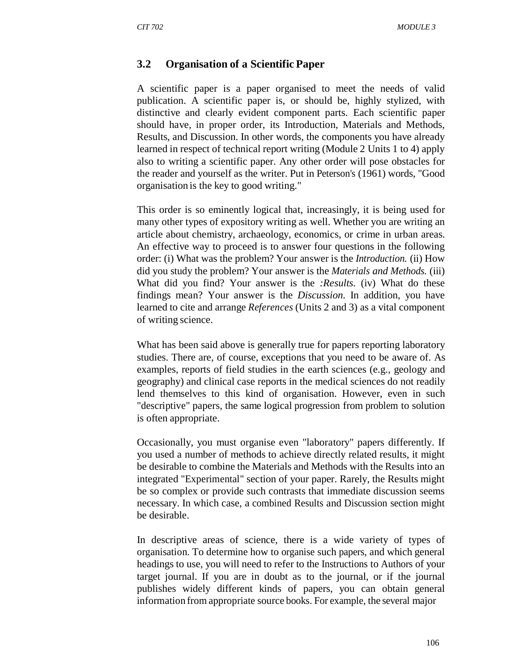### **3.2 Organisation of a Scientific Paper**

A scientific paper is a paper organised to meet the needs of valid publication. A scientific paper is, or should be, highly stylized, with distinctive and clearly evident component parts. Each scientific paper should have, in proper order, its Introduction, Materials and Methods, Results, and Discussion. In other words, the components you have already learned in respect of technical report writing (Module 2 Units 1 to 4) apply also to writing a scientific paper. Any other order will pose obstacles for the reader and yourself as the writer. Put in Peterson's (1961) words, "Good organisation is the key to good writing."

This order is so eminently logical that, increasingly, it is being used for many other types of expository writing as well. Whether you are writing an article about chemistry, archaeology, economics, or crime in urban areas. An effective way to proceed is to answer four questions in the following order: (i) What was the problem? Your answer is the *Introduction.* (ii) How did you study the problem? Your answer is the *Materials and Methods.* (iii) What did you find? Your answer is the *:Results.* (iv) What do these findings mean? Your answer is the *Discussion.* In addition, you have learned to cite and arrange *References* (Units 2 and 3) as a vital component of writing science.

What has been said above is generally true for papers reporting laboratory studies. There are, of course, exceptions that you need to be aware of. As examples, reports of field studies in the earth sciences (e.g., geology and geography) and clinical case reports in the medical sciences do not readily lend themselves to this kind of organisation. However, even in such "descriptive" papers, the same logical progression from problem to solution is often appropriate.

Occasionally, you must organise even "laboratory" papers differently. If you used a number of methods to achieve directly related results, it might be desirable to combine the Materials and Methods with the Results into an integrated "Experimental" section of your paper. Rarely, the Results might be so complex or provide such contrasts that immediate discussion seems necessary. In which case, a combined Results and Discussion section might be desirable.

In descriptive areas of science, there is a wide variety of types of organisation. To determine how to organise such papers, and which general headings to use, you will need to refer to the Instructions to Authors of your target journal. If you are in doubt as to the journal, or if the journal publishes widely different kinds of papers, you can obtain general information from appropriate source books. For example, the several major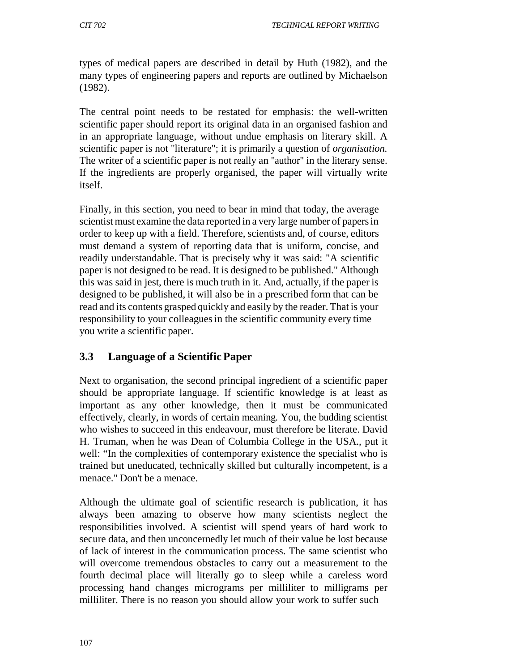types of medical papers are described in detail by Huth (1982), and the many types of engineering papers and reports are outlined by Michaelson (1982).

The central point needs to be restated for emphasis: the well-written scientific paper should report its original data in an organised fashion and in an appropriate language, without undue emphasis on literary skill. A scientific paper is not "literature"; it is primarily a question of *organisation.*  The writer of a scientific paper is not really an "author" in the literary sense. If the ingredients are properly organised, the paper will virtually write itself.

Finally, in this section, you need to bear in mind that today, the average scientist must examine the data reported in a very large number of papers in order to keep up with a field. Therefore, scientists and, of course, editors must demand a system of reporting data that is uniform, concise, and readily understandable. That is precisely why it was said: "A scientific paper is not designed to be read. It is designed to be published." Although this was said in jest, there is much truth in it. And, actually, if the paper is designed to be published, it will also be in a prescribed form that can be read and its contents grasped quickly and easily by the reader. That is your responsibility to your colleagues in the scientific community every time you write a scientific paper.

# **3.3 Language of a Scientific Paper**

Next to organisation, the second principal ingredient of a scientific paper should be appropriate language. If scientific knowledge is at least as important as any other knowledge, then it must be communicated effectively, clearly, in words of certain meaning. You, the budding scientist who wishes to succeed in this endeavour, must therefore be literate. David H. Truman, when he was Dean of Columbia College in the USA., put it well: "In the complexities of contemporary existence the specialist who is trained but uneducated, technically skilled but culturally incompetent, is a menace." Don't be a menace.

Although the ultimate goal of scientific research is publication, it has always been amazing to observe how many scientists neglect the responsibilities involved. A scientist will spend years of hard work to secure data, and then unconcernedly let much of their value be lost because of lack of interest in the communication process. The same scientist who will overcome tremendous obstacles to carry out a measurement to the fourth decimal place will literally go to sleep while a careless word processing hand changes micrograms per milliliter to milligrams per milliliter. There is no reason you should allow your work to suffer such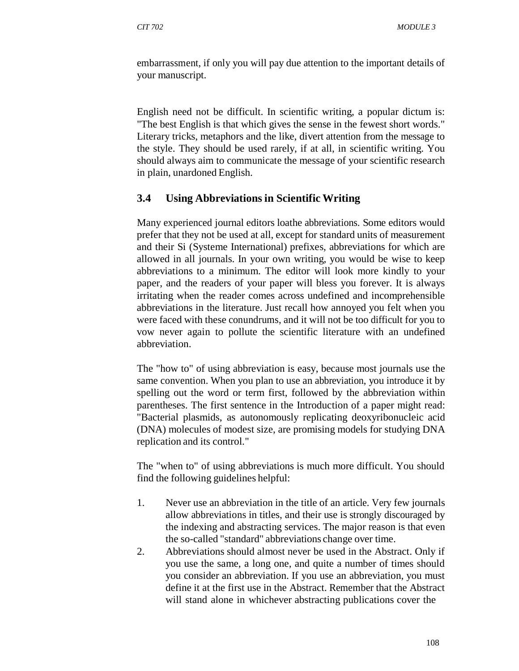embarrassment, if only you will pay due attention to the important details of your manuscript.

English need not be difficult. In scientific writing, a popular dictum is: "The best English is that which gives the sense in the fewest short words." Literary tricks, metaphors and the like, divert attention from the message to the style. They should be used rarely, if at all, in scientific writing. You should always aim to communicate the message of your scientific research in plain, unardoned English.

### **3.4 Using Abbreviations in Scientific Writing**

Many experienced journal editors loathe abbreviations. Some editors would prefer that they not be used at all, except for standard units of measurement and their Si (Systeme International) prefixes, abbreviations for which are allowed in all journals. In your own writing, you would be wise to keep abbreviations to a minimum. The editor will look more kindly to your paper, and the readers of your paper will bless you forever. It is always irritating when the reader comes across undefined and incomprehensible abbreviations in the literature. Just recall how annoyed you felt when you were faced with these conundrums, and it will not be too difficult for you to vow never again to pollute the scientific literature with an undefined abbreviation.

The "how to" of using abbreviation is easy, because most journals use the same convention. When you plan to use an abbreviation, you introduce it by spelling out the word or term first, followed by the abbreviation within parentheses. The first sentence in the Introduction of a paper might read: "Bacterial plasmids, as autonomously replicating deoxyribonucleic acid (DNA) molecules of modest size, are promising models for studying DNA replication and its control."

The "when to" of using abbreviations is much more difficult. You should find the following guidelines helpful:

- 1. Never use an abbreviation in the title of an article. Very few journals allow abbreviations in titles, and their use is strongly discouraged by the indexing and abstracting services. The major reason is that even the so-called "standard" abbreviations change over time.
- 2. Abbreviations should almost never be used in the Abstract. Only if you use the same, a long one, and quite a number of times should you consider an abbreviation. If you use an abbreviation, you must define it at the first use in the Abstract. Remember that the Abstract will stand alone in whichever abstracting publications cover the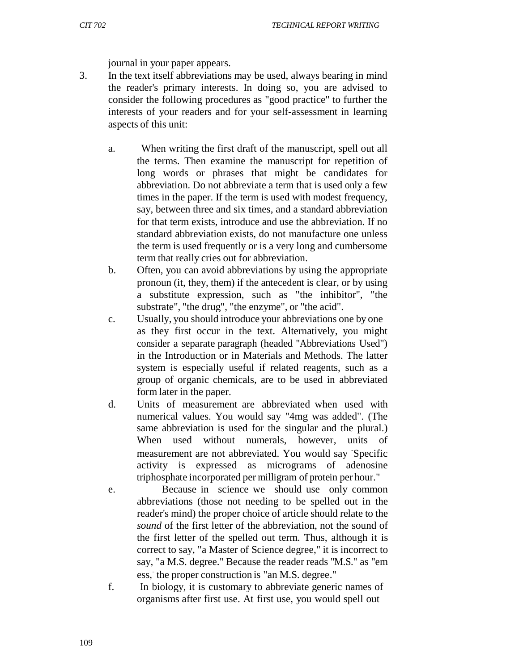journal in your paper appears.

- 3. In the text itself abbreviations may be used, always bearing in mind the reader's primary interests. In doing so, you are advised to consider the following procedures as "good practice" to further the interests of your readers and for your self-assessment in learning aspects of this unit:
	- a. When writing the first draft of the manuscript, spell out all the terms. Then examine the manuscript for repetition of long words or phrases that might be candidates for abbreviation. Do not abbreviate a term that is used only a few times in the paper. If the term is used with modest frequency, say, between three and six times, and a standard abbreviation for that term exists, introduce and use the abbreviation. If no standard abbreviation exists, do not manufacture one unless the term is used frequently or is a very long and cumbersome term that really cries out for abbreviation.
	- b. Often, you can avoid abbreviations by using the appropriate pronoun (it, they, them) if the antecedent is clear, or by using a substitute expression, such as "the inhibitor", "the substrate", "the drug", "the enzyme", or "the acid".
	- c. Usually, you should introduce your abbreviations one by one as they first occur in the text. Alternatively, you might consider a separate paragraph (headed "Abbreviations Used") in the Introduction or in Materials and Methods. The latter system is especially useful if related reagents, such as a group of organic chemicals, are to be used in abbreviated form later in the paper.
	- d. Units of measurement are abbreviated when used with numerical values. You would say "4mg was added". (The same abbreviation is used for the singular and the plural.) When used without numerals, however, units of measurement are not abbreviated. You would say Specific activity is expressed as micrograms of adenosine triphosphate incorporated per milligram of protein per hour."
	- e. Because in science we should use only common abbreviations (those not needing to be spelled out in the reader's mind) the proper choice of article should relate to the *sound* of the first letter of the abbreviation, not the sound of the first letter of the spelled out term. Thus, although it is correct to say, "a Master of Science degree," it is incorrect to say, "a M.S. degree." Because the reader reads "M.S." as "em ess, the proper construction is "an M.S. degree."
	- f. In biology, it is customary to abbreviate generic names of organisms after first use. At first use, you would spell out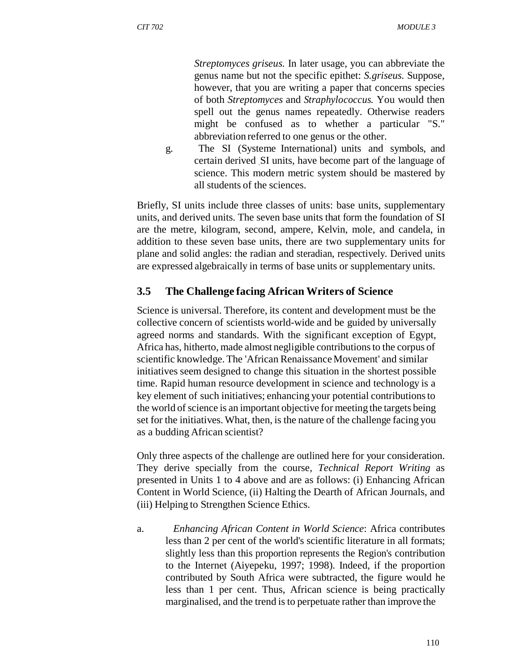*Streptomyces griseus.* In later usage, you can abbreviate the genus name but not the specific epithet: *S.griseus.* Suppose, however, that you are writing a paper that concerns species of both *Streptomyces* and *Straphylococcus.* You would then spell out the genus names repeatedly. Otherwise readers might be confused as to whether a particular "S." abbreviation referred to one genus or the other.

g. The SI (Systeme International) units and symbols, and certain derived .SI units, have become part of the language of science. This modern metric system should be mastered by all students of the sciences.

Briefly, SI units include three classes of units: base units, supplementary units, and derived units. The seven base units that form the foundation of SI are the metre, kilogram, second, ampere, Kelvin, mole, and candela, in addition to these seven base units, there are two supplementary units for plane and solid angles: the radian and steradian, respectively. Derived units are expressed algebraically in terms of base units or supplementary units.

# **3.5 The Challenge facing African Writers of Science**

Science is universal. Therefore, its content and development must be the collective concern of scientists world-wide and be guided by universally agreed norms and standards. With the significant exception of Egypt, Africa has, hitherto, made almost negligible contributions to the corpus of scientific knowledge. The 'African Renaissance Movement' and similar initiatives seem designed to change this situation in the shortest possible time. Rapid human resource development in science and technology is a key element of such initiatives; enhancing your potential contributions to the world of science is an important objective for meeting the targets being set for the initiatives. What, then, is the nature of the challenge facing you as a budding African scientist?

Only three aspects of the challenge are outlined here for your consideration. They derive specially from the course, *Technical Report Writing* as presented in Units 1 to 4 above and are as follows: (i) Enhancing African Content in World Science, (ii) Halting the Dearth of African Journals, and (iii) Helping to Strengthen Science Ethics.

a. *Enhancing African Content in World Science*: Africa contributes less than 2 per cent of the world's scientific literature in all formats; slightly less than this proportion represents the Region's contribution to the Internet (Aiyepeku, 1997; 1998). Indeed, if the proportion contributed by South Africa were subtracted, the figure would he less than 1 per cent. Thus, African science is being practically marginalised, and the trend is to perpetuate rather than improve the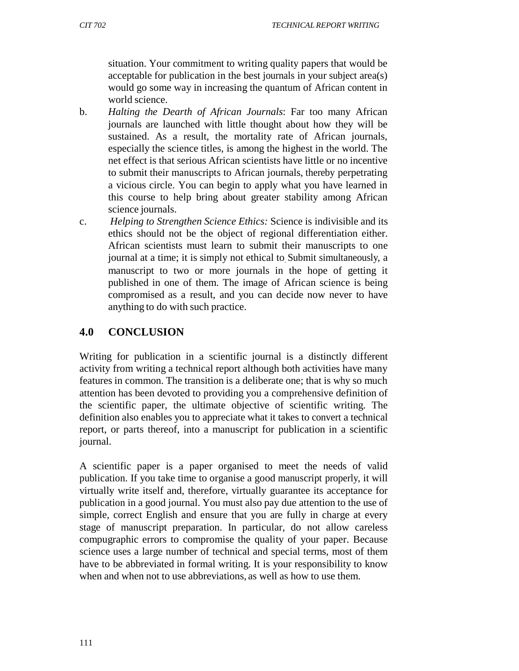situation. Your commitment to writing quality papers that would be acceptable for publication in the best journals in your subject area(s) would go some way in increasing the quantum of African content in world science.

- b. *Halting the Dearth of African Journals*: Far too many African journals are launched with little thought about how they will be sustained. As a result, the mortality rate of African journals, especially the science titles, is among the highest in the world. The net effect is that serious African scientists have little or no incentive to submit their manuscripts to African journals, thereby perpetrating a vicious circle. You can begin to apply what you have learned in this course to help bring about greater stability among African science journals.
- c. *Helping to Strengthen Science Ethics:* Science is indivisible and its ethics should not be the object of regional differentiation either. African scientists must learn to submit their manuscripts to one journal at a time; it is simply not ethical to. Submit simultaneously, a manuscript to two or more journals in the hope of getting it published in one of them. The image of African science is being compromised as a result, and you can decide now never to have anything to do with such practice.

# **4.0 CONCLUSION**

Writing for publication in a scientific journal is a distinctly different activity from writing a technical report although both activities have many features in common. The transition is a deliberate one; that is why so much attention has been devoted to providing you a comprehensive definition of the scientific paper, the ultimate objective of scientific writing. The definition also enables you to appreciate what it takes to convert a technical report, or parts thereof, into a manuscript for publication in a scientific journal.

A scientific paper is a paper organised to meet the needs of valid publication. If you take time to organise a good manuscript properly, it will virtually write itself and, therefore, virtually guarantee its acceptance for publication in a good journal. You must also pay due attention to the use of simple, correct English and ensure that you are fully in charge at every stage of manuscript preparation. In particular, do not allow careless compugraphic errors to compromise the quality of your paper. Because science uses a large number of technical and special terms, most of them have to be abbreviated in formal writing. It is your responsibility to know when and when not to use abbreviations, as well as how to use them.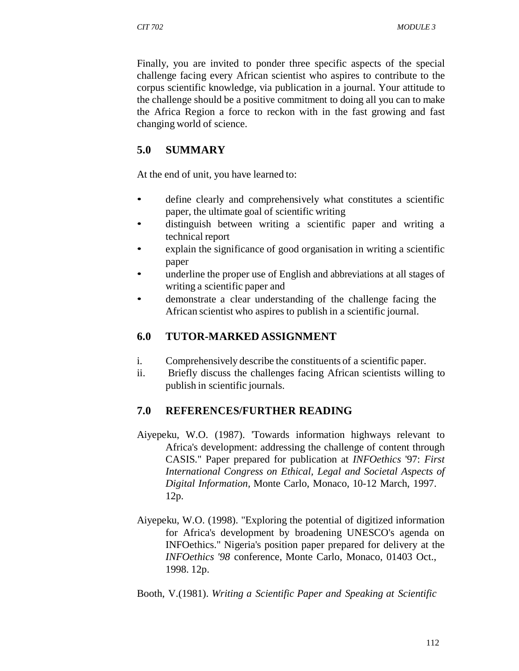Finally, you are invited to ponder three specific aspects of the special challenge facing every African scientist who aspires to contribute to the corpus scientific knowledge, via publication in a journal. Your attitude to the challenge should be a positive commitment to doing all you can to make the Africa Region a force to reckon with in the fast growing and fast changing world of science.

# **5.0 SUMMARY**

At the end of unit*,* you have learned to:

- define clearly and comprehensively what constitutes a scientific paper, the ultimate goal of scientific writing
- distinguish between writing a scientific paper and writing a technical report
- explain the significance of good organisation in writing a scientific paper
- underline the proper use of English and abbreviations at all stages of writing a scientific paper and
- demonstrate a clear understanding of the challenge facing the African scientist who aspires to publish in a scientific journal.

# **6.0 TUTOR-MARKED ASSIGNMENT**

- i. Comprehensively describe the constituents of a scientific paper.
- ii. Briefly discuss the challenges facing African scientists willing to publish in scientific journals.

# **7.0 REFERENCES/FURTHER READING**

- Aiyepeku, W.O. (1987). 'Towards information highways relevant to Africa's development: addressing the challenge of content through CASIS." Paper prepared for publication at *INFOethics* '97: *First International Congress on Ethical, Legal and Societal Aspects of Digital Information,* Monte Carlo, Monaco, 10-12 March, 1997. 12p.
- Aiyepeku, W.O. (1998). "Exploring the potential of digitized information for Africa's development by broadening UNESCO's agenda on INFOethics." Nigeria's position paper prepared for delivery at the *INFOethics '98* conference, Monte Carlo, Monaco, 01403 Oct., 1998. 12p.
- Booth, V.(1981). *Writing a Scientific Paper and Speaking at Scientific*